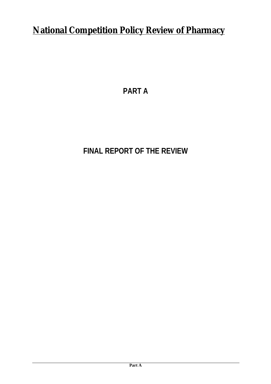# **National Competition Policy Review of Pharmacy**

**PART A**

# **FINAL REPORT OF THE REVIEW**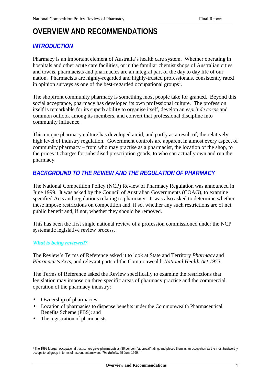# **OVERVIEW AND RECOMMENDATIONS**

# *INTRODUCTION*

Pharmacy is an important element of Australia's health care system. Whether operating in hospitals and other acute care facilities, or in the familiar chemist shops of Australian cities and towns, pharmacists and pharmacies are an integral part of the day to day life of our nation. Pharmacists are highly-regarded and highly-trusted professionals, consistently rated in opinion surveys as one of the best-regarded occupational groups<sup>1</sup>.

The shopfront community pharmacy is something most people take for granted. Beyond this social acceptance, pharmacy has developed its own professional culture. The profession itself is remarkable for its superb ability to organise itself, develop an *esprit de corps* and common outlook among its members, and convert that professional discipline into community influence.

This unique pharmacy culture has developed amid, and partly as a result of, the relatively high level of industry regulation. Government controls are apparent in almost every aspect of community pharmacy – from who may practise as a pharmacist, the location of the shop, to the prices it charges for subsidised prescription goods, to who can actually own and run the pharmacy.

# *BACKGROUND TO THE REVIEW AND THE REGULATION OF PHARMACY*

The National Competition Policy (NCP) Review of Pharmacy Regulation was announced in June 1999. It was asked by the Council of Australian Governments (COAG), to examine specified Acts and regulations relating to pharmacy. It was also asked to determine whether these impose restrictions on competition and, if so, whether any such restrictions are of net public benefit and, if not, whether they should be removed.

This has been the first single national review of a profession commissioned under the NCP systematic legislative review process.

# *What is being reviewed?*

The Review's Terms of Reference asked it to look at State and Territory *Pharmacy* and *Pharmacists Acts*, and relevant parts of the Commonwealth *National Health Act 1953*.

The Terms of Reference asked the Review specifically to examine the restrictions that legislation may impose on three specific areas of pharmacy practice and the commercial operation of the pharmacy industry:

• Ownership of pharmacies;

 $\overline{a}$ 

- Location of pharmacies to dispense benefits under the Commonwealth Pharmaceutical Benefits Scheme (PBS); and
- The registration of pharmacists.

<sup>1</sup> The 1999 Morgan occupational trust survey gave pharmacists an 86 per cent "approval" rating, and placed them as an occupation as the most trustworthy occupational group in terms of respondent answers: *The Bulletin*, 29 June 1999.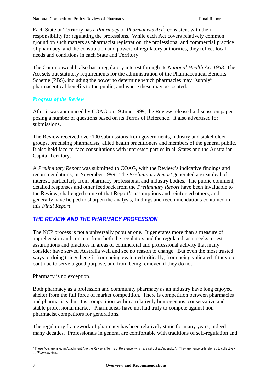Each State or Territory has a *Pharmacy* or *Pharmacists Act*<sup>2</sup>, consistent with their responsibility for regulating the professions. While each Act covers relatively common ground on such matters as pharmacist registration, the professional and commercial practice of pharmacy, and the constitution and powers of regulatory authorities, they reflect local needs and conditions in each State and Territory.

The Commonwealth also has a regulatory interest through its *National Health Act 1953*. The Act sets out statutory requirements for the administration of the Pharmaceutical Benefits Scheme (PBS), including the power to determine which pharmacies may "supply" pharmaceutical benefits to the public, and where these may be located.

# *Progress of the Review*

After it was announced by COAG on 19 June 1999, the Review released a discussion paper posing a number of questions based on its Terms of Reference. It also advertised for submissions.

The Review received over 100 submissions from governments, industry and stakeholder groups, practising pharmacists, allied health practitioners and members of the general public. It also held face-to-face consultations with interested parties in all States and the Australian Capital Territory.

A *Preliminary Report* was submitted to COAG, with the Review's indicative findings and recommendations, in November 1999. The *Preliminary Report* generated a great deal of interest, particularly from pharmacy professional and industry bodies. The public comment, detailed responses and other feedback from the *Preliminary Report* have been invaluable to the Review, challenged some of that Report's assumptions and reinforced others, and generally have helped to sharpen the analysis, findings and recommendations contained in this *Final Report*.

# *THE REVIEW AND THE PHARMACY PROFESSION*

The NCP process is not a universally popular one. It generates more than a measure of apprehension and concern from both the regulators and the regulated, as it seeks to test assumptions and practices in areas of commercial and professional activity that many consider have served Australia well and see no reason to change. But even the most trusted ways of doing things benefit from being evaluated critically, from being validated if they do continue to serve a good purpose, and from being removed if they do not.

# Pharmacy is no exception.

Both pharmacy as a profession and community pharmacy as an industry have long enjoyed shelter from the full force of market competition. There is competition between pharmacies and pharmacists, but it is competition within a relatively homogenous, conservative and stable professional market. Pharmacists have not had truly to compete against nonpharmacist competitors for generations.

The regulatory framework of pharmacy has been relatively static for many years, indeed many decades. Professionals in general are comfortable with traditions of self-regulation and

 $\overline{a}$ 2 These Acts are listed in Attachment A to the Review's Terms of Reference, which are set out at Appendix A. They are henceforth referred to collectively as *Pharmacy Acts*.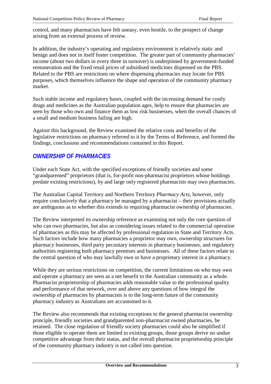control, and many pharmacists have felt uneasy, even hostile, to the prospect of change arising from an external process of review.

In addition, the industry's operating and regulatory environment is relatively static and benign and does not in itself foster competition. The greater part of community pharmacies' income (about two dollars in every three in turnover) is underpinned by government-funded remuneration and the fixed retail prices of subsidised medicines dispensed on the PBS. Related to the PBS are restrictions on where dispensing pharmacies may locate for PBS purposes, which themselves influence the shape and operation of the community pharmacy market.

Such stable income and regulatory bases, coupled with the increasing demand for costly drugs and medicines as the Australian population ages, help to ensure that pharmacies are seen by those who own and finance them as low risk businesses, when the overall chances of a small and medium business failing are high.

Against this background, the Review examined the relative costs and benefits of the legislative restrictions on pharmacy referred to it by the Terms of Reference, and formed the findings, conclusions and recommendations contained in this Report.

# *OWNERSHIP OF PHARMACIES*

Under each State Act, with the specified exceptions of friendly societies and some "grandparented" proprietors (that is, for-profit non-pharmacist proprietors whose holdings predate existing restrictions), by and large only registered pharmacists may own pharmacies.

The Australian Capital Territory and Northern Territory *Pharmacy Acts*, however, only require conclusively that a pharmacy be managed by a pharmacist – their provisions actually are ambiguous as to whether this extends to requiring pharmacist ownership of pharmacies.

The Review interpreted its ownership reference as examining not only the core question of who can own pharmacies, but also as considering issues related to the commercial operation of pharmacies as this may be affected by professional regulation in State and Territory Acts. Such factors include how many pharmacies a proprietor may own, ownership structures for pharmacy businesses, third party pecuniary interests in pharmacy businesses, and regulatory authorities registering both pharmacy premises and businesses. All of these factors relate to the central question of who may lawfully own or have a proprietary interest in a pharmacy.

While they are serious restrictions on competition, the current limitations on who may own and operate a pharmacy are seen as a net benefit to the Australian community as a whole. Pharmacist proprietorship of pharmacies adds reasonable value to the professional quality and performance of that network, over and above any questions of how integral the ownership of pharmacies by pharmacists is to the long-term future of the community pharmacy industry as Australians are accustomed to it.

The Review also recommends that existing exceptions to the general pharmacist ownership principle, friendly societies and grandparented non-pharmacist owned pharmacies, be retained. The close regulation of friendly society pharmacies could also be simplified if those eligible to operate them are limited to existing groups, those groups derive no undue competitive advantage from their status, and the overall pharmacist proprietorship principle of the community pharmacy industry is not called into question.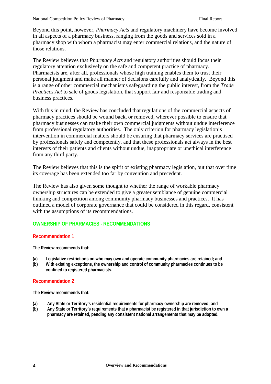Beyond this point, however, *Pharmacy Acts* and regulatory machinery have become involved in all aspects of a pharmacy business, ranging from the goods and services sold in a pharmacy shop with whom a pharmacist may enter commercial relations, and the nature of those relations.

The Review believes that *Pharmacy Acts* and regulatory authorities should focus their regulatory attention exclusively on the safe and competent practice of pharmacy. Pharmacists are, after all, professionals whose high training enables them to trust their personal judgment and make all manner of decisions carefully and analytically. Beyond this is a range of other commercial mechanisms safeguarding the public interest, from the *Trade Practices Act* to sale of goods legislation, that support fair and responsible trading and business practices.

With this in mind, the Review has concluded that regulations of the commercial aspects of pharmacy practices should be wound back, or removed, wherever possible to ensure that pharmacy businesses can make their own commercial judgments without undue interference from professional regulatory authorities. The only criterion for pharmacy legislation's intervention in commercial matters should be ensuring that pharmacy services are practised by professionals safely and competently, and that these professionals act always in the best interests of their patients and clients without undue, inappropriate or unethical interference from any third party.

The Review believes that this is the spirit of existing pharmacy legislation, but that over time its coverage has been extended too far by convention and precedent.

The Review has also given some thought to whether the range of workable pharmacy ownership structures can be extended to give a greater semblance of genuine commercial thinking and competition among community pharmacy businesses and practices. It has outlined a model of corporate governance that could be considered in this regard, consistent with the assumptions of its recommendations.

# **OWNERSHIP OF PHARMACIES - RECOMMENDATIONS**

#### **Recommendation 1**

**The Review recommends that:**

- **(a) Legislative restrictions on who may own and operate community pharmacies are retained; and**
- **(b) With existing exceptions, the ownership and control of community pharmacies continues to be confined to registered pharmacists.**

#### **Recommendation 2**

**The Review recommends that:**

- **(a) Any State or Territory's residential requirements for pharmacy ownership are removed; and**
- **(b) Any State or Territory's requirements that a pharmacist be registered in that jurisdiction to own a pharmacy are retained, pending any consistent national arrangements that may be adopted.**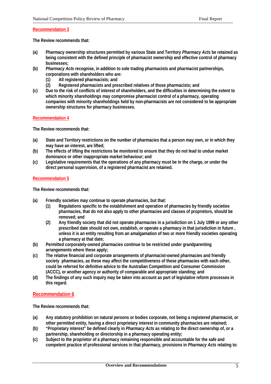#### **Recommendation 3**

**The Review recommends that:**

- **(a) Pharmacy ownership structures permitted by various State and Territory** *Pharmacy Acts* **be retained as being consistent with the defined principle of pharmacist ownership and effective control of pharmacy businesses;**
- **(b)** *Pharmacy Acts* **recognise, in addition to sole trading pharmacists and pharmacist partnerships, corporations with shareholders who are:**
	- **(1) All registered pharmacists; and**
	- **(2) Registered pharmacists and prescribed relatives of those pharmacists; and**
- **(c) Due to the risk of conflicts of interest of shareholders, and the difficulties in determining the extent to which minority shareholdings may compromise pharmacist control of a pharmacy, operating companies with minority shareholdings held by non-pharmacists are not considered to be appropriate ownership structures for pharmacy businesses.**

**Recommendation 4**

**The Review recommends that:**

- **(a) State and Territory restrictions on the number of pharmacies that a person may own, or in which they may have an interest, are lifted;**
- **(b) The effects of lifting the restrictions be monitored to ensure that they do not lead to undue market dominance or other inappropriate market behaviour; and**
- **(c) Legislative requirements that the operations of any pharmacy must be in the charge, or under the direct personal supervision, of a registered pharmacist are retained.**

#### **Recommendation 5**

**The Review recommends that:**

- **(a) Friendly societies may continue to operate pharmacies, but that:**
	- **(1) Regulations specific to the establishment and operation of pharmacies by friendly societies pharmacies, that do not also apply to other pharmacies and classes of proprietors, should be removed; and**
	- **(2) Any friendly society that did not operate pharmacies in a jurisdiction on 1 July 1999 or any other prescribed date should not own, establish, or operate a pharmacy in that jurisdiction in future , unless it is an entity resulting from an amalgamation of two or more friendly societies operating a pharmacy at that date;**
- **(b) Permitted corporately-owned pharmacies continue to be restricted under grandparenting arrangements where these apply;**
- **(c) The relative financial and corporate arrangements of pharmacist-owned pharmacies and friendly society pharmacies, as these may affect the competitiveness of these pharmacies with each other, could be referred for definitive advice to the Australian Competition and Consumer Commission (ACCC), or another agency or authority of comparable and appropriate standing; and**
- **(d) The findings of any such inquiry may be taken into account as part of legislative reform processes in this regard.**

#### **Recommendation 6**

**The Review recommends that:**

- **(a) Any statutory prohibition on natural persons or bodies corporate, not being a registered pharmacist, or other permitted entity, having a direct proprietary interest in community pharmacies are retained;**
- **(b) "Proprietary interest" be defined clearly in** *Pharmacy Acts* **as relating to the direct ownership of, or a partnership, shareholding or directorship in a pharmacy operating entity;**
- **(c) Subject to the proprietor of a pharmacy remaining responsible and accountable for the safe and competent practice of professional services in that pharmacy, provisions in** *Pharmacy Acts* **relating to:**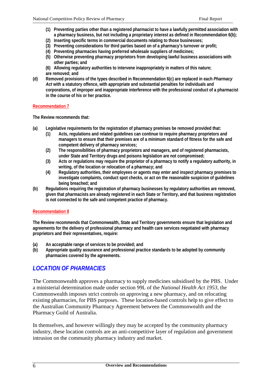- **(1) Preventing parties other than a registered pharmacist to have a lawfully permitted association with a pharmacy business, but not including a proprietary interest as defined in Recommendation 6(b);**
- **(2) Inserting specific terms in commercial documents relating to those businesses;**
- **(3) Preventing considerations for third parties based on of a pharmacy's turnover or profit;**
- **(4) Preventing pharmacies having preferred wholesale suppliers of medicines;**
- **(5) Otherwise preventing pharmacy proprietors from developing lawful business associations with other parties; and**
- **(6) Allowing regulatory authorities to intervene inappropriately in matters of this nature; are removed; and**
- **(d) Removed provisions of the types described in Recommendation 6(c) are replaced in each** *Pharmacy Act* **with a statutory offence, with appropriate and substantial penalties for individuals and corporations, of improper and inappropriate interference with the professional conduct of a pharmacist in the course of his or her practice.**

#### **Recommendation 7**

**The Review recommends that:**

- **(a) Legislative requirements for the registration of pharmacy premises be removed provided that:**
	- **(1) Acts, regulations and related guidelines can continue to require pharmacy proprietors and managers to ensure that their premises are of a minimum standard of fitness for the safe and competent delivery of pharmacy services;**
	- **(2) The responsibilities of pharmacy proprietors and managers, and of registered pharmacists, under State and Territory drugs and poisons legislation are not compromised;**
	- **(3) Acts or regulations may require the proprietor of a pharmacy to notify a regulatory authority, in writing, of the location or relocation of a pharmacy; and**
	- **(4) Regulatory authorities, their employees or agents may enter and inspect pharmacy premises to investigate complaints, conduct spot checks, or act on the reasonable suspicion of guidelines being breached; and**
- **(b) Regulations requiring the registration of pharmacy businesses by regulatory authorities are removed, given that pharmacists are already registered in each State or Territory, and that business registration is not connected to the safe and competent practice of pharmacy.**

#### **Recommendation 8**

**The Review recommends that Commonwealth, State and Territory governments ensure that legislation and agreements for the delivery of professional pharmacy and health care services negotiated with pharmacy proprietors and their representatives, require:**

- **(a) An acceptable range of services to be provided; and**
- **(b) Appropriate quality assurance and professional practice standards to be adopted by community pharmacies covered by the agreements.**

# *LOCATION OF PHARMACIES*

The Commonwealth approves a pharmacy to supply medicines subsidised by the PBS. Under a ministerial determination made under section 99L of the *National Health Act 1953*, the Commonwealth imposes strict controls on approving a new pharmacy, and on relocating existing pharmacies, for PBS purposes. These location-based controls help to give effect to the Australian Community Pharmacy Agreement between the Commonwealth and the Pharmacy Guild of Australia.

In themselves, and however willingly they may be accepted by the community pharmacy industry, these location controls are an anti-competitive layer of regulation and government intrusion on the community pharmacy industry and market.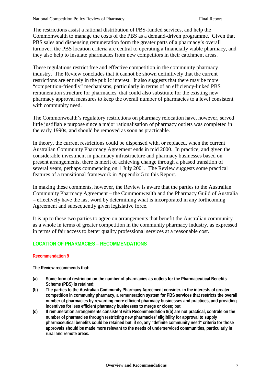The restrictions assist a rational distribution of PBS-funded services, and help the Commonwealth to manage the costs of the PBS as a demand-driven programme. Given that PBS sales and dispensing remuneration form the greater parts of a pharmacy's overall turnover, the PBS location criteria are central to operating a financially viable pharmacy, and they also help to insulate pharmacies from new competitors in their catchment areas.

These regulations restrict free and effective competition in the community pharmacy industry. The Review concludes that it cannot be shown definitively that the current restrictions are entirely in the public interest. It also suggests that there may be more "competition-friendly" mechanisms, particularly in terms of an efficiency-linked PBS remuneration structure for pharmacies, that could also substitute for the existing new pharmacy approval measures to keep the overall number of pharmacies to a level consistent with community need.

The Commonwealth's regulatory restrictions on pharmacy relocation have, however, served little justifiable purpose since a major rationalisation of pharmacy outlets was completed in the early 1990s, and should be removed as soon as practicable.

In theory, the current restrictions could be dispensed with, or replaced, when the current Australian Community Pharmacy Agreement ends in mid 2000. In practice, and given the considerable investment in pharmacy infrastructure and pharmacy businesses based on present arrangements, there is merit of achieving change through a phased transition of several years, perhaps commencing on 1 July 2001. The Review suggests some practical features of a transitional framework in Appendix 5 to this Report.

In making these comments, however, the Review is aware that the parties to the Australian Community Pharmacy Agreement – the Commonwealth and the Pharmacy Guild of Australia – effectively have the last word by determining what is incorporated in any forthcoming Agreement and subsequently given legislative force.

It is up to these two parties to agree on arrangements that benefit the Australian community as a whole in terms of greater competition in the community pharmacy industry, as expressed in terms of fair access to better quality professional services at a reasonable cost.

# **LOCATION OF PHARMACIES – RECOMMENDATIONS**

#### **Recommendation 9**

**The Review recommends that:**

- **(a) Some form of restriction on the number of pharmacies as outlets for the Pharmaceutical Benefits Scheme (PBS) is retained;**
- **(b) The parties to the Australian Community Pharmacy Agreement consider, in the interests of greater competition in community pharmacy, a remuneration system for PBS services that restricts the overall number of pharmacies by rewarding more efficient pharmacy businesses and practices, and providing incentives for less efficient pharmacy businesses to merge or close; but**
- **(c) If remuneration arrangements consistent with Recommendation 9(b) are not practical, controls on the number of pharmacies through restricting new pharmacies' eligibility for approval to supply pharmaceutical benefits could be retained but, if so, any "definite community need" criteria for those approvals should be made more relevant to the needs of underserviced communities, particularly in rural and remote areas.**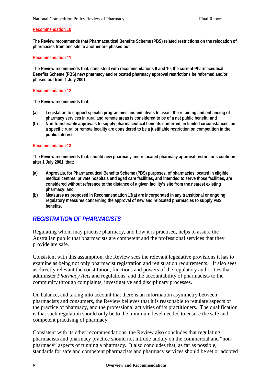#### **Recommendation 10**

**The Review recommends that Pharmaceutical Benefits Scheme (PBS) related restrictions on the relocation of pharmacies from one site to another are phased out.**

#### **Recommendation 11**

**The Review recommends that, consistent with recommendations 9 and 10, the current Pharmaceutical Benefits Scheme (PBS) new pharmacy and relocated pharmacy approval restrictions be reformed and/or phased out from 1 July 2001.**

#### **Recommendation 12**

**The Review recommends that:**

- **(a) Legislation to support specific programmes and initiatives to assist the retaining and enhancing of pharmacy services in rural and remote areas is considered to be of a net public benefit; and**
- **(b) Non-transferable approvals to supply pharmaceutical benefits conferred, in limited circumstances, on a specific rural or remote locality are considered to be a justifiable restriction on competition in the public interest.**

#### **Recommendation 13**

**The Review recommends that, should new pharmacy and relocated pharmacy approval restrictions continue after 1 July 2001, that:**

- **(a) Approvals, for Pharmaceutical Benefits Scheme (PBS) purposes, of pharmacies located in eligible medical centres, private hospitals and aged care facilities, and intended to serve those facilities, are considered without reference to the distance of a given facility's site from the nearest existing pharmacy; and**
- **(b) Measures as proposed in Recommendation 13(a) are incorporated in any transitional or ongoing regulatory measures concerning the approval of new and relocated pharmacies to supply PBS benefits.**

# *REGISTRATION OF PHARMACISTS*

Regulating whom may practise pharmacy, and how it is practised, helps to assure the Australian public that pharmacists are competent and the professional services that they provide are safe.

Consistent with this assumption, the Review sees the relevant legislative provisions it has to examine as being not only pharmacist registration and registration requirements. It also sees as directly relevant the constitution, functions and powers of the regulatory authorities that administer *Pharmacy Acts* and regulations, and the accountability of pharmacists to the community through complaints, investigative and disciplinary processes.

On balance, and taking into account that there is an information asymmetry between pharmacists and consumers, the Review believes that it is reasonable to regulate aspects of the practice of pharmacy, and the professional activities of its practitioners. The qualification is that such regulation should only be to the minimum level needed to ensure the safe and competent practising of pharmacy.

Consistent with its other recommendations, the Review also concludes that regulating pharmacists and pharmacy practice should not intrude unduly on the commercial and "nonpharmacy" aspects of running a pharmacy. It also concludes that, as far as possible, standards for safe and competent pharmacists and pharmacy services should be set or adopted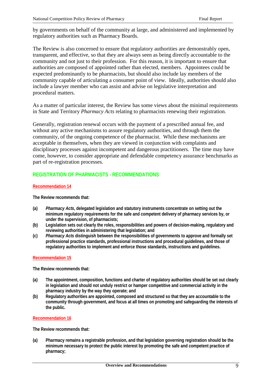by governments on behalf of the community at large, and administered and implemented by regulatory authorities such as Pharmacy Boards.

The Review is also concerned to ensure that regulatory authorities are demonstrably open, transparent, and effective, so that they are always seen as being directly accountable to the community and not just to their profession. For this reason, it is important to ensure that authorities are composed of appointed rather than elected, members. Appointees could be expected predominantly to be pharmacists, but should also include lay members of the community capable of articulating a consumer point of view. Ideally, authorities should also include a lawyer member who can assist and advise on legislative interpretation and procedural matters.

As a matter of particular interest, the Review has some views about the minimal requirements in State and Territory *Pharmacy Acts* relating to pharmacists renewing their registration.

Generally, registration renewal occurs with the payment of a prescribed annual fee, and without any active mechanisms to assure regulatory authorities, and through them the community, of the ongoing competence of the pharmacist. While these mechanisms are acceptable in themselves, when they are viewed in conjunction with complaints and disciplinary processes against incompetent and dangerous practitioners. The time may have come, however, to consider appropriate and defendable competency assurance benchmarks as part of re-registration processes.

# **REGISTRATION OF PHARMACISTS - RECOMMENDATIONS**

#### **Recommendation 14**

**The Review recommends that:**

- **(a)** *Pharmacy Acts***, delegated legislation and statutory instruments concentrate on setting out the minimum regulatory requirements for the safe and competent delivery of pharmacy services by, or under the supervision, of pharmacists;**
- **(b) Legislation sets out clearly the roles, responsibilities and powers of decision-making, regulatory and reviewing authorities in administering that legislation; and**
- **(c)** *Pharmacy Acts* **distinguish between the responsibilities of governments to approve and formally set professional practice standards, professional instructions and procedural guidelines, and those of regulatory authorities to implement and enforce those standards, instructions and guidelines.**

#### **Recommendation 15**

**The Review recommends that:**

- **(a) The appointment, composition, functions and charter of regulatory authorities should be set out clearly in legislation and should not unduly restrict or hamper competitive and commercial activity in the pharmacy industry by the way they operate; and**
- **(b) Regulatory authorities are appointed, composed and structured so that they are accountable to the community through government, and focus at all times on promoting and safeguarding the interests of the public.**

#### **Recommendation 16**

**The Review recommends that:**

**(a) Pharmacy remains a registrable profession, and that legislation governing registration should be the minimum necessary to protect the public interest by promoting the safe and competent practice of pharmacy;**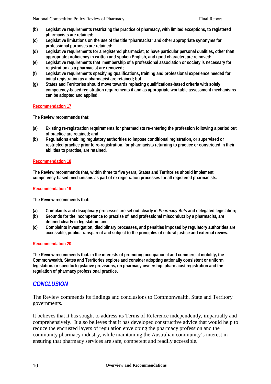- **(b) Legislative requirements restricting the practice of pharmacy, with limited exceptions, to registered pharmacists are retained;**
- **(c) Legislative limitations on the use of the title "pharmacist" and other appropriate synonyms for professional purposes are retained;**
- **(d) Legislative requirements for a registered pharmacist, to have particular personal qualities, other than appropriate proficiency in written and spoken English, and good character, are removed;**
- **(e) Legislative requirements that membership of a professional association or society is necessary for registration as a pharmacist are removed;**
- **(f) Legislative requirements specifying qualifications, training and professional experience needed for initial registration as a pharmacist are retained; but**
- **(g) States and Territories should move towards replacing qualifications-based criteria with solely competency-based registration requirements if and as appropriate workable assessment mechanisms can be adopted and applied.**

#### **Recommendation 17**

**The Review recommends that:**

- **(a) Existing re-registration requirements for pharmacists re-entering the profession following a period out of practice are retained; and**
- **(b) Regulations enabling regulatory authorities to impose conditional registration, or supervised or restricted practice prior to re-registration, for pharmacists returning to practice or constricted in their abilities to practise, are retained.**

#### **Recommendation 18**

**The Review recommends that, within three to five years, States and Territories should implement competency-based mechanisms as part of re-registration processes for all registered pharmacists.**

#### **Recommendation 19**

**The Review recommends that:**

- **(a) Complaints and disciplinary processes are set out clearly in** *Pharmacy Acts* **and delegated legislation;**
- **(b) Grounds for the incompetence to practise of, and professional misconduct by a pharmacist, are defined clearly in legislation; and**
- **(c) Complaints investigation, disciplinary processes, and penalties imposed by regulatory authorities are accessible, public, transparent and subject to the principles of natural justice and external review.**

#### **Recommendation 20**

**The Review recommends that, in the interests of promoting occupational and commercial mobility, the Commonwealth, States and Territories explore and consider adopting nationally consistent or uniform legislation, or specific legislative provisions, on pharmacy ownership, pharmacist registration and the regulation of pharmacy professional practice.**

# *CONCLUSION*

The Review commends its findings and conclusions to Commonwealth, State and Territory governments.

It believes that it has sought to address its Terms of Reference independently, impartially and comprehensively. It also believes that it has developed constructive advice that would help to reduce the encrusted layers of regulation enveloping the pharmacy profession and the community pharmacy industry, while maintaining the Australian community's interest in ensuring that pharmacy services are safe, competent and readily accessible.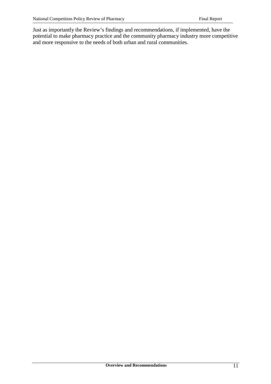Just as importantly the Review's findings and recommendations, if implemented, have the potential to make pharmacy practice and the community pharmacy industry more competitive and more responsive to the needs of both urban and rural communities.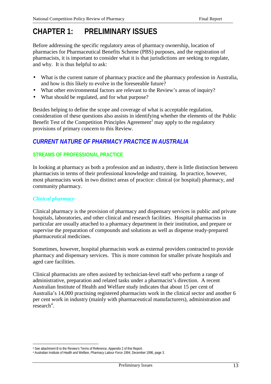# **CHAPTER 1: PRELIMINARY ISSUES**

Before addressing the specific regulatory areas of pharmacy ownership, location of pharmacies for Pharmaceutical Benefits Scheme (PBS) purposes, and the registration of pharmacists, it is important to consider what it is that jurisdictions are seeking to regulate, and why. It is thus helpful to ask:

- What is the current nature of pharmacy practice and the pharmacy profession in Australia, and how is this likely to evolve in the foreseeable future?
- What other environmental factors are relevant to the Review's areas of inquiry?
- What should be regulated, and for what purpose?

Besides helping to define the scope and coverage of what is acceptable regulation, consideration of these questions also assists in identifying whether the elements of the Public Benefit Test of the Competition Principles Agreement<sup>3</sup> may apply to the regulatory provisions of primary concern to this Review.

# *CURRENT NATURE OF PHARMACY PRACTICE IN AUSTRALIA*

# **STREAMS OF PROFESSIONAL PRACTICE**

In looking at pharmacy as both a profession and an industry, there is little distinction between pharmacists in terms of their professional knowledge and training. In practice, however, most pharmacists work in two distinct areas of practice: clinical (or hospital) pharmacy, and community pharmacy.

#### *Clinical pharmacy*

 $\overline{a}$ 

Clinical pharmacy is the provision of pharmacy and dispensary services in public and private hospitals, laboratories, and other clinical and research facilities. Hospital pharmacists in particular are usually attached to a pharmacy department in their institution, and prepare or supervise the preparation of compounds and solutions as well as dispense ready-prepared pharmaceutical medicines.

Sometimes, however, hospital pharmacists work as external providers contracted to provide pharmacy and dispensary services. This is more common for smaller private hospitals and aged care facilities.

Clinical pharmacists are often assisted by technician-level staff who perform a range of administrative, preparation and related tasks under a pharmacist's direction. A recent Australian Institute of Health and Welfare study indicates that about 15 per cent of Australia's 14,000 practising registered pharmacists work in the clinical sector and another 6 per cent work in industry (mainly with pharmaceutical manufacturers), administration and  $research<sup>4</sup>$ .

<sup>&</sup>lt;sup>3</sup> See attachment B to the Review's Terms of Reference, Appendix 2 of this Report.

<sup>4</sup> Australian Institute of Health and Welfare, *Pharmacy Labour Force 1994*, December 1996, page 3.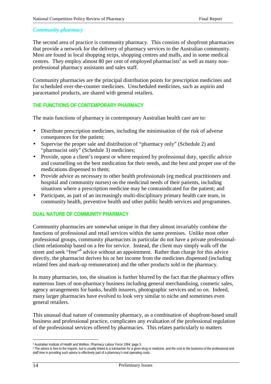### *Community pharmacy*

The second area of practice is community pharmacy. This consists of shopfront pharmacies that provide a network for the delivery of pharmacy services to the Australian community. Most are found in local shopping strips, shopping centres and malls, and in some medical centres. They employ almost 80 per cent of employed pharmacists<sup>5</sup> as well as many nonprofessional pharmacy assistants and sales staff.

Community pharmacies are the principal distribution points for prescription medicines and for scheduled over-the-counter medicines. Unscheduled medicines, such as aspirin and paracetamol products, are shared with general retailers.

# **THE FUNCTIONS OF CONTEMPORARY PHARMACY**

The main functions of pharmacy in contemporary Australian health care are to:

- Distribute prescription medicines, including the minimisation of the risk of adverse consequences for the patient;
- Supervise the proper sale and distribution of "pharmacy only" (Schedule 2) and "pharmacist only" (Schedule 3) medicines;
- Provide, upon a client's request or where required by professional duty, specific advice and counselling on the best medication for their needs, and the best and proper use of the medications dispensed to them;
- Provide advice as necessary to other health professionals (eg medical practitioners and hospital and community nurses) on the medicinal needs of their patients, including situations where a prescription medicine may be contraindicated for the patient; and
- Participate, as part of an increasingly multi-disciplinary primary health care team, in community health, preventive health and other public health services and programmes.

#### **DUAL NATURE OF COMMUNITY PHARMACY**

Community pharmacies are somewhat unique in that they almost invariably combine the functions of professional and retail services within the same premises. Unlike most other professional groups, community pharmacists in particular do not have a private professionalclient relationship based on a fee for service. Instead, the client may simply walk off the street and seek "free"<sup>6</sup> advice without an appointment. Rather than charge for this advice directly, the pharmacist derives his or her income from the medicines dispensed (including related fees and mark-up remuneration) and the other products sold in the pharmacy.

In many pharmacies, too, the situation is further blurred by the fact that the pharmacy offers numerous lines of non-pharmacy business including general merchandising, cosmetic sales, agency arrangements for banks, health insurers, photographic services and so on. Indeed, many larger pharmacies have evolved to look very similar to niche and sometimes even general retailers.

This unusual dual nature of community pharmacy, as a combination of shopfront-based small business and professional practice, complicates any evaluation of the professional regulation of the professional services offered by pharmacies. This relates particularly to matters

 $\overline{a}$ 5 Australian Institute of Health and Welfare, *Pharmacy Labour Force 1994*, page 3.

<sup>&</sup>lt;sup>6</sup> The advice is free to the inquirer, but is usually linked to a transaction for a given drug or medicine, and the cost to the business of the professional and staff time in providing such advice is effectively part of a pharmacy's real operating costs.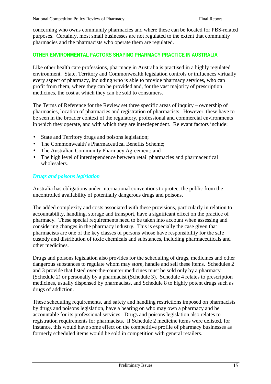concerning who owns community pharmacies and where these can be located for PBS-related purposes. Certainly, most small businesses are not regulated to the extent that community pharmacies and the pharmacists who operate them are regulated.

# **OTHER ENVIRONMENTAL FACTORS SHAPING PHARMACY PRACTICE IN AUSTRALIA**

Like other health care professions, pharmacy in Australia is practised in a highly regulated environment. State, Territory and Commonwealth legislation controls or influences virtually every aspect of pharmacy, including who is able to provide pharmacy services, who can profit from them, where they can be provided and, for the vast majority of prescription medicines, the cost at which they can be sold to consumers.

The Terms of Reference for the Review set three specific areas of inquiry – ownership of pharmacies, location of pharmacies and registration of pharmacists. However, these have to be seen in the broader context of the regulatory, professional and commercial environments in which they operate, and with which they are interdependent. Relevant factors include:

- State and Territory drugs and poisons legislation;
- The Commonwealth's Pharmaceutical Benefits Scheme;
- The Australian Community Pharmacy Agreement; and
- The high level of interdependence between retail pharmacies and pharmaceutical wholesalers.

#### *Drugs and poisons legislation*

Australia has obligations under international conventions to protect the public from the uncontrolled availability of potentially dangerous drugs and poisons.

The added complexity and costs associated with these provisions, particularly in relation to accountability, handling, storage and transport, have a significant effect on the practice of pharmacy. These special requirements need to be taken into account when assessing and considering changes in the pharmacy industry. This is especially the case given that pharmacists are one of the key classes of persons whose have responsibility for the safe custody and distribution of toxic chemicals and substances, including pharmaceuticals and other medicines.

Drugs and poisons legislation also provides for the scheduling of drugs, medicines and other dangerous substances to regulate whom may store, handle and sell these items. Schedules 2 and 3 provide that listed over-the-counter medicines must be sold only by a pharmacy (Schedule 2) or personally by a pharmacist (Schedule 3). Schedule 4 relates to prescription medicines, usually dispensed by pharmacists, and Schedule 8 to highly potent drugs such as drugs of addiction.

These scheduling requirements, and safety and handling restrictions imposed on pharmacists by drugs and poisons legislation, have a bearing on who may own a pharmacy and be accountable for its professional services. Drugs and poisons legislation also relates to registration requirements for pharmacists. If Schedule 2 medicine items were delisted, for instance, this would have some effect on the competitive profile of pharmacy businesses as formerly scheduled items would be sold in competition with general retailers.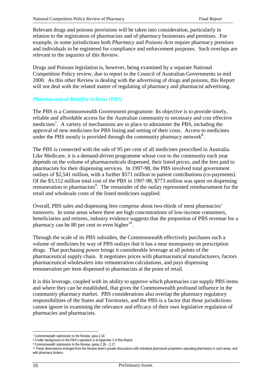Relevant drugs and poisons provisions will be taken into consideration, particularly in relation to the registration of pharmacists and of pharmacy businesses and premises. For example, in some jurisdictions both *Pharmacy* and *Poisons Acts* require pharmacy premises and individuals to be registered for compliance and enforcement purposes. Such overlaps are relevant to the inquiries of this Review.

Drugs and Poisons legislation is, however, being examined by a separate National Competition Policy review, due to report to the Council of Australian Governments in mid 2000. As this other Review is dealing with the advertising of drugs and poisons, this Report will not deal with the related matter of regulating of pharmacy and pharmacist advertising.

#### *Pharmaceutical Benefits Scheme (PBS)*

The PBS is a Commonwealth Government programme. Its objective is to provide timely, reliable and affordable access for the Australian community to necessary and cost effective medicines<sup>7</sup>. A variety of mechanisms are in place to administer the PBS, including the approval of new medicines for PBS listing and setting of their costs. Access to medicines under the PBS mostly is provided through the community pharmacy network<sup>8</sup>.

The PBS is connected with the sale of 95 per cent of all medicines prescribed in Australia. Like Medicare, it is a demand-driven programme whose cost to the community each year depends on the volume of pharmaceuticals dispensed, their listed prices, and the fees paid to pharmacists for their dispensing services. In 1997-98, the PBS involved total government outlays of \$2,541 million, with a further \$571 million in patient contributions (co-payments). Of the \$3,112 million total cost of the PBS in 1997-98, \$773 million was spent on dispensing remuneration to pharmacists<sup>9</sup>. The remainder of the outlay represented reimbursement for the retail and wholesale costs of the listed medicines supplied.

Overall, PBS sales and dispensing fees comprise about two-thirds of most pharmacies' turnovers. In some areas where there are high concentrations of low-income consumers, beneficiaries and retirees, industry evidence suggests that the proportion of PBS revenue for a pharmacy can be 80 per cent or even higher<sup>10</sup>.

Through the scale of its PBS subsidies, the Commonwealth effectively purchases such a volume of medicines by way of PBS outlays that it has a near monopsony on prescription drugs. That purchasing power brings it considerable leverage at all points of the pharmaceutical supply chain. It negotiates prices with pharmaceutical manufacturers, factors pharmaceutical wholesalers into remuneration calculations, and pays dispensing remuneration per item dispensed to pharmacists at the point of retail.

It is this leverage, coupled with its ability to approve which pharmacies can supply PBS items and where they can be established, that gives the Commonwealth profound influence in the community pharmacy market. PBS considerations also overlap the pharmacy regulatory responsibilities of the States and Territories, and the PBS is a factor that those jurisdictions cannot ignore in examining the relevance and efficacy of their own legislative regulation of pharmacies and pharmacists.

 $\overline{a}$ 

<sup>&</sup>lt;sup>7</sup> Commonwealth submission to the Review, para 2.18.

<sup>8</sup> A fuller background on the PBS's operation is at Appendix 3 of this Report.

<sup>9</sup> Commonwealth submission to the Review, paras 2.26 – 2.27.

<sup>10</sup> These observations emerged from the Review team's private discussions with individual pharmacist proprietors operating pharmacies in such areas, and with pharmacy brokers.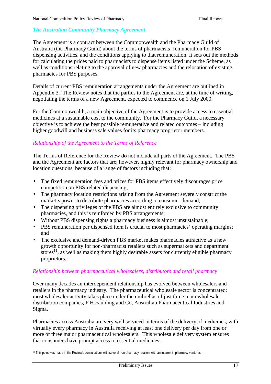#### *The Australian Community Pharmacy Agreement*

The Agreement is a contract between the Commonwealth and the Pharmacy Guild of Australia (the Pharmacy Guild) about the terms of pharmacists' remuneration for PBS dispensing activities, and the conditions applying to that remuneration. It sets out the methods for calculating the prices paid to pharmacists to dispense items listed under the Scheme, as well as conditions relating to the approval of new pharmacies and the relocation of existing pharmacies for PBS purposes.

Details of current PBS remuneration arrangements under the Agreement are outlined in Appendix 3. The Review notes that the parties to the Agreement are, at the time of writing, negotiating the terms of a new Agreement, expected to commence on 1 July 2000.

For the Commonwealth, a main objective of the Agreement is to provide access to essential medicines at a sustainable cost to the community. For the Pharmacy Guild, a necessary objective is to achieve the best possible remunerative and related outcomes – including higher goodwill and business sale values for its pharmacy proprietor members.

### *Relationship of the Agreement to the Terms of Reference*

The Terms of Reference for the Review do not include all parts of the Agreement. The PBS and the Agreement are factors that are, however, highly relevant for pharmacy ownership and location questions, because of a range of factors including that:

- The fixed remuneration fees and prices for PBS items effectively discourages price competition on PBS-related dispensing;
- The pharmacy location restrictions arising from the Agreement severely constrict the market's power to distribute pharmacies according to consumer demand;
- The dispensing privileges of the PBS are almost entirely exclusive to community pharmacies, and this is reinforced by PBS arrangements;
- Without PBS dispensing rights a pharmacy business is almost unsustainable;
- PBS remuneration per dispensed item is crucial to most pharmacies' operating margins; and
- The exclusive and demand-driven PBS market makes pharmacies attractive as a new growth opportunity for non-pharmacist retailers such as supermarkets and department stores<sup>11</sup>, as well as making them highly desirable assets for currently eligible pharmacy proprietors.

#### *Relationship between pharmaceutical wholesalers, distributors and retail pharmacy*

Over many decades an interdependent relationship has evolved between wholesalers and retailers in the pharmacy industry. The pharmaceutical wholesale sector is concentrated: most wholesaler activity takes place under the umbrellas of just three main wholesale distribution companies, F H Faulding and Co, Australian Pharmaceutical Industries and Sigma.

Pharmacies across Australia are very well serviced in terms of the delivery of medicines, with virtually every pharmacy in Australia receiving at least one delivery per day from one or more of three major pharmaceutical wholesalers. This wholesale delivery system ensures that consumers have prompt access to essential medicines.

 $\overline{a}$ 11 This point was made in the Review's consultations with several non-pharmacy retailers with an interest in pharmacy ventures.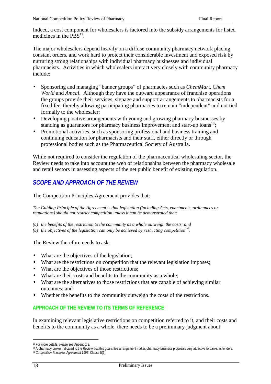Indeed, a cost component for wholesalers is factored into the subsidy arrangements for listed medicines in the  $PBS^{12}$ .

The major wholesalers depend heavily on a diffuse community pharmacy network placing constant orders, and work hard to protect their considerable investment and exposed risk by nurturing strong relationships with individual pharmacy businesses and individual pharmacists. Activities in which wholesalers interact very closely with community pharmacy include:

- Sponsoring and managing "banner groups" of pharmacies such as *ChemMart*, *Chem World* and *Amcal*. Although they have the outward appearance of franchise operations the groups provide their services, signage and support arrangements to pharmacists for a fixed fee, thereby allowing participating pharmacies to remain "independent" and not tied formally to the wholesaler;
- Developing positive arrangements with young and growing pharmacy businesses by standing as guarantors for pharmacy business improvement and start-up loans<sup>13</sup>;
- Promotional activities, such as sponsoring professional and business training and continuing education for pharmacists and their staff, either directly or through professional bodies such as the Pharmaceutical Society of Australia.

While not required to consider the regulation of the pharmaceutical wholesaling sector, the Review needs to take into account the web of relationships between the pharmacy wholesale and retail sectors in assessing aspects of the net public benefit of existing regulation.

# *SCOPE AND APPROACH OF THE REVIEW*

The Competition Principles Agreement provides that:

*The Guiding Principle of the Agreement is that legislation (including Acts, enactments, ordinances or regulations) should not restrict competition unless it can be demonstrated that:*

- *(a) the benefits of the restriction to the community as a whole outweigh the costs; and*
- *(b)* the objectives of the legislation can only be achieved by restricting competition<sup>14</sup>.

The Review therefore needs to ask:

- What are the objectives of the legislation;
- What are the restrictions on competition that the relevant legislation imposes;
- What are the objectives of those restrictions;
- What are their costs and benefits to the community as a whole;
- What are the alternatives to those restrictions that are capable of achieving similar outcomes; and
- Whether the benefits to the community outweigh the costs of the restrictions.

# **APPROACH OF THE REVIEW TO ITS TERMS OF REFERENCE**

In examining relevant legislative restrictions on competition referred to it, and their costs and benefits to the community as a whole, there needs to be a preliminary judgment about

 $\overline{a}$ 12 For more details, please see Appendix 3.

<sup>13</sup> A pharmacy broker indicated to the Review that this guarantee arrangement makes pharmacy business proposals very attractive to banks as lenders.

<sup>14</sup> *Competition Principles Agreement 1995*, Clause 5(1).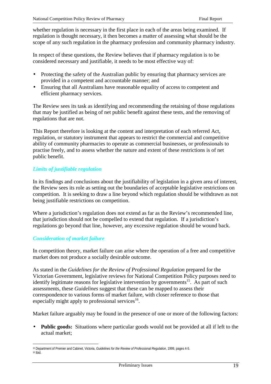whether regulation is necessary in the first place in each of the areas being examined. If regulation is thought necessary, it then becomes a matter of assessing what should be the scope of any such regulation in the pharmacy profession and community pharmacy industry.

In respect of these questions, the Review believes that if pharmacy regulation is to be considered necessary and justifiable, it needs to be most effective way of:

- Protecting the safety of the Australian public by ensuring that pharmacy services are provided in a competent and accountable manner; and
- Ensuring that all Australians have reasonable equality of access to competent and efficient pharmacy services.

The Review sees its task as identifying and recommending the retaining of those regulations that may be justified as being of net public benefit against these tests, and the removing of regulations that are not.

This Report therefore is looking at the content and interpretation of each referred Act, regulation, or statutory instrument that appears to restrict the commercial and competitive ability of community pharmacies to operate as commercial businesses, or professionals to practise freely, and to assess whether the nature and extent of these restrictions is of net public benefit.

# *Limits of justifiable regulation*

In its findings and conclusions about the justifiability of legislation in a given area of interest, the Review sees its role as setting out the boundaries of acceptable legislative restrictions on competition. It is seeking to draw a line beyond which regulation should be withdrawn as not being justifiable restrictions on competition.

Where a jurisdiction's regulation does not extend as far as the Review's recommended line. that jurisdiction should not be compelled to extend that regulation. If a jurisdiction's regulations go beyond that line, however, any excessive regulation should be wound back.

# *Consideration of market failure*

In competition theory, market failure can arise where the operation of a free and competitive market does not produce a socially desirable outcome.

As stated in the *Guidelines for the Review of Professional Regulation* prepared for the Victorian Government, legislative reviews for National Competition Policy purposes need to identify legitimate reasons for legislative intervention by governments<sup>15</sup>. As part of such assessments, these *Guidelines* suggest that these can be mapped to assess their correspondence to various forms of market failure, with closer reference to those that especially might apply to professional services<sup>16</sup>.

Market failure arguably may be found in the presence of one or more of the following factors:

**Public goods:** Situations where particular goods would not be provided at all if left to the actual market;

 $\overline{a}$ 15 Department of Premier and Cabinet, Victoria, *Guidelines for the Review of Professional Regulation*, 1999, pages 4-5. 16 Ibid.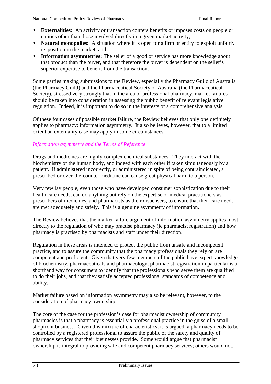- **Externalities:** An activity or transaction confers benefits or imposes costs on people or entities other than those involved directly in a given market activity;
- **Natural monopolies:** A situation where it is open for a firm or entity to exploit unfairly its position in the market; and
- **Information asymmetries:** The seller of a good or service has more knowledge about that product than the buyer, and that therefore the buyer is dependent on the seller's superior expertise to benefit from the transaction.

Some parties making submissions to the Review, especially the Pharmacy Guild of Australia (the Pharmacy Guild) and the Pharmaceutical Society of Australia (the Pharmaceutical Society), stressed very strongly that in the area of professional pharmacy, market failures should be taken into consideration in assessing the public benefit of relevant legislative regulation. Indeed, it is important to do so in the interests of a comprehensive analysis.

Of these four cases of possible market failure, the Review believes that only one definitely applies to pharmacy: information asymmetry. It also believes, however, that to a limited extent an externality case may apply in some circumstances.

# *Information asymmetry and the Terms of Reference*

Drugs and medicines are highly complex chemical substances. They interact with the biochemistry of the human body, and indeed with each other if taken simultaneously by a patient. If administered incorrectly, or administered in spite of being contraindicated, a prescribed or over-the-counter medicine can cause great physical harm to a person.

Very few lay people, even those who have developed consumer sophistication due to their health care needs, can do anything but rely on the expertise of medical practitioners as prescribers of medicines, and pharmacists as their dispensers, to ensure that their care needs are met adequately and safely. This is a genuine asymmetry of information.

The Review believes that the market failure argument of information asymmetry applies most directly to the regulation of who may practise pharmacy (ie pharmacist registration) and how pharmacy is practised by pharmacists and staff under their direction.

Regulation in these areas is intended to protect the public from unsafe and incompetent practice, and to assure the community that the pharmacy professionals they rely on are competent and proficient. Given that very few members of the public have expert knowledge of biochemistry, pharmaceuticals and pharmacology, pharmacist registration in particular is a shorthand way for consumers to identify that the professionals who serve them are qualified to do their jobs, and that they satisfy accepted professional standards of competence and ability.

Market failure based on information asymmetry may also be relevant, however, to the consideration of pharmacy ownership.

The core of the case for the profession's case for pharmacist ownership of community pharmacies is that a pharmacy is essentially a professional practice in the guise of a small shopfront business. Given this mixture of characteristics, it is argued, a pharmacy needs to be controlled by a registered professional to assure the public of the safety and quality of pharmacy services that their businesses provide. Some would argue that pharmacist ownership is integral to providing safe and competent pharmacy services; others would not.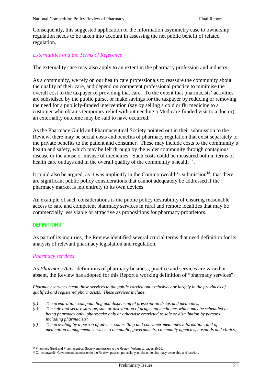Consequently, this suggested application of the information asymmetry case to ownership regulation needs to be taken into account in assessing the net public benefit of related regulation.

### *Externalities and the Terms of Reference*

The externality case may also apply to an extent in the pharmacy profession and industry.

As a community, we rely on our health care professionals to reassure the community about the quality of their care, and depend on competent professional practice to minimise the overall cost to the taxpayer of providing that care. To the extent that pharmacists' activities are subsidised by the public purse, or make savings for the taxpayer by reducing or removing the need for a publicly-funded intervention (say by selling a cold or flu medicine to a customer who obtains temporary relief without needing a Medicare-funded visit to a doctor), an externality outcome may be said to have occurred.

As the Pharmacy Guild and Pharmaceutical Society pointed out in their submission to the Review, there may be social costs and benefits of pharmacy regulation that exist separately to the private benefits to the patient and consumer. These may include costs to the community's health and safety, which may be felt through by the wider community through contagious disease or the abuse or misuse of medicines. Such costs could be measured both in terms of health care outlays and in the overall quality of the community's health  $17$ .

It could also be argued, as it was implicitly in the Commonwealth's submission $18$ , that there are significant public policy considerations that cannot adequately be addressed if the pharmacy market is left entirely to its own devices.

An example of such considerations is the public policy desirability of ensuring reasonable access to safe and competent pharmacy services in rural and remote localities that may be commercially less viable or attractive as propositions for pharmacy proprietors.

#### **DEFINITIONS**

 $\overline{a}$ 

As part of its inquiries, the Review identified several crucial terms that need definition for its analysis of relevant pharmacy legislation and regulation.

#### *Pharmacy services*

As *Pharmacy Acts'* definitions of pharmacy business, practice and services are varied or absent, the Review has adopted for this Report a working definition of "pharmacy services":

*Pharmacy services mean those services to the public carried out exclusively or largely in the provinces of qualified and registered pharmacists. These services include:*

- *(a) The preparation, compounding and dispensing of prescription drugs and medicines;*
- *(b) The safe and secure storage, sale or distribution of drugs and medicines which may be scheduled as being pharmacy only, pharmacist only or otherwise restricted to sale or distribution by persons including pharmacists;*
- *(c) The providing by a person of advice, counselling and consumer medicines information, and of medication management services to the public, governments, community agencies, hospitals and clinics,*

<sup>17</sup> Pharmacy Guild and Pharmaceutical Society submission to the Review, Volume 1, pages 25-26.

<sup>18</sup> Commonwealth Government submission to the Review, passim, particularly in relation to pharmacy ownership and location.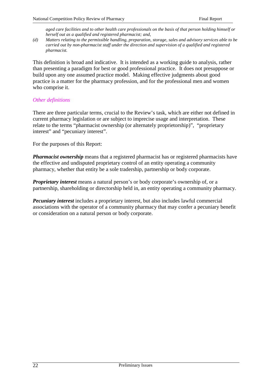*aged care facilities and to other health care professionals on the basis of that person holding himself or herself out as a qualified and registered pharmacist; and,*

*(d) Matters relating to the permissible handling, preparation, storage, sales and advisory services able to be carried out by non-pharmacist staff under the direction and supervision of a qualified and registered pharmacist.*

This definition is broad and indicative. It is intended as a working guide to analysis, rather than presenting a paradigm for best or good professional practice. It does not presuppose or build upon any one assumed practice model. Making effective judgments about good practice is a matter for the pharmacy profession, and for the professional men and women who comprise it.

### *Other definitions*

There are three particular terms, crucial to the Review's task, which are either not defined in current pharmacy legislation or are subject to imprecise usage and interpretation. These relate to the terms "pharmacist ownership (or alternately proprietorship)", "proprietary interest" and "pecuniary interest".

For the purposes of this Report:

*Pharmacist ownership* means that a registered pharmacist has or registered pharmacists have the effective and undisputed proprietary control of an entity operating a community pharmacy, whether that entity be a sole tradership, partnership or body corporate.

*Proprietary interest* means a natural person's or body corporate's ownership of, or a partnership, shareholding or directorship held in, an entity operating a community pharmacy.

*Pecuniary interest* includes a proprietary interest, but also includes lawful commercial associations with the operator of a community pharmacy that may confer a pecuniary benefit or consideration on a natural person or body corporate.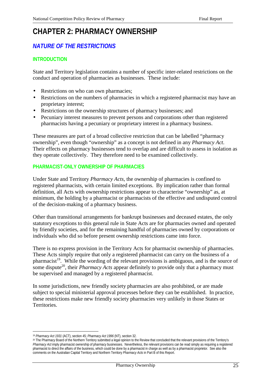# **CHAPTER 2: PHARMACY OWNERSHIP**

# *NATURE OF THE RESTRICTIONS*

# **INTRODUCTION**

State and Territory legislation contains a number of specific inter-related restrictions on the conduct and operation of pharmacies as businesses. These include:

- Restrictions on who can own pharmacies;
- Restrictions on the numbers of pharmacies in which a registered pharmacist may have an proprietary interest;
- Restrictions on the ownership structures of pharmacy businesses; and
- Pecuniary interest measures to prevent persons and corporations other than registered pharmacists having a pecuniary or proprietary interest in a pharmacy business.

These measures are part of a broad collective restriction that can be labelled "pharmacy ownership", even though "ownership" as a concept is not defined in any *Pharmacy Act*. Their effects on pharmacy businesses tend to overlap and are difficult to assess in isolation as they operate collectively. They therefore need to be examined collectively.

### **PHARMACIST-ONLY OWNERSHIP OF PHARMACIES**

Under State and Territory *Pharmacy Acts*, the ownership of pharmacies is confined to registered pharmacists, with certain limited exceptions. By implication rather than formal definition, all Acts with ownership restrictions appear to characterise "ownership" as, at minimum, the holding by a pharmacist or pharmacists of the effective and undisputed control of the decision-making of a pharmacy business.

Other than transitional arrangements for bankrupt businesses and deceased estates, the only statutory exceptions to this general rule in State Acts are for pharmacies owned and operated by friendly societies, and for the remaining handful of pharmacies owned by corporations or individuals who did so before present ownership restrictions came into force.

There is no express provision in the Territory Acts for pharmacist ownership of pharmacies. These Acts simply require that only a registered pharmacist can carry on the business of a pharmacist<sup>19</sup>. While the wording of the relevant provisions is ambiguous, and is the source of some dispute<sup>20</sup>, their *Pharmacy Acts* appear definitely to provide only that a pharmacy must be supervised and managed by a registered pharmacist.

In some jurisdictions, new friendly society pharmacies are also prohibited, or are made subject to special ministerial approval processes before they can be established. In practice, these restrictions make new friendly society pharmacies very unlikely in those States or **Territories** 

 $\overline{a}$ <sup>19</sup> *Pharmacy Act 1931* (ACT), section 45; *Pharmacy Act 1996* (NT), section 32.

<sup>20</sup> The Pharmacy Board of the Northern Territory submitted a legal opinion to the Review that concluded that the relevant provisions of the Territory's *Pharmacy Act* imply pharmacist ownership of pharmacy businesses. Nevertheless, the relevant provisions can be read simply as requiring a registered pharmacist to direct the affairs of the business, which could be done by a pharmacist in charge as well as by a pharmacist proprietor. See also the comments on the Australian Capital Territory and Northern Territory *Pharmacy Acts* in Part B of this Report.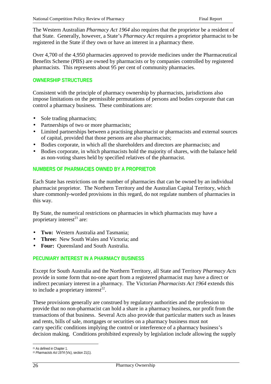The Western Australian *Pharmacy Act 1964* also requires that the proprietor be a resident of that State. Generally, however, a State's *Pharmacy Act* requires a proprietor pharmacist to be registered in the State if they own or have an interest in a pharmacy there.

Over 4,700 of the 4,950 pharmacies approved to provide medicines under the Pharmaceutical Benefits Scheme (PBS) are owned by pharmacists or by companies controlled by registered pharmacists. This represents about 95 per cent of community pharmacies.

# **OWNERSHIP STRUCTURES**

Consistent with the principle of pharmacy ownership by pharmacists, jurisdictions also impose limitations on the permissible permutations of persons and bodies corporate that can control a pharmacy business. These combinations are:

- Sole trading pharmacists;
- Partnerships of two or more pharmacists;
- Limited partnerships between a practising pharmacist or pharmacists and external sources of capital, provided that those persons are also pharmacists;
- Bodies corporate, in which all the shareholders and directors are pharmacists; and
- Bodies corporate, in which pharmacists hold the majority of shares, with the balance held as non-voting shares held by specified relatives of the pharmacist.

# **NUMBERS OF PHARMACIES OWNED BY A PROPRIETOR**

Each State has restrictions on the number of pharmacies that can be owned by an individual pharmacist proprietor. The Northern Territory and the Australian Capital Territory, which share commonly-worded provisions in this regard, do not regulate numbers of pharmacies in this way.

By State, the numerical restrictions on pharmacies in which pharmacists may have a proprietary interest $^{21}$  are:

- **Two:** Western Australia and Tasmania;
- **Three:** New South Wales and Victoria; and
- **Four:** Queensland and South Australia.

# **PECUNIARY INTEREST IN A PHARMACY BUSINESS**

Except for South Australia and the Northern Territory, all State and Territory *Pharmacy Acts* provide in some form that no-one apart from a registered pharmacist may have a direct or indirect pecuniary interest in a pharmacy. The Victorian *Pharmacists Act 1964* extends this to include a proprietary interest $^{\bar{2}2}$ .

These provisions generally are construed by regulatory authorities and the profession to provide that no non-pharmacist can hold a share in a pharmacy business, nor profit from the transactions of that business. Several Acts also provide that particular matters such as leases and rents, bills of sale, mortgages or securities on a pharmacy business must not carry specific conditions implying the control or interference of a pharmacy business's decision making. Conditions prohibited expressly by legislation include allowing the supply

 $\overline{a}$ 21 As defined in Chapter 1.

<sup>22</sup> *Pharmacists Act 1974* (Vic), section 21(1).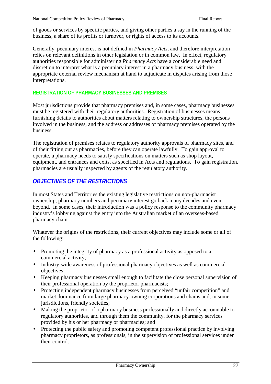of goods or services by specific parties, and giving other parties a say in the running of the business, a share of its profits or turnover, or rights of access to its accounts.

Generally, pecuniary interest is not defined in *Pharmacy Acts*, and therefore interpretation relies on relevant definitions in other legislation or in common law. In effect, regulatory authorities responsible for administering *Pharmacy Acts* have a considerable need and discretion to interpret what is a pecuniary interest in a pharmacy business, with the appropriate external review mechanism at hand to adjudicate in disputes arising from those interpretations.

# **REGISTRATION OF PHARMACY BUSINESSES AND PREMISES**

Most jurisdictions provide that pharmacy premises and, in some cases, pharmacy businesses must be registered with their regulatory authorities. Registration of businesses means furnishing details to authorities about matters relating to ownership structures, the persons involved in the business, and the address or addresses of pharmacy premises operated by the business.

The registration of premises relates to regulatory authority approvals of pharmacy sites, and of their fitting out as pharmacies, before they can operate lawfully. To gain approval to operate, a pharmacy needs to satisfy specifications on matters such as shop layout, equipment, and entrances and exits, as specified in Acts and regulations. To gain registration, pharmacies are usually inspected by agents of the regulatory authority.

# *OBJECTIVES OF THE RESTRICTIONS*

In most States and Territories the existing legislative restrictions on non-pharmacist ownership, pharmacy numbers and pecuniary interest go back many decades and even beyond. In some cases, their introduction was a policy response to the community pharmacy industry's lobbying against the entry into the Australian market of an overseas-based pharmacy chain.

Whatever the origins of the restrictions, their current objectives may include some or all of the following:

- Promoting the integrity of pharmacy as a professional activity as opposed to a commercial activity;
- Industry-wide awareness of professional pharmacy objectives as well as commercial objectives;
- Keeping pharmacy businesses small enough to facilitate the close personal supervision of their professional operation by the proprietor pharmacists;
- Protecting independent pharmacy businesses from perceived "unfair competition" and market dominance from large pharmacy-owning corporations and chains and, in some jurisdictions, friendly societies;
- Making the proprietor of a pharmacy business professionally and directly accountable to regulatory authorities, and through them the community, for the pharmacy services provided by his or her pharmacy or pharmacies; and
- Protecting the public safety and promoting competent professional practice by involving pharmacy proprietors, as professionals, in the supervision of professional services under their control.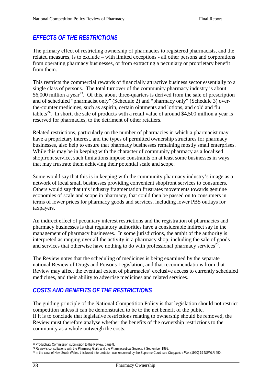# *EFFECTS OF THE RESTRICTIONS*

The primary effect of restricting ownership of pharmacies to registered pharmacists, and the related measures, is to exclude – with limited exceptions - all other persons and corporations from operating pharmacy businesses, or from extracting a pecuniary or proprietary benefit from them.

This restricts the commercial rewards of financially attractive business sector essentially to a single class of persons. The total turnover of the community pharmacy industry is about \$6,000 million a year<sup>23</sup>. Of this, about three-quarters is derived from the sale of prescription and of scheduled "pharmacist only" (Schedule 2) and "pharmacy only" (Schedule 3) overthe-counter medicines, such as aspirin, certain ointments and lotions, and cold and flu tablets<sup>24</sup>. In short, the sale of products with a retail value of around \$4,500 million a year is reserved for pharmacies, to the detriment of other retailers.

Related restrictions, particularly on the number of pharmacies in which a pharmacist may have a proprietary interest, and the types of permitted ownership structures for pharmacy businesses, also help to ensure that pharmacy businesses remaining mostly small enterprises. While this may be in keeping with the character of community pharmacy as a localised shopfront service, such limitations impose constraints on at least some businesses in ways that may frustrate them achieving their potential scale and scope.

Some would say that this is in keeping with the community pharmacy industry's image as a network of local small businesses providing convenient shopfront services to consumers. Others would say that this industry fragmentation frustrates movements towards genuine economies of scale and scope in pharmacy, that could then be passed on to consumers in terms of lower prices for pharmacy goods and services, including lower PBS outlays for taxpayers.

An indirect effect of pecuniary interest restrictions and the registration of pharmacies and pharmacy businesses is that regulatory authorities have a considerable indirect say in the management of pharmacy businesses. In some jurisdictions, the ambit of the authority is interpreted as ranging over all the activity in a pharmacy shop, including the sale of goods and services that otherwise have nothing to do with professional pharmacy services<sup>25</sup>.

The Review notes that the scheduling of medicines is being examined by the separate national Review of Drugs and Poisons Legislation, and that recommendations from that Review may affect the eventual extent of pharmacies' exclusive access to currently scheduled medicines, and their ability to advertise medicines and related services.

# *COSTS AND BENEFITS OF THE RESTRICTIONS*

The guiding principle of the National Competition Policy is that legislation should not restrict competition unless it can be demonstrated to be to the net benefit of the pubic. If it is to conclude that legislative restrictions relating to ownership should be removed, the Review must therefore analyse whether the benefits of the ownership restrictions to the community as a whole outweigh the costs.

 $\overline{a}$ 

<sup>&</sup>lt;sup>23</sup> Productivity Commission submission to the Review, page 8.

<sup>&</sup>lt;sup>24</sup> Review's consultations with the Pharmacy Guild and the Pharmaceutical Society, 7 September 1999.

<sup>25</sup> In the case of New South Wales, this broad interpretation was endorsed by the Supreme Court: see *Chappuis v Filo*, (1990) 19 NSWLR 490.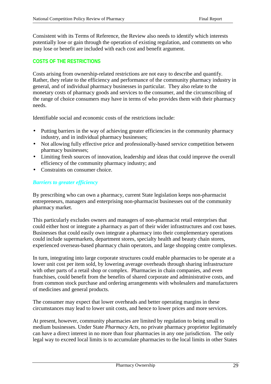Consistent with its Terms of Reference, the Review also needs to identify which interests potentially lose or gain through the operation of existing regulation, and comments on who may lose or benefit are included with each cost and benefit argument.

# **COSTS OF THE RESTRICTIONS**

Costs arising from ownership-related restrictions are not easy to describe and quantify. Rather, they relate to the efficiency and performance of the community pharmacy industry in general, and of individual pharmacy businesses in particular. They also relate to the monetary costs of pharmacy goods and services to the consumer, and the circumscribing of the range of choice consumers may have in terms of who provides them with their pharmacy needs.

Identifiable social and economic costs of the restrictions include:

- Putting barriers in the way of achieving greater efficiencies in the community pharmacy industry, and in individual pharmacy businesses;
- Not allowing fully effective price and professionally-based service competition between pharmacy businesses;
- Limiting fresh sources of innovation, leadership and ideas that could improve the overall efficiency of the community pharmacy industry; and
- Constraints on consumer choice.

# *Barriers to greater efficiency*

By prescribing who can own a pharmacy, current State legislation keeps non-pharmacist entrepreneurs, managers and enterprising non-pharmacist businesses out of the community pharmacy market.

This particularly excludes owners and managers of non-pharmacist retail enterprises that could either host or integrate a pharmacy as part of their wider infrastructures and cost bases. Businesses that could easily own integrate a pharmacy into their complementary operations could include supermarkets, department stores, specialty health and beauty chain stores, experienced overseas-based pharmacy chain operators, and large shopping centre complexes.

In turn, integrating into large corporate structures could enable pharmacies to be operate at a lower unit cost per item sold, by lowering average overheads through sharing infrastructure with other parts of a retail shop or complex. Pharmacies in chain companies, and even franchises, could benefit from the benefits of shared corporate and administrative costs, and from common stock purchase and ordering arrangements with wholesalers and manufacturers of medicines and general products.

The consumer may expect that lower overheads and better operating margins in these circumstances may lead to lower unit costs, and hence to lower prices and more services.

At present, however, community pharmacies are limited by regulation to being small to medium businesses. Under State *Pharmacy Acts*, no private pharmacy proprietor legitimately can have a direct interest in no more than four pharmacies in any one jurisdiction. The only legal way to exceed local limits is to accumulate pharmacies to the local limits in other States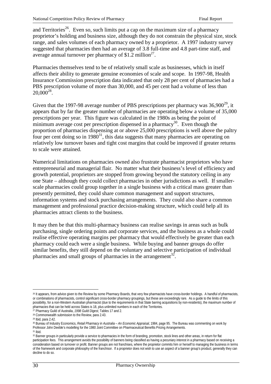and Territories<sup>26</sup>. Even so, such limits put a cap on the maximum size of a pharmacy proprietor's holding and business size, although they do not constrain the physical size, stock range, and sales volumes of each pharmacy owned by a proprietor. A 1997 industry survey suggested that pharmacies then had an average of 3.8 full-time and 4.8 part-time staff, and average annual turnover per pharmacy of \$1.2 million<sup>27</sup>.

Pharmacies themselves tend to be of relatively small scale as businesses, which in itself affects their ability to generate genuine economies of scale and scope. In 1997-98, Health Insurance Commission prescription data indicated that only 28 per cent of pharmacies had a PBS prescription volume of more than 30,000, and 45 per cent had a volume of less than  $20,000^{28}$ .

Given that the 1997-98 average number of PBS prescriptions per pharmacy was  $36,900^{29}$ , it appears that by far the greater number of pharmacies are operating below a volume of 35,000 prescriptions per year. This figure was calculated in the 1980s as being the point of minimum average cost per prescription dispensed in a pharmacy<sup>30</sup>. Even though the proportion of pharmacies dispensing at or above 25,000 prescriptions is well above the paltry four per cent doing so in  $1980<sup>31</sup>$ , this data suggests that many pharmacies are operating on relatively low turnover bases and tight cost margins that could be improved if greater returns to scale were attained.

Numerical limitations on pharmacies owned also frustrate pharmacist proprietors who have entrepreneurial and managerial flair. No matter what their business's level of efficiency and growth potential, proprietors are stopped from growing beyond the statutory ceiling in any one State – although they could collect pharmacies in other jurisdictions as well. If smallerscale pharmacies could group together in a single business with a critical mass greater than presently permitted, they could share common management and support structures, information systems and stock purchasing arrangements. They could also share a common management and professional practice decision-making structure, which could help all its pharmacies attract clients to the business.

It may then be that this multi-pharmacy business can realise savings in areas such as bulk purchasing, single ordering points and corporate services, and the business as a whole could realise effective operating margins per pharmacy that would effectively be greater than each pharmacy could each were a single business. While buying and banner groups do offer similar benefits, they still depend on the voluntary and selective participation of individual pharmacies and small groups of pharmacies in the arrangement<sup>32</sup>.

 $\overline{a}$ 26 It appears, from advice given to the Review by some Pharmacy Boards, that very few pharmacists have cross-border holdings. A handful of pharmacists, or combinations of pharmacists, control significant cross-border pharmacy groupings, but these are exceedingly rare. As a guide to the limits of this possibility, for a non-Western Australian pharmacist (due to the requirements in that State barring acquisitions by non-residents), the maximum number of pharmacies that can be held across States is 18, plus unlimited numbers in each of the Territories.

<sup>27</sup> Pharmacy Guild of Australia, *1998 Guild Digest*, Tables 17 and 2.

<sup>28</sup> Commonwealth submission to the Review, para 2.43.

<sup>29</sup> Ibid, para 2.42.

<sup>30</sup> Bureau of Industry Economics, *Retail Pharmacy in Australia – An Economic Appraisal*, 1984, page 95. The Bureau was commenting on work by Professor John Deeble's modelling for the 1980 Joint Committee on Pharmaceutical Benefits Pricing Arrangements.

<sup>31</sup> Ibid.

<sup>32</sup> Banner groups in particularly provide a service to pharmacies in the form of branding, promotion, stock lines and other areas, in return for flat participation fees. This arrangement avoids the possibility of banners being classified as having a pecuniary interest in a pharmacy based on receiving a consideration based on turnover or profit. Banner groups are not franchises, where the proprietor commits him or herself to managing the business in terms of the framework and corporate philosophy of the franchisor. If a proprietor does not wish to use an aspect of a banner group's product, generally they can decline to do so.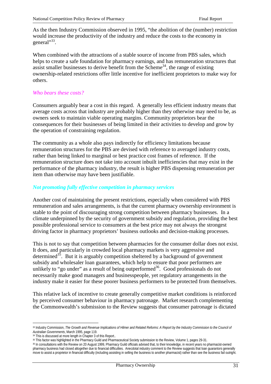As the then Industry Commission observed in 1995, "the abolition of the (number) restriction would increase the productivity of the industry and reduce the costs to the economy in general"<sup>33</sup>.

When combined with the attractions of a stable source of income from PBS sales, which helps to create a safe foundation for pharmacy earnings, and has remuneration structures that assist smaller businesses to derive benefit from the Scheme<sup>34</sup>, the range of existing ownership-related restrictions offer little incentive for inefficient proprietors to make way for others.

# *Who bears these costs?*

Consumers arguably bear a cost in this regard. A generally less efficient industry means that average costs across that industry are probably higher than they otherwise may need to be, as owners seek to maintain viable operating margins. Community proprietors bear the consequences for their businesses of being limited in their activities to develop and grow by the operation of constraining regulation.

The community as a whole also pays indirectly for efficiency limitations because remuneration structures for the PBS are devised with reference to averaged industry costs, rather than being linked to marginal or best practice cost frames of reference. If the remuneration structure does not take into account inbuilt inefficiencies that may exist in the performance of the pharmacy industry, the result is higher PBS dispensing remuneration per item than otherwise may have been justifiable.

#### *Not promoting fully effective competition in pharmacy services*

Another cost of maintaining the present restrictions, especially when considered with PBS remuneration and sales arrangements, is that the current pharmacy ownership environment is stable to the point of discouraging strong competition between pharmacy businesses. In a climate underpinned by the security of government subsidy and regulation, providing the best possible professional service to consumers at the best price may not always the strongest driving factor in pharmacy proprietors' business outlooks and decision-making processes.

This is not to say that competition between pharmacies for the consumer dollar does not exist. It does, and particularly in crowded local pharmacy markets is very aggressive and determined<sup>35</sup>. But it is arguably competition sheltered by a background of government subsidy and wholesaler loan guarantees, which help to ensure that poor performers are unlikely to "go under" as a result of being outperformed $36$ . Good professionals do not necessarily make good managers and businesspeople, yet regulatory arrangements in the industry make it easier for these poorer business performers to be protected from themselves.

This relative lack of incentive to create generally competitive market conditions is reinforced by perceived consumer behaviour in pharmacy patronage. Market research complementing the Commonwealth's submission to the Review suggests that consumer patronage is dictated

 $\overline{a}$ 

<sup>&</sup>lt;sup>33</sup> Industry Commission, *The Growth and Revenue Implications of Hilmer and Related Reforms: A Report by the Industry Commission to the Council of Australian Governments*, March 1995, page 119.

<sup>34</sup> This is discussed at more length in Chapter 3 of this Report..

<sup>35</sup> This factor was highlighted in the Pharmacy Guild and Pharmaceutical Society submission to the Review, Volume 1, pages 29-31.

<sup>36</sup> In consultations with the Review on 20 August 1999, Pharmacy Guild officials advised that, to their knowledge, in recent years no pharmacist-owned pharmacy business had closed altogether due to financial difficulties. Anecdotal industry comment to the Review suggests that loan guarantors generally move to assist a proprietor in financial difficulty (including assisting in selling the business to another pharmacist) rather than see the business fail outright.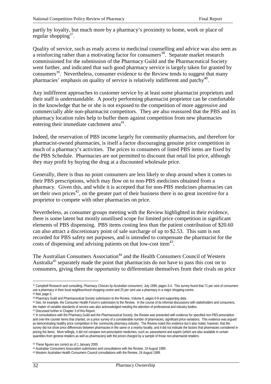partly by loyalty, but much more by a pharmacy's proximity to home, work or place of regular shopping<sup>37</sup>.

Quality of service, such as ready access to medicinal counselling and advice was also seen as a reinforcing rather than a motivating factor for consumers<sup>38</sup>. Separate market research commissioned for the submission of the Pharmacy Guild and the Pharmaceutical Society went further, and indicated that such good pharmacy service is largely taken for granted by consumers<sup>39</sup>. Nevertheless, consumer evidence to the Review tends to suggest that many pharmacies' emphasis on quality of service is relatively indifferent and patchy<sup>40</sup>.

Any indifferent approaches to customer service by at least some pharmacist proprietors and their staff is understandable. A poorly performing pharmacist proprietor can be comfortable in the knowledge that he or she is not exposed to the competition of more aggressive and commercially able non-pharmacist competitors. They are also reassured that the PBS and its pharmacy location rules help to buffer them against competition from new pharmacies entering their immediate catchment area $4<sup>1</sup>$ .

Indeed, the reservation of PBS income largely for community pharmacists, and therefore for pharmacist-owned pharmacies, is itself a factor discouraging genuine price competition in much of a pharmacy's activities. The prices to consumers of listed PBS items are fixed by the PBS Schedule. Pharmacies are not permitted to discount that retail list price, although they may profit by buying the drug at a discounted wholesale price.

Generally, there is thus no point consumers are less likely to shop around when it comes to their PBS prescriptions, which may flow on to non-PBS medicines obtained from a pharmacy. Given this, and while it is accepted that for non-PBS medicines pharmacies can set their own prices<sup>42</sup>, on the greater part of their business there is no great incentive for a proprietor to compete with other pharmacies on price.

Nevertheless, as consumer groups meeting with the Review highlighted in their evidence, there is some latent but mostly unutilised scope for limited price competition in significant elements of PBS dispensing. PBS items costing less than the patient contribution of \$20.60 can also attract a discretionary point of sale surcharge of up to \$2.53. This sum is not recorded for PBS safety net purposes, and is intended to compensate the pharmacist for the costs of dispensing and advising patients on that low-cost item<sup>43</sup>.

The Australian Consumers Association<sup>44</sup> and the Health Consumers Council of Western Australia<sup>45</sup> separately made the point that pharmacists do not have to pass this cost on to consumers, giving them the opportunity to differentiate themselves from their rivals on price

 $\overline{a}$ 

<sup>37</sup> Campbell Research and consulting, *Pharmacy Choices by Australian consumers,* July 1999, pages 3-4. This survey found that 71 per cent of consumers use a pharmacy in their local neighbourhood shopping centre and 25 per cent use a pharmacy in a major shopping centre.

<sup>38</sup> Ibid, page 5.

<sup>39</sup> Pharmacy Guild and Pharmaceutical Society submission to the Review, Volume 6, pages 6-8 and supporting data.

<sup>40</sup> See, for example, the Consumer Health Forum's submission to the Review. In the course of its informal discussions with stakeholders and consumers, the matter of variable standards of service was also acknowledged needing the attention of professional and industry bodies.

<sup>41</sup> Discussed further in Chapter 3 of this Report.

<sup>42</sup> In consultations with the Pharmacy Guild and the Pharmaceutical Society, the Review was presented with evidence for specified non-PBS prescription and over-the counter items that charted, on a price survey of a considerable number of pharmacies, significant price variations. This evidence was argued as demonstrating healthy price competition in the community pharmacy industry. The Review noted this evidence but it also noted, however, that the survey did not show price differences between pharmacies in the same or a nearby locality, and it did not indicate the factors that pharmacies considered in pricing the items. More tellingly, it did not compare non-prescription medicines, such as paracetamol and aspirin (which are also available in certain quantities from general retailers as well as pharmacies) with the prices charged by a sample of those non-pharmacist retailers.

<sup>43</sup> These figures are correct as of 1 January 2000.

<sup>44</sup> Australian Consumers Association submission and consultations with the Review, 19 August 1999.

<sup>45</sup> Western Australian Health Consumers Council consultations with the Review, 24 August 1999.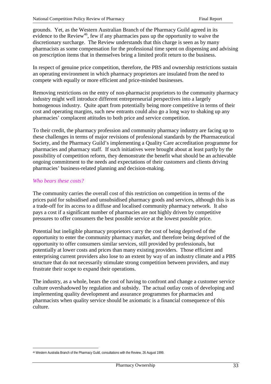grounds. Yet, as the Western Australian Branch of the Pharmacy Guild agreed in its evidence to the Review<sup>46</sup>, few if any pharmacies pass up the opportunity to waive the discretionary surcharge. The Review understands that this charge is seen as by many pharmacists as some compensation for the professional time spent on dispensing and advising on prescription items that in themselves bring a limited profit return to the business.

In respect of genuine price competition, therefore, the PBS and ownership restrictions sustain an operating environment in which pharmacy proprietors are insulated from the need to compete with equally or more efficient and price-minded businesses.

Removing restrictions on the entry of non-pharmacist proprietors to the community pharmacy industry might well introduce different entrepreneurial perspectives into a largely homogenous industry. Quite apart from potentially being more competitive in terms of their cost and operating margins, such new entrants could also go a long way to shaking up any pharmacies' complacent attitudes to both price and service competition.

To their credit, the pharmacy profession and community pharmacy industry are facing up to these challenges in terms of major revisions of professional standards by the Pharmaceutical Society, and the Pharmacy Guild's implementing a Quality Care accreditation programme for pharmacies and pharmacy staff. If such initiatives were brought about at least partly by the possibility of competition reform, they demonstrate the benefit what should be an achievable ongoing commitment to the needs and expectations of their customers and clients driving pharmacies' business-related planning and decision-making.

#### *Who bears these costs?*

 $\overline{a}$ 

The community carries the overall cost of this restriction on competition in terms of the prices paid for subsidised and unsubsidised pharmacy goods and services, although this is as a trade-off for its access to a diffuse and localised community pharmacy network. It also pays a cost if a significant number of pharmacies are not highly driven by competitive pressures to offer consumers the best possible service at the lowest possible price.

Potential but ineligible pharmacy proprietors carry the cost of being deprived of the opportunity to enter the community pharmacy market, and therefore being deprived of the opportunity to offer consumers similar services, still provided by professionals, but potentially at lower costs and prices than many existing providers. Those efficient and enterprising current providers also lose to an extent by way of an industry climate and a PBS structure that do not necessarily stimulate strong competition between providers, and may frustrate their scope to expand their operations.

The industry, as a whole, bears the cost of having to confront and change a customer service culture overshadowed by regulation and subsidy. The actual outlay costs of developing and implementing quality development and assurance programmes for pharmacies and pharmacists when quality service should be axiomatic is a financial consequence of this culture.

<sup>46</sup> Western Australia Branch of the Pharmacy Guild, consultations with the Review, 26 August 1999.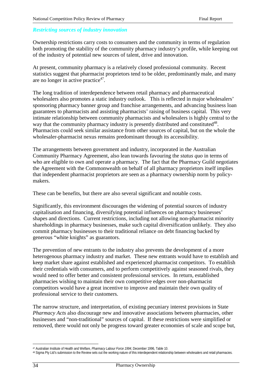### *Restricting sources of industry innovation*

Ownership restrictions carry costs to consumers and the community in terms of regulation both promoting the stability of the community pharmacy industry's profile, while keeping out of the industry of potential new sources of talent, drive and innovation.

At present, community pharmacy is a relatively closed professional community. Recent statistics suggest that pharmacist proprietors tend to be older, predominantly male, and many are no longer in active practice $47$ .

The long tradition of interdependence between retail pharmacy and pharmaceutical wholesalers also promotes a static industry outlook. This is reflected in major wholesalers' sponsoring pharmacy banner group and franchise arrangements, and advancing business loan guarantees to pharmacists and assisting pharmacists' raising of business capital. This very intimate relationship between community pharmacists and wholesalers is highly central to the way that the community pharmacy industry is presently distributed and constituted<sup>48</sup>. Pharmacists could seek similar assistance from other sources of capital, but on the whole the wholesaler-pharmacist nexus remains predominant through its accessibility.

The arrangements between government and industry, incorporated in the Australian Community Pharmacy Agreement, also lean towards favouring the *status quo* in terms of who are eligible to own and operate a pharmacy. The fact that the Pharmacy Guild negotiates the Agreement with the Commonwealth on behalf of all pharmacy proprietors itself implies that independent pharmacist proprietors are seen as a pharmacy ownership norm by policymakers.

These can be benefits, but there are also several significant and notable costs.

Significantly, this environment discourages the widening of potential sources of industry capitalisation and financing, diversifying potential influences on pharmacy businesses' shapes and directions. Current restrictions, including not allowing non-pharmacist minority shareholdings in pharmacy businesses, make such capital diversification unlikely. They also commit pharmacy businesses to their traditional reliance on debt financing backed by generous "white knights" as guarantors.

The prevention of new entrants to the industry also prevents the development of a more heterogenous pharmacy industry and market. These new entrants would have to establish and keep market share against established and experienced pharmacist competitors. To establish their credentials with consumers, and to perform competitively against seasoned rivals, they would need to offer better and consistent professional services. In return, established pharmacies wishing to maintain their own competitive edges over non-pharmacist competitors would have a great incentive to improve and maintain their own quality of professional service to their customers.

The narrow structure, and interpretation, of existing pecuniary interest provisions in State *Pharmacy Acts* also discourage new and innovative associations between pharmacies, other businesses and "non-traditional" sources of capital. If these restrictions were simplified or removed, there would not only be progress toward greater economies of scale and scope but,

 $\overline{a}$ 47 Australian Institute of Health and Welfare, *Pharmacy Labour Force 1994*, December 1996, Table 10.

<sup>48</sup> Sigma Pty Ltd's submission to the Review sets out the working nature of this interdependent relationship between wholesalers and retail pharmacies.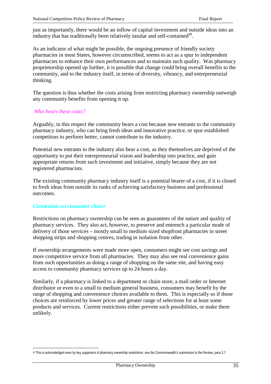just as importantly, there would be an inflow of capital investment and outside ideas into an industry that has traditionally been relatively insular and self-contained<sup>49</sup>.

As an indicator of what might be possible, the ongoing presence of friendly society pharmacies in most States, however circumscribed, seems to act as a spur to independent pharmacies to enhance their own performances and to maintain such quality. Was pharmacy proprietorship opened up further, it is possible that change could bring overall benefits to the community, and to the industry itself, in terms of diversity, vibrancy, and entrepreneurial thinking.

The question is thus whether the costs arising from restricting pharmacy ownership outweigh any community benefits from opening it up.

#### *Who bears these costs?*

Arguably, in this respect the community bears a cost because new entrants to the community pharmacy industry, who can bring fresh ideas and innovative practice, or spur established competitors to perform better, cannot contribute to the industry.

Potential new entrants to the industry also bear a cost, as they themselves are deprived of the opportunity to put their entrepreneurial vision and leadership into practice, and gain appropriate returns from such investment and initiative, simply because they are not registered pharmacists.

The existing community pharmacy industry itself is a potential bearer of a cost, if it is closed to fresh ideas from outside its ranks of achieving satisfactory business and professional outcomes.

#### *Constraints on consumer choice*

Restrictions on pharmacy ownership can be seen as guarantees of the nature and quality of pharmacy services. They also act, however, to preserve and entrench a particular mode of delivery of those services – mostly small to medium sized shopfront pharmacies in street shopping strips and shopping centres, trading in isolation from other.

If ownership arrangements were made more open, consumers might see cost savings and more competitive service from all pharmacies. They may also see real convenience gains from such opportunities as doing a range of shopping on the same site, and having easy access to community pharmacy services up to 24 hours a day.

Similarly, if a pharmacy is linked to a department or chain store, a mail order or Internet distributor or even to a small to medium general business, consumers may benefit by the range of shopping and convenience choices available to them. This is especially so if those choices are reinforced by lower prices and greater range of selections for at least some products and services. Current restrictions either prevent such possibilities, or make them unlikely.

 $\overline{a}$ 49 This is acknowledged even by key supporters of pharmacy ownership restrictions: see the Commonwealth's submission to the Review, para 3.7.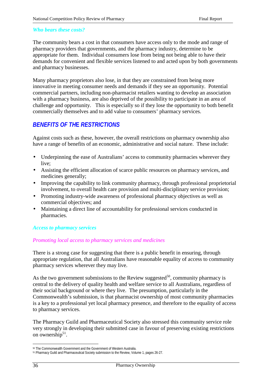#### *Who bears these costs?*

The community bears a cost in that consumers have access only to the mode and range of pharmacy providers that governments, and the pharmacy industry, determine to be appropriate for them. Individual consumers lose from being not being able to have their demands for convenient and flexible services listened to and acted upon by both governments and pharmacy businesses.

Many pharmacy proprietors also lose, in that they are constrained from being more innovative in meeting consumer needs and demands if they see an opportunity. Potential commercial partners, including non-pharmacist retailers wanting to develop an association with a pharmacy business, are also deprived of the possibility to participate in an area of challenge and opportunity. This is especially so if they lose the opportunity to both benefit commercially themselves and to add value to consumers' pharmacy services.

# *BENEFITS OF TH***E** *RESTRICTIONS*

Against costs such as these, however, the overall restrictions on pharmacy ownership also have a range of benefits of an economic, administrative and social nature. These include:

- Underpinning the ease of Australians' access to community pharmacies wherever they live;
- Assisting the efficient allocation of scarce public resources on pharmacy services, and medicines generally;
- Improving the capability to link community pharmacy, through professional proprietorial involvement, to overall health care provision and multi-disciplinary service provision;
- Promoting industry-wide awareness of professional pharmacy objectives as well as commercial objectives; and
- Maintaining a direct line of accountability for professional services conducted in pharmacies.

#### *Access to pharmacy services*

#### *Promoting local access to pharmacy services and medicines*

There is a strong case for suggesting that there is a public benefit in ensuring, through appropriate regulation, that all Australians have reasonable equality of access to community pharmacy services wherever they may live.

As the two government submissions to the Review suggested<sup>50</sup>, community pharmacy is central to the delivery of quality health and welfare service to all Australians, regardless of their social background or where they live. The presumption, particularly in the Commonwealth's submission, is that pharmacist ownership of most community pharmacies is a key to a professional yet local pharmacy presence, and therefore to the equality of access to pharmacy services.

The Pharmacy Guild and Pharmaceutical Society also stressed this community service role very strongly in developing their submitted case in favour of preserving existing restrictions on ownership<sup>51</sup>.

 $\overline{a}$ 50 The Commonwealth Government and the Government of Western Australia.

<sup>51</sup> Pharmacy Guild and Pharmaceutical Society submission to the Review, Volume 1, pages 26-27.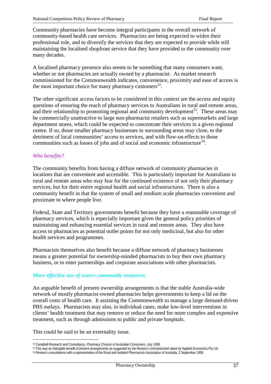Community pharmacies have become integral participants in the overall network of community-based health care services. Pharmacists are being expected to widen their professional role, and to diversify the services that they are expected to provide while still maintaining the localised shopfront service that they have provided to the community over many decades.

A localised pharmacy presence also seems to be something that many consumers want, whether or not pharmacies are actually owned by a pharmacist. As market research commissioned for the Commonwealth indicates, convenience, proximity and ease of access is the most important choice for many pharmacy customers<sup>52</sup>.

The other significant access factors to be considered in this context are the access and equity questions of ensuring the reach of pharmacy services to Australians in rural and remote areas, and their relationship to promoting regional and community development<sup>53</sup>. These areas may be commercially unattractive to large non-pharmacist retailers such as supermarkets and large department stores, which could be expected to concentrate their services in a given regional centre. If so, those smaller pharmacy businesses in surrounding areas may close, to the detriment of local communities' access to services, and with flow-on effects to those communities such as losses of jobs and of social and economic infrastructure<sup>54</sup>.

#### *Who benefits?*

The community benefits from having a diffuse network of community pharmacies in locations that are convenient and accessible. This is particularly important for Australians in rural and remote areas who may fear for the continued existence of not only their pharmacy services, but for their entire regional health and social infrastructures. There is also a community benefit in that the system of small and medium scale pharmacies convenient and proximate to where people live.

Federal, State and Territory governments benefit because they have a reasonable coverage of pharmacy services, which is especially important given the general policy priorities of maintaining and enhancing essential services in rural and remote areas. They also have access to pharmacies as potential outlet points for not only medicinal, but also for other health services and programmes.

Pharmacists themselves also benefit because a diffuse network of pharmacy businesses means a greater potential for ownership-minded pharmacists to buy their own pharmacy business, or to enter partnerships and corporate associations with other pharmacists.

#### *More effective use of scarce community resources*

An arguable benefit of present ownership arrangements is that the stable Australia-wide network of mostly pharmacist-owned pharmacies helps governments to keep a lid on the overall costs of health care. It assisting the Commonwealth to manage a large demand-driven PBS outlays. Pharmacists may also, in individual cases, make low-level interventions in clients' health treatment that may remove or reduce the need for more complex and expensive treatment, such as through admissions to public and private hospitals.

This could be said to be an externality issue.

53 This was an intangible benefit of present arrangements as suggested by the Review's commissioned report by Applied Economics Pty Ltd.

 $\overline{a}$ 52 Campbell Research and Consultancy, *Pharmacy Choices of Australian Consumers,* July 1999.

<sup>54</sup> Review's consultations with a representative of the Rural and Isolated Pharmacists Association of Australia, 2 September 1999.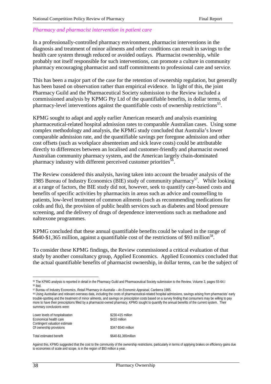#### *Pharmacy and pharmacist intervention in patient care*

In a professionally-controlled pharmacy environment, pharmacist interventions in the diagnosis and treatment of minor ailments and other conditions can result in savings to the health care system through reduced or avoided outlays. Pharmacist ownership, while probably not itself responsible for such interventions, can promote a culture in community pharmacy encouraging pharmacist and staff commitments to professional care and service.

This has been a major part of the case for the retention of ownership regulation, but generally has been based on observation rather than empirical evidence. In light of this, the joint Pharmacy Guild and the Pharmaceutical Society submission to the Review included a commissioned analysis by KPMG Pty Ltd of the quantifiable benefits, in dollar terms, of pharmacy-level interventions against the quantifiable costs of ownership restrictions<sup>55</sup>.

KPMG sought to adapt and apply earlier American research and analysis examining pharmaceutical-related hospital admission rates to comparable Australian cases. Using some complex methodology and analysis, the KPMG study concluded that Australia's lower comparable admission rate, and the quantifiable savings per foregone admission and other cost offsets (such as workplace absenteeism and sick leave costs) could be attributable directly to differences between an localised and customer-friendly and pharmacist owned Australian community pharmacy system, and the American largely chain-dominated pharmacy industry with different perceived customer priorities<sup>56</sup>.

The Review considered this analysis, having taken into account the broader analysis of the 1985 Bureau of Industry Economics (BIE) study of community pharmacy<sup>57</sup>. While looking at a range of factors, the BIE study did not, however, seek to quantify care-based costs and benefits of specific activities by pharmacists in areas such as advice and counselling to patients, low-level treatment of common ailments (such as recommending medications for colds and flu), the provision of public health services such as diabetes and blood pressure screening, and the delivery of drugs of dependence interventions such as methadone and naltrexone programmes.

KPMG concluded that these annual quantifiable benefits could be valued in the range of \$640-\$1,365 million, against a quantifiable cost of the restrictions of \$93 million<sup>58</sup>.

To consider these KPMG findings, the Review commissioned a critical evaluation of that study by another consultancy group, Applied Economics. Applied Economics concluded that the actual quantifiable benefits of pharmacist ownership, in dollar terms, can be the subject of

<sup>58</sup> Using Australian and relevant overseas data, including the costs of pharmaceutical-related hospital admissions, savings arising from pharmacists' early trouble-spotting and the treatment of minor ailments, and savings on prescription costs based on a survey finding that consumers may be willing to pay more to have their prescriptions filled by a pharmacist-owned pharmacy, KPMG sought to quantify the annual benefits of the current system. Their summary conclusions were:

| Lower levels of hospitalisation<br>Economical health care<br>Contingent valuation estimate<br>Of ownership provisions | \$230-415 million<br>\$410 million |
|-----------------------------------------------------------------------------------------------------------------------|------------------------------------|
|                                                                                                                       | \$347-\$540 million                |
| Total estimated benefit                                                                                               | \$640-\$1,365million               |

Against this, KPMG suggested that the cost to the community of the ownership restrictions, particularly in terms of applying brakes on efficiency gains due to economies of scale and scope, is in the region of \$93 million a year.

<sup>55</sup> The KPMG analysis is reported in detail in the Pharmacy Guild and Pharmaceutical Society submission to the Review, Volume 3, pages 55-64.I 56 Ibid.

<sup>57</sup> Bureau of Industry Economics, *Retail Pharmacy in Australia – An Economic Appraisal*, Canberra 1985.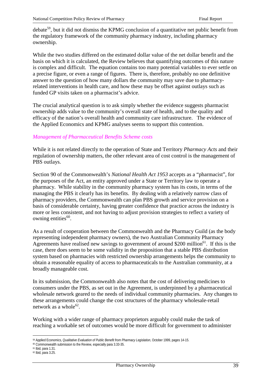debate<sup>59</sup>, but it did not dismiss the KPMG conclusion of a quantitative net public benefit from the regulatory framework of the community pharmacy industry, including pharmacy ownership.

While the two studies differed on the estimated dollar value of the net dollar benefit and the basis on which it is calculated, the Review believes that quantifying outcomes of this nature is complex and difficult. The equation contains too many potential variables to ever settle on a precise figure, or even a range of figures. There is, therefore, probably no one definitive answer to the question of how many dollars the community may save due to pharmacyrelated interventions in health care, and how these may be offset against outlays such as funded GP visits taken on a pharmacist's advice.

The crucial analytical question is to ask simply whether the evidence suggests pharmacist ownership adds value to the community's overall state of health, and to the quality and efficacy of the nation's overall health and community care infrastructure. The evidence of the Applied Economics and KPMG analyses seems to support this contention.

### *Management of Pharmaceutical Benefits Scheme costs*

While it is not related directly to the operation of State and Territory *Pharmacy Acts* and their regulation of ownership matters, the other relevant area of cost control is the management of PBS outlays.

Section 90 of the Commonwealth's *National Health Act 1953* accepts as a "pharmacist", for the purposes of the Act, an entity approved under a State or Territory law to operate a pharmacy. While stability in the community pharmacy system has its costs, in terms of the managing the PBS it clearly has its benefits. By dealing with a relatively narrow class of pharmacy providers, the Commonwealth can plan PBS growth and service provision on a basis of considerable certainty, having greater confidence that practice across the industry is more or less consistent, and not having to adjust provision strategies to reflect a variety of owning entities $60$ .

As a result of cooperation between the Commonwealth and the Pharmacy Guild (as the body representing independent pharmacy owners), the two Australian Community Pharmacy Agreements have realised new savings to government of around \$200 million $^{61}$ . If this is the case, there does seem to be some validity in the proposition that a stable PBS distribution system based on pharmacies with restricted ownership arrangements helps the community to obtain a reasonable equality of access to pharmaceuticals to the Australian community, at a broadly manageable cost.

In its submission, the Commonwealth also notes that the cost of delivering medicines to consumers under the PBS, as set out in the Agreement, is underpinned by a pharmaceutical wholesale network geared to the needs of individual community pharmacies. Any changes to these arrangements could change the cost structures of the pharmacy wholesale-retail network as a whole<sup>62</sup>.

Working with a wider range of pharmacy proprietors arguably could make the task of reaching a workable set of outcomes would be more difficult for government to administer

<sup>59</sup> Applied Economics, *Qualitative Evaluation of Public Benefit from Pharmacy Legislation*, October 1999, pages 14-15.

<sup>60</sup> Commonwealth submission to the Review, especially para 3.33-35.

<sup>61</sup> Ibid, para 1.31.

<sup>62</sup> Ibid, para 3.25.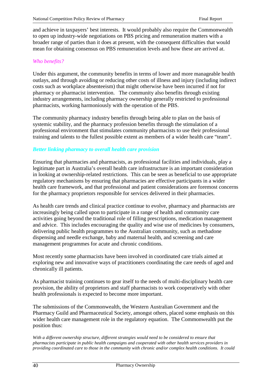and achieve in taxpayers' best interests. It would probably also require the Commonwealth to open up industry-wide negotiations on PBS pricing and remuneration matters with a broader range of parties than it does at present, with the consequent difficulties that would mean for obtaining consensus on PBS remuneration levels and how these are arrived at.

### *Who benefits?*

Under this argument, the community benefits in terms of lower and more manageable health outlays, and through avoiding or reducing other costs of illness and injury (including indirect costs such as workplace absenteeism) that might otherwise have been incurred if not for pharmacy or pharmacist intervention. The community also benefits through existing industry arrangements, including pharmacy ownership generally restricted to professional pharmacists, working harmoniously with the operation of the PBS.

The community pharmacy industry benefits through being able to plan on the basis of systemic stability, and the pharmacy profession benefits through the stimulation of a professional environment that stimulates community pharmacists to use their professional training and talents to the fullest possible extent as members of a wider health care "team".

### *Better linking pharmacy to overall health care provision*

Ensuring that pharmacies and pharmacists, as professional facilities and individuals, play a legitimate part in Australia's overall health care infrastructure is an important consideration in looking at ownership-related restrictions. This can be seen as beneficial to use appropriate regulatory mechanisms by ensuring that pharmacies are effective participants in a wider health care framework, and that professional and patient considerations are foremost concerns for the pharmacy proprietors responsible for services delivered in their pharmacies.

As health care trends and clinical practice continue to evolve, pharmacy and pharmacists are increasingly being called upon to participate in a range of health and community care activities going beyond the traditional role of filling prescriptions, medication management and advice. This includes encouraging the quality and wise use of medicines by consumers, delivering public health programmes to the Australian community, such as methadone dispensing and needle exchange, baby and maternal health, and screening and care management programmes for acute and chronic conditions.

Most recently some pharmacists have been involved in coordinated care trials aimed at exploring new and innovative ways of practitioners coordinating the care needs of aged and chronically ill patients.

As pharmacist training continues to gear itself to the needs of multi-disciplinary health care provision, the ability of proprietors and staff pharmacists to work cooperatively with other health professionals is expected to become more important.

The submissions of the Commonwealth, the Western Australian Government and the Pharmacy Guild and Pharmaceutical Society, amongst others, placed some emphasis on this wider health care management role in the regulatory equation. The Commonwealth put the position thus:

*With a different ownership structure, different strategies would need to be considered to ensure that pharmacists participate in public health campaigns and cooperated with other health services providers in providing coordinated care to those in the community with chronic and/or complex health conditions. It could*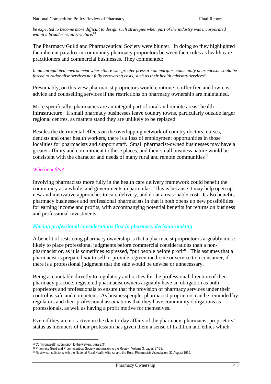*be expected to become more difficult to design such strategies when part of the industry was incorporated within a broader retail structure.*<sup>63</sup>

The Pharmacy Guild and Pharmaceutical Society were blunter. In doing so they highlighted the inherent paradox in community pharmacy proprietors between their roles as health care practitioners and commercial businesses. They commented:

*In an unregulated environment where there was greater pressure on margins, community pharmacists would be forced to rationalise services not fully recovering costs, such as their health advisory services*<sup>64</sup>.

Presumably, on this view pharmacist proprietors would continue to offer free and low-cost advice and counselling services if the restrictions on pharmacy ownership are maintained.

More specifically, pharmacies are an integral part of rural and remote areas' health infrastructure. If small pharmacy businesses leave country towns, particularly outside larger regional centres, as matters stand they are unlikely to be replaced.

Besides the detrimental effects on the overlapping network of country doctors, nurses, dentists and other health workers, there is a loss of employment opportunities in those localities for pharmacists and support staff. Small pharmacist-owned businesses may have a greater affinity and commitment to these places, and their small business nature would be consistent with the character and needs of many rural and remote communities<sup>65</sup>.

#### *Who benefits?*

Involving pharmacists more fully in the health care delivery framework could benefit the community as a whole, and governments in particular. This is because it may help open up new and innovative approaches to care delivery, and do at a reasonable cost. It also benefits pharmacy businesses and professional pharmacists in that it both opens up new possibilities for earning income and profits, with accompanying potential benefits for returns on business and professional investments.

#### *Placing professional considerations first in pharmacy decision-making*

A benefit of restricting pharmacy ownership is that a pharmacist proprietor is arguably more likely to place professional judgments before commercial considerations than a nonpharmacist or, as it is sometimes expressed, "put people before profit". This assumes that a pharmacist is prepared *not* to sell or provide a given medicine or service to a consumer, if there is a professional judgment that the sale would be unwise or unnecessary.

Being accountable directly to regulatory authorities for the professional direction of their pharmacy practice, registered pharmacist owners arguably have an obligation as both proprietors and professionals to ensure that the provision of pharmacy services under their control is safe and competent. As businesspeople, pharmacist proprietors can be reminded by regulators and their professional associations that they have community obligations as professionals, as well as having a profit motive for themselves.

Even if they are not active in the day-to-day affairs of the pharmacy, pharmacist proprietors' status as members of their profession has given them a sense of tradition and ethics which

 $\overline{a}$ <sup>63</sup> Commonwealth submission to the Review, para 3.34.

<sup>&</sup>lt;sup>64</sup> Pharmacy Guild and Pharmaceutical Society submission to the Review, Volume 3, pages 57-58.

<sup>65</sup> Review consultations with the National Rural Health Alliance and the Rural Pharmacists Association, 31 August 1999.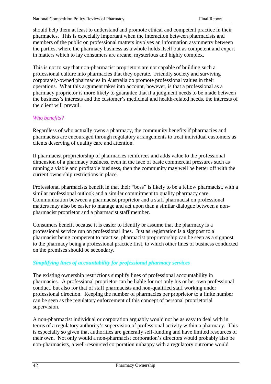should help them at least to understand and promote ethical and competent practice in their pharmacies. This is especially important when the interaction between pharmacists and members of the public on professional matters involves an information asymmetry between the parties, where the pharmacy business as a whole holds itself out as competent and expert in matters which to lay consumers are arcane, mysterious and highly complex.

This is not to say that non-pharmacist proprietors are not capable of building such a professional culture into pharmacies that they operate. Friendly society and surviving corporately-owned pharmacies in Australia do promote professional values in their operations. What this argument takes into account, however, is that a professional as a pharmacy proprietor is more likely to guarantee that if a judgment needs to be made between the business's interests and the customer's medicinal and health-related needs, the interests of the client will prevail.

### *Who benefits?*

Regardless of who actually owns a pharmacy, the community benefits if pharmacies and pharmacists are encouraged through regulatory arrangements to treat individual customers as clients deserving of quality care and attention.

If pharmacist proprietorship of pharmacies reinforces and adds value to the professional dimension of a pharmacy business, even in the face of basic commercial pressures such as running a viable and profitable business, then the community may well be better off with the current ownership restrictions in place.

Professional pharmacists benefit in that their "boss" is likely to be a fellow pharmacist, with a similar professional outlook and a similar commitment to quality pharmacy care. Communication between a pharmacist proprietor and a staff pharmacist on professional matters may also be easier to manage and act upon than a similar dialogue between a nonpharmacist proprietor and a pharmacist staff member.

Consumers benefit because it is easier to identify or assume that the pharmacy is a professional service run on professional lines. Just as registration is a signpost to a pharmacist being competent to practise, pharmacist proprietorship can be seen as a signpost to the pharmacy being a professional practice first, to which other lines of business conducted on the premises should be secondary.

### *Simplifying lines of accountability for professional pharmacy services*

The existing ownership restrictions simplify lines of professional accountability in pharmacies. A professional proprietor can be liable for not only his or her own professional conduct, but also for that of staff pharmacists and non-qualified staff working under professional direction. Keeping the number of pharmacies per proprietor to a finite number can be seen as the regulatory enforcement of this concept of personal proprietorial supervision.

A non-pharmacist individual or corporation arguably would not be as easy to deal with in terms of a regulatory authority's supervision of professional activity within a pharmacy. This is especially so given that authorities are generally self-funding and have limited resources of their own. Not only would a non-pharmacist corporation's directors would probably also be non-pharmacists, a well-resourced corporation unhappy with a regulatory outcome would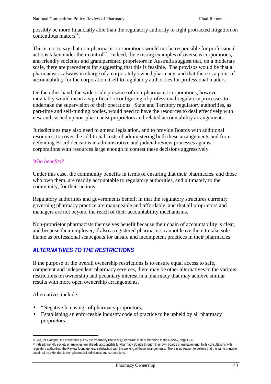possibly be more financially able than the regulatory authority to fight protracted litigation on  $contentious matters<sup>66</sup>$ 

This is not to say that non-pharmacist corporations would not be responsible for professional actions taken under their control<sup>67</sup>. Indeed, the existing examples of overseas corporations, and friendly societies and grandparented proprietors in Australia suggest that, on a moderate scale, there are precedents for suggesting that this is feasible. The provisos would be that a pharmacist is always in charge of a corporately-owned pharmacy, and that there is a point of accountability for the corporation itself to regulatory authorities for professional matters.

On the other hand, the wide-scale presence of non-pharmacist corporations, however, inevitably would mean a significant reconfiguring of professional regulatory processes to undertake the supervision of their operations. State and Territory regulatory authorities, as part-time and self-funding bodies, would need to have the resources to deal effectively with new and cashed up non-pharmacist proprietors and related accountability arrangements.

Jurisdictions may also need to amend legislation, and to provide Boards with additional resources, to cover the additional costs of administering both these arrangements and from defending Board decisions in administrative and judicial review processes against corporations with resources large enough to contest these decisions aggressively.

#### *Who benefits?*

Under this case, the community benefits in terms of ensuring that their pharmacies, and those who own them, are readily accountable to regulatory authorities, and ultimately to the community, for their actions.

Regulatory authorities and governments benefit in that the regulatory structures currently governing pharmacy practice are manageable and affordable, and that all proprietors and managers are not beyond the reach of their accountability mechanisms.

Non-proprietor pharmacists themselves benefit because their chain of accountability is clear, and because their employer, if also a registered pharmacist, cannot leave them to take sole blame as professional scapegoats for unsafe and incompetent practices in their pharmacies.

# *ALTERNATIVES TO THE RESTRICTIONS*

If the purpose of the overall ownership restrictions is to ensure equal access to safe, competent and independent pharmacy services, there may be other alternatives to the various restrictions on ownership and pecuniary interest in a pharmacy that may achieve similar results with more open ownership arrangements.

Alternatives include:

- "Negative licensing" of pharmacy proprietors;
- Establishing an enforceable industry code of practice to be upheld by all pharmacy proprietors;

<sup>66</sup> See, for example, the arguments put by the Pharmacy Board of Queensland in its submission to the Review, pages 2-6.

<sup>&</sup>lt;sup>67</sup> Indeed, friendly society pharmacies are already accountable to Pharmacy Boards through their own boards of management. In its consultations with regulatory authorities, the Review found general satisfaction with the working of these arrangements. There is no reason to believe that the same principle could not be extended to non-pharmacist individuals and corporations.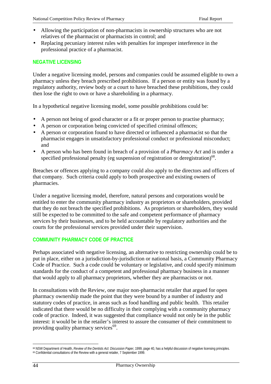- Allowing the participation of non-pharmacists in ownership structures who are not relatives of the pharmacist or pharmacists in control; and
- Replacing pecuniary interest rules with penalties for improper interference in the professional practice of a pharmacist.

### **NEGATIVE LICENSING**

Under a negative licensing model, persons and companies could be assumed eligible to own a pharmacy unless they breach prescribed prohibitions. If a person or entity was found by a regulatory authority, review body or a court to have breached these prohibitions, they could then lose the right to own or have a shareholding in a pharmacy.

In a hypothetical negative licensing model, some possible prohibitions could be:

- A person not being of good character or a fit or proper person to practise pharmacy;
- A person or corporation being convicted of specified criminal offences;
- A person or corporation found to have directed or influenced a pharmacist so that the pharmacist engages in unsatisfactory professional conduct or professional misconduct; and
- A person who has been found in breach of a provision of a *Pharmacy Act* and is under a specified professional penalty (eg suspension of registration or deregistration)<sup>68</sup>.

Breaches or offences applying to a company could also apply to the directors and officers of that company. Such criteria could apply to both prospective and existing owners of pharmacies.

Under a negative licensing model, therefore, natural persons and corporations would be entitled to enter the community pharmacy industry as proprietors or shareholders, provided that they do not breach the specified prohibitions. As proprietors or shareholders, they would still be expected to be committed to the safe and competent performance of pharmacy services by their businesses, and to be held accountable by regulatory authorities and the courts for the professional services provided under their supervision.

#### **COMMUNITY PHARMACY CODE OF PRACTICE**

Perhaps associated with negative licensing, an alternative to restricting ownership could be to put in place, either on a jurisdiction-by-jurisdiction or national basis, a Community Pharmacy Code of Practice. Such a code could be voluntary or legislative, and could specify minimum standards for the conduct of a competent and professional pharmacy business in a manner that would apply to all pharmacy proprietors, whether they are pharmacists or not.

In consultations with the Review, one major non-pharmacist retailer that argued for open pharmacy ownership made the point that they were bound by a number of industry and statutory codes of practice, in areas such as food handling and public health. This retailer indicated that there would be no difficulty in their complying with a community pharmacy code of practice. Indeed, it was suggested that compliance would not only be in the public interest: it would be in the retailer's interest to assure the consumer of their commitment to providing quality pharmacy services<sup>69</sup>.

 $\overline{a}$ 68 NSW Department of Health, *Review of the Dentists Act: Discussion Paper*, 1999, page 40, has a helpful discussion of negative licensing principles. 69 Confidential consultations of the Review with a general retailer, 7 September 1999.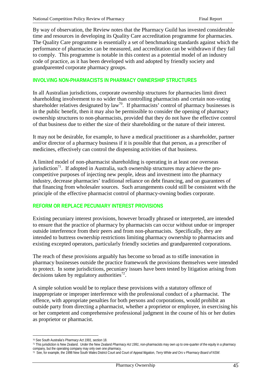By way of observation, the Review notes that the Pharmacy Guild has invested considerable time and resources in developing its Quality Care accreditation programme for pharmacies. The Quality Care programme is essentially a set of benchmarking standards against which the performance of pharmacies can be measured, and accreditation can be withdrawn if they fail to comply. This programme is notable in this context as a potential model of an industry code of practice, as it has been developed with and adopted by friendly society and grandparented corporate pharmacy groups.

### **INVOLVING NON-PHARMACISTS IN PHARMACY OWNERSHIP STRUCTURES**

In all Australian jurisdictions, corporate ownership structures for pharmacies limit direct shareholding involvement to no wider than controlling pharmacists and certain non-voting shareholder relatives designated by law<sup>70</sup>. If pharmacists' control of pharmacy businesses is in the public benefit, then it may also be permissible to consider the opening of pharmacy ownership structures to non-pharmacists, provided that they do not have the effective control of that business due to either the size of their shareholding or the nature of their interest.

It may not be desirable, for example, to have a medical practitioner as a shareholder, partner and/or director of a pharmacy business if it is possible that that person, as a prescriber of medicines, effectively can control the dispensing activities of that business.

A limited model of non-pharmacist shareholding is operating in at least one overseas jurisdiction<sup>71</sup>. If adopted in Australia, such ownership structures may achieve the procompetitive purposes of injecting new people, ideas and investment into the pharmacy industry, decrease pharmacies' traditional reliance on debt financing, and on guarantees of that financing from wholesaler sources. Such arrangements could still be consistent with the principle of the effective pharmacist control of pharmacy-owning bodies corporate.

### **REFORM OR REPLACE PECUNIARY INTEREST PROVISIONS**

Existing pecuniary interest provisions, however broadly phrased or interpreted, are intended to ensure that the practice of pharmacy by pharmacists can occur without undue or improper outside interference from their peers and from non-pharmacists. Specifically, they are intended to buttress ownership restrictions limiting pharmacy ownership to pharmacists and existing excepted operators, particularly friendly societies and grandparented corporations.

The reach of these provisions arguably has become so broad as to stifle innovation in pharmacy businesses outside the practice framework the provisions themselves were intended to protect. In some jurisdictions, pecuniary issues have been tested by litigation arising from decisions taken by regulatory authorities<sup>72</sup>.

A simple solution would be to replace these provisions with a statutory offence of inappropriate or improper interference with the professional conduct of a pharmacist. The offence, with appropriate penalties for both persons and corporations, would prohibit an outside party from directing a pharmacist, whether a proprietor or employee, in exercising his or her competent and comprehensive professional judgment in the course of his or her duties as proprietor or pharmacist.

<sup>70</sup> See South Australia's *Pharmacy Act 1991*, section 18.

<sup>71</sup> This jurisdiction is New Zealand. Under the New Zealand *Pharmacy Act 1991*, non-pharmacists may own up to one-quarter of the equity in a pharmacy company, but the operating company may only own one pharmacy.

<sup>72</sup> See, for example, the 1998 New South Wales District Court and Court of Appeal litigation, *Terry White and Ors* v *Pharmacy Board of NSW.*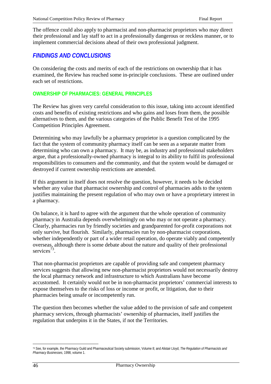The offence could also apply to pharmacist and non-pharmacist proprietors who may direct their professional and lay staff to act in a professionally dangerous or reckless manner, or to implement commercial decisions ahead of their own professional judgment.

# *FINDINGS AND CONCLUSIONS*

On considering the costs and merits of each of the restrictions on ownership that it has examined, the Review has reached some in-principle conclusions. These are outlined under each set of restrictions.

### **OWNERSHIP OF PHARMACIES: GENERAL PRINCIPLES**

The Review has given very careful consideration to this issue, taking into account identified costs and benefits of existing restrictions and who gains and loses from them, the possible alternatives to them, and the various categories of the Public Benefit Test of the 1995 Competition Principles Agreement.

Determining who may lawfully be a pharmacy proprietor is a question complicated by the fact that the system of community pharmacy itself can be seen as a separate matter from determining who can own a pharmacy. It may be, as industry and professional stakeholders argue, that a professionally-owned pharmacy is integral to its ability to fulfil its professional responsibilities to consumers and the community, and that the system would be damaged or destroyed if current ownership restrictions are amended.

If this argument in itself does not resolve the question, however, it needs to be decided whether any value that pharmacist ownership and control of pharmacies adds to the system justifies maintaining the present regulation of who may own or have a proprietary interest in a pharmacy.

On balance, it is hard to agree with the argument that the whole operation of community pharmacy in Australia depends overwhelmingly on who may or not operate a pharmacy. Clearly, pharmacies run by friendly societies and grandparented for-profit corporations not only survive, but flourish. Similarly, pharmacies run by non-pharmacist corporations, whether independently or part of a wider retail operation, do operate viably and competently overseas, although there is some debate about the nature and quality of their professional services $^{73}$ .

That non-pharmacist proprietors are capable of providing safe and competent pharmacy services suggests that allowing new non-pharmacist proprietors would not necessarily destroy the local pharmacy network and infrastructure to which Australians have become accustomed. It certainly would not be in non-pharmacist proprietors' commercial interests to expose themselves to the risks of loss or income or profit, or litigation, due to their pharmacies being unsafe or incompetently run.

The question then becomes whether the value added to the provision of safe and competent pharmacy services, through pharmacists' ownership of pharmacies, itself justifies the regulation that underpins it in the States, if not the Territories.

<sup>73</sup> See, for example, the Pharmacy Guild and Pharmaceutical Society submission, Volume 8; and Alistair Lloyd, *The Regulation of Pharmacists and Pharmacy Businesses*, 1998, volume 1.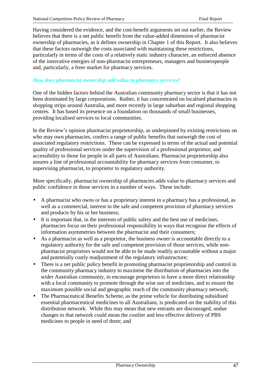Having considered the evidence, and the cost-benefit arguments set out earlier, the Review believes that there is a net public benefit from the value-added dimension of pharmacist ownership of pharmacies, as it defines ownership in Chapter 1 of this Report. It also believes that these factors outweigh the costs associated with maintaining these restrictions, particularly in terms of the costs of a relatively static industry character, an enforced absence of the innovative energies of non-pharmacist entrepreneurs, managers and businesspeople and, particularly, a freer market for pharmacy services.

### *How does pharmacist ownership add value to pharmacy services?*

One of the hidden factors behind the Australian community pharmacy sector is that it has not been dominated by large corporations. Rather, it has concentrated on localised pharmacies in shopping strips around Australia, and more recently in large suburban and regional shopping centres. It has based its presence on a foundation on thousands of small businesses, providing localised services to local communities.

In the Review's opinion pharmacist proprietorship, as underpinned by existing restrictions on who may own pharmacies, confers a range of public benefits that outweigh the cost of associated regulatory restrictions. These can be expressed in terms of the actual and potential quality of professional services under the supervision of a professional proprietor, and accessibility to those for people in all parts of Australians. Pharmacist proprietorship also assures a line of professional accountability for pharmacy services from consumer, to supervising pharmacist, to proprietor to regulatory authority.

More specifically, pharmacist ownership of pharmacies adds value to pharmacy services and public confidence in those services in a number of ways. These include:

- A pharmacist who owns or has a proprietary interest in a pharmacy has a professional, as well as a commercial, interest in the safe and competent provision of pharmacy services and products by his or her business;
- It is important that, in the interests of public safety and the best use of medicines, pharmacies focus on their professional responsibility in ways that recognise the effects of information asymmetries between the pharmacist and their consumers;
- As a pharmacist as well as a proprietor, the business owner is accountable directly to a regulatory authority for the safe and competent provision of those services, while nonpharmacist proprietors would not be able to be made readily accountable without a major and potentially costly readjustment of the regulatory infrastructure;
- There is a net public policy benefit in promoting pharmacist proprietorship and control in the community pharmacy industry to maximise the distribution of pharmacies into the wider Australian community, to encourage proprietors to have a more direct relationship with a local community to promote through the wise use of medicines, and to ensure the maximum possible social and geographic reach of the community pharmacy network;
- The Pharmaceutical Benefits Scheme, as the prime vehicle for distributing subsidised essential pharmaceutical medicines to all Australians, is predicated on the stability of this distribution network. While this may mean that new entrants are discouraged, undue changes to that network could mean the costlier and less effective delivery of PBS medicines to people in need of them; and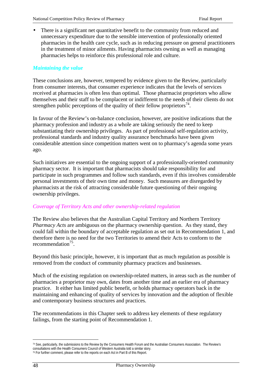There is a significant net quantitative benefit to the community from reduced and unnecessary expenditure due to the sensible intervention of professionally oriented pharmacies in the health care cycle, such as in reducing pressure on general practitioners in the treatment of minor ailments. Having pharmacists owning as well as managing pharmacies helps to reinforce this professional role and culture.

#### *Maintaining the value*

These conclusions are, however, tempered by evidence given to the Review, particularly from consumer interests, that consumer experience indicates that the levels of services received at pharmacies is often less than optimal. Those pharmacist proprietors who allow themselves and their staff to be complacent or indifferent to the needs of their clients do not strengthen public perceptions of the quality of their fellow proprietors<sup>74</sup>.

In favour of the Review's on-balance conclusion, however, are positive indications that the pharmacy profession and industry as a whole are taking seriously the need to keep substantiating their ownership privileges. As part of professional self-regulation activity, professional standards and industry quality assurance benchmarks have been given considerable attention since competition matters went on to pharmacy's agenda some years ago.

Such initiatives are essential to the ongoing support of a professionally-oriented community pharmacy sector. It is important that pharmacists should take responsibility for and participate in such programmes and follow such standards, even if this involves considerable personal investments of their own time and money. Such measures are disregarded by pharmacists at the risk of attracting considerable future questioning of their ongoing ownership privileges.

#### *Coverage of Territory Acts and other ownership-related regulation*

The Review also believes that the Australian Capital Territory and Northern Territory *Pharmacy Acts* are ambiguous on the pharmacy ownership question. As they stand, they could fall within the boundary of acceptable regulation as set out in Recommendation 1, and therefore there is no need for the two Territories to amend their Acts to conform to the recommendation<sup>75</sup>.

Beyond this basic principle, however, it is important that as much regulation as possible is removed from the conduct of community pharmacy practices and businesses.

Much of the existing regulation on ownership-related matters, in areas such as the number of pharmacies a proprietor may own, dates from another time and an earlier era of pharmacy practice. It either has limited public benefit, or holds pharmacy operators back in the maintaining and enhancing of quality of services by innovation and the adoption of flexible and contemporary business structures and practices.

The recommendations in this Chapter seek to address key elements of these regulatory failings, from the starting point of Recommendation 1.

<sup>74</sup> See, particularly, the submissions to the Review by the Consumers Health Forum and the Australian Consumers Association. The Review's consultations with the Health Consumers Council of Western Australia told a similar story.

<sup>75</sup> For further comment, please refer to the reports on each Act in Part B of this Report.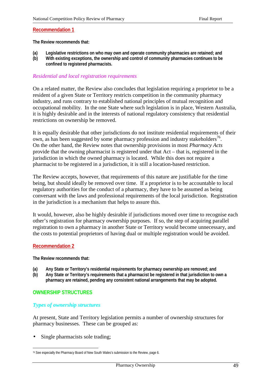#### **Recommendation 1**

**The Review recommends that:**

- **(a) Legislative restrictions on who may own and operate community pharmacies are retained; and**
- **(b) With existing exceptions, the ownership and control of community pharmacies continues to be confined to registered pharmacists.**

#### *Residential and local registration requirements*

On a related matter, the Review also concludes that legislation requiring a proprietor to be a resident of a given State or Territory restricts competition in the community pharmacy industry, and runs contrary to established national principles of mutual recognition and occupational mobility. In the one State where such legislation is in place, Western Australia, it is highly desirable and in the interests of national regulatory consistency that residential restrictions on ownership be removed.

It is equally desirable that other jurisdictions do not institute residential requirements of their own, as has been suggested by some pharmacy profession and industry stakeholders<sup>76</sup>. On the other hand, the Review notes that ownership provisions in most *Pharmacy Acts* provide that the owning pharmacist is registered under that Act – that is, registered in the jurisdiction in which the owned pharmacy is located. While this does not require a pharmacist to be registered in a jurisdiction, it is still a location-based restriction.

The Review accepts, however, that requirements of this nature are justifiable for the time being, but should ideally be removed over time. If a proprietor is to be accountable to local regulatory authorities for the conduct of a pharmacy, they have to be assumed as being conversant with the laws and professional requirements of the local jurisdiction. Registration in the jurisdiction is a mechanism that helps to assure this.

It would, however, also be highly desirable if jurisdictions moved over time to recognise each other's registration for pharmacy ownership purposes. If so, the step of acquiring parallel registration to own a pharmacy in another State or Territory would become unnecessary, and the costs to potential proprietors of having dual or multiple registration would be avoided.

#### **Recommendation 2**

**The Review recommends that:**

- **(a) Any State or Territory's residential requirements for pharmacy ownership are removed; and**
- **(b) Any State or Territory's requirements that a pharmacist be registered in that jurisdiction to own a pharmacy are retained, pending any consistent national arrangements that may be adopted.**

#### **OWNERSHIP STRUCTURES**

#### *Types of ownership structures*

At present, State and Territory legislation permits a number of ownership structures for pharmacy businesses. These can be grouped as:

Single pharmacists sole trading;

<sup>76</sup> See especially the Pharmacy Board of New South Wales's submission to the Review, page 6.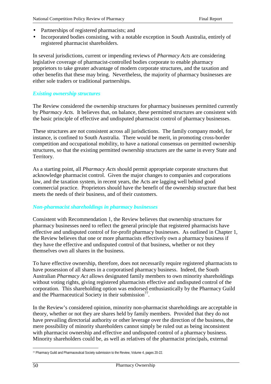- Partnerships of registered pharmacists; and
- Incorporated bodies consisting, with a notable exception in South Australia, entirely of registered pharmacist shareholders.

In several jurisdictions, current or impending reviews of *Pharmacy Acts* are considering legislative coverage of pharmacist-controlled bodies corporate to enable pharmacy proprietors to take greater advantage of modern corporate structures, and the taxation and other benefits that these may bring. Nevertheless, the majority of pharmacy businesses are either sole traders or traditional partnerships.

### *Existing ownership structures*

The Review considered the ownership structures for pharmacy businesses permitted currently by *Pharmacy Acts.* It believes that, on balance, these permitted structures are consistent with the basic principle of effective and undisputed pharmacist control of pharmacy businesses.

These structures are not consistent across all jurisdictions. The family company model, for instance, is confined to South Australia. There would be merit, in promoting cross-border competition and occupational mobility, to have a national consensus on permitted ownership structures, so that the existing permitted ownership structures are the same in every State and Territory.

As a starting point, all *Pharmacy Acts* should permit appropriate corporate structures that acknowledge pharmacist control. Given the major changes to companies and corporations law, and the taxation system, in recent years, the Acts are lagging well behind good commercial practice. Proprietors should have the benefit of the ownership structure that best meets the needs of their business, and of their customers.

### *Non-pharmacist shareholdings in pharmacy businesses*

Consistent with Recommendation 1, the Review believes that ownership structures for pharmacy businesses need to reflect the general principle that registered pharmacists have effective and undisputed control of for-profit pharmacy businesses. As outlined in Chapter 1, the Review believes that one or more pharmacists effectively own a pharmacy business if they have the effective and undisputed control of that business, whether or not they themselves own all shares in the business.

To have effective ownership, therefore, does not necessarily require registered pharmacists to have possession of all shares in a corporatised pharmacy business. Indeed, the South Australian *Pharmacy Act* allows designated family members to own minority shareholdings without voting rights, giving registered pharmacists effective and undisputed control of the corporation. This shareholding option was endorsed enthusiastically by the Pharmacy Guild and the Pharmaceutical Society in their submission<sup>77</sup>.

In the Review's considered opinion, minority non-pharmacist shareholdings are acceptable in theory, whether or not they are shares held by family members. Provided that they do not have prevailing directorial authority or other leverage over the direction of the business, the mere possibility of minority shareholders cannot simply be ruled out as being inconsistent with pharmacist ownership and effective and undisputed control of a pharmacy business. Minority shareholders could be, as well as relatives of the pharmacist principals, external

 $\overline{a}$ 77 Pharmacy Guild and Pharmaceutical Society submission to the Review, Volume 4, pages 20-22.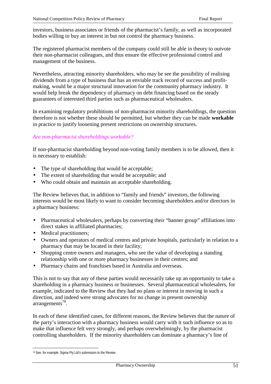investors, business associates or friends of the pharmacist's family, as well as incorporated bodies willing to buy an interest in but not control the pharmacy business.

The registered pharmacist members of the company could still be able in theory to outvote their non-pharmacist colleagues, and thus ensure the effective professional control and management of the business.

Nevertheless, attracting minority shareholders, who may be see the possibility of realising dividends from a type of business that has an enviable track record of success and profitmaking, would be a major structural innovation for the community pharmacy industry. It would help break the dependency of pharmacy on debt financing based on the steady guarantees of interested third parties such as pharmaceutical wholesalers.

In examining regulatory prohibitions of non-pharmacist minority shareholdings, the question therefore is not whether these should be permitted, but whether they can be made **workable** in practice to justify loosening present restrictions on ownership structures.

### *Are non-pharmacist shareholdings workable?*

If non-pharmacist shareholding beyond non-voting family members is to be allowed, then it is necessary to establish:

- The type of shareholding that would be acceptable;
- The extent of shareholding that would be acceptable; and
- Who could obtain and maintain an acceptable shareholding.

The Review believes that, in addition to "family and friends" investors, the following interests would be most likely to want to consider becoming shareholders and/or directors in a pharmacy business:

- Pharmaceutical wholesalers, perhaps by converting their "banner group" affiliations into direct stakes in affiliated pharmacies;
- Medical practitioners;
- Owners and operators of medical centres and private hospitals, particularly in relation to a pharmacy that may be located in their facility;
- Shopping centre owners and managers, who see the value of developing a standing relationship with one or more pharmacy businesses in their centres; and
- Pharmacy chains and franchises based in Australia and overseas.

This is not to say that any of these parties would necessarily take up an opportunity to take a shareholding in a pharmacy business or businesses. Several pharmaceutical wholesalers, for example, indicated to the Review that they had no plans or interest in moving in such a direction, and indeed were strong advocates for no change in present ownership  $arrangements<sup>78</sup>$ .

In each of these identified cases, for different reasons, the Review believes that the nature of the party's interaction with a pharmacy business would carry with it such influence so as to make that influence felt very strongly, and perhaps overwhelmingly, by the pharmacist controlling shareholders. If the minority shareholders can dominate a pharmacy's line of

 $\overline{a}$ 78 See, for example, Sigma Pty Ltd's submission to the Review.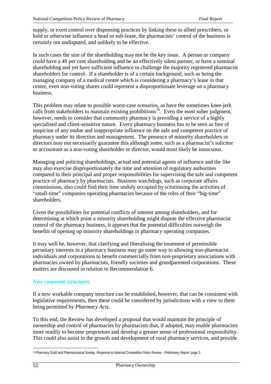supply, or exert control over dispensing practices by linking these to allied prescribers, or hold or otherwise influence a head or sub-lease, the pharmacists' control of the business is certainly not undisputed, and unlikely to be effective.

In such cases the size of the shareholding may not be the key issue. A person or company could have a 49 per cent shareholding and be an effectively silent partner, or have a nominal shareholding and yet have sufficient influence to challenge the majority registered pharmacist shareholders for control. If a shareholder is of a certain background, such as being the managing company of a medical centre which is considering a pharmacy's lease in that centre, even non-voting shares could represent a disproportionate leverage on a pharmacy business.

This problem may relate to possible worst-case scenarios, as have the sometimes knee-jerk calls from stakeholders to maintain existing prohibitions<sup>79</sup>. Even the most sober judgment, however, needs to consider that community pharmacy is providing a service of a highly specialised and client-sensitive nature. Every pharmacy business has to be seen as free of suspicion of any undue and inappropriate influence on the safe and competent practice of pharmacy under its direction and management. The presence of minority shareholders or directors may not necessarily guarantee this although some, such as a pharmacist's solicitor or accountant as a non-voting shareholder or director, would most likely be innocuous.

Managing and policing shareholdings, actual and potential agents of influence and the like may also exercise disproportionately the time and attention of regulatory authorities compared to their principal and proper responsibilities for supervising the safe and competent practice of pharmacy by pharmacists. Business watchdogs, such as corporate affairs commissions, also could find their time unduly occupied by scrutinising the activities of "small-time" companies operating pharmacies because of the roles of their "big-time" shareholders.

Given the possibilities for potential conflicts of interest among shareholders, and for determining at which point a minority shareholding might dispute the effective pharmacist control of the pharmacy business, it appears that the potential difficulties outweigh the benefits of opening up minority shareholdings in pharmacy operating companies.

It may well be, however, that clarifying and liberalising the treatment of permissible pecuniary interests in a pharmacy business may go some way to allowing non-pharmacist individuals and corporations to benefit commercially from non-proprietary associations with pharmacies owned by pharmacists, friendly societies and grandparented corporations. These matters are discussed in relation to Recommendation 6.

#### *New corporate structures*

If a new workable company structure can be established, however, that can be consistent with legislative requirements, then these could be considered by jurisdictions with a view to them being permitted by *Pharmacy Acts*.

To this end, the Review has developed a proposal that would maintain the principle of ownership and control of pharmacies by pharmacists that, if adopted, may enable pharmacists more readily to become proprietors and develop a greater sense of professional responsibility. This could also assist in the growth and development of rural pharmacy services, and provide

 $\overline{a}$ 79 Pharmacy Guild and Pharmaceutical Society, *Response to National Competition Policy Review – Preliminary Report*, page 3.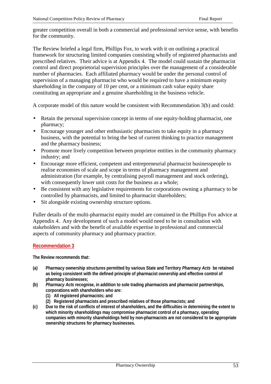greater competition overall in both a commercial and professional service sense, with benefits for the community.

The Review briefed a legal firm, Phillips Fox, to work with it on outlining a practical framework for structuring limited companies consisting wholly of registered pharmacists and prescribed relatives. Their advice is at Appendix 4. The model could sustain the pharmacist control and direct proprietorial supervision principles over the management of a considerable number of pharmacies. Each affiliated pharmacy would be under the personal control of supervision of a managing pharmacist who would be required to have a minimum equity shareholding in the company of 10 per cent, or a minimum cash value equity share constituting an appropriate and a genuine shareholding in the business vehicle.

A corporate model of this nature would be consistent with Recommendation 3(b) and could:

- Retain the personal supervision concept in terms of one equity-holding pharmacist, one pharmacy;
- Encourage younger and other enthusiastic pharmacists to take equity in a pharmacy business, with the potential to bring the best of current thinking to practice management and the pharmacy business;
- Promote more lively competition between proprietor entities in the community pharmacy industry; and
- Encourage more efficient, competent and entrepreneurial pharmacist businesspeople to realise economies of scale and scope in terms of pharmacy management and administration (for example, by centralising payroll management and stock ordering), with consequently lower unit costs for the business as a whole;
- Be consistent with any legislative requirements for corporations owning a pharmacy to be controlled by pharmacists, and limited to pharmacist shareholders;
- Sit alongside existing ownership structure options.

Fuller details of the multi-pharmacist equity model are contained in the Phillips Fox advice at Appendix 4. Any development of such a model would need to be in consultation with stakeholders and with the benefit of available expertise in professional and commercial aspects of community pharmacy and pharmacy practice.

### **Recommendation 3**

**The Review recommends that:**

- **(a) Pharmacy ownership structures permitted by various State and Territory** *Pharmacy Acts* **be retained as being consistent with the defined principle of pharmacist ownership and effective control of pharmacy businesses;**
- **(b)** *Pharmacy Acts* **recognise, in addition to sole trading pharmacists and pharmacist partnerships, corporations with shareholders who are:**
	- **(1) All registered pharmacists; and**
	- **(2) Registered pharmacists and prescribed relatives of those pharmacists; and**
- **(c) Due to the risk of conflicts of interest of shareholders, and the difficulties in determining the extent to which minority shareholdings may compromise pharmacist control of a pharmacy, operating companies with minority shareholdings held by non-pharmacists are not considered to be appropriate ownership structures for pharmacy businesses.**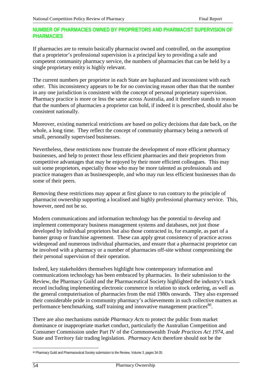### **NUMBER OF PHARMACIES OWNED BY PROPRIETORS AND PHARMACIST SUPERVISION OF PHARMACIES**

If pharmacies are to remain basically pharmacist owned and controlled, on the assumption that a proprietor's professional supervision is a principal key to providing a safe and competent community pharmacy service, the numbers of pharmacies that can be held by a single proprietary entity is highly relevant.

The current numbers per proprietor in each State are haphazard and inconsistent with each other. This inconsistency appears to be for no convincing reason other than that the number in any one jurisdiction is consistent with the concept of personal proprietary supervision. Pharmacy practice is more or less the same across Australia, and it therefore stands to reason that the numbers of pharmacies a proprietor can hold, if indeed it is prescribed, should also be consistent nationally.

Moreover, existing numerical restrictions are based on policy decisions that date back, on the whole, a long time. They reflect the concept of community pharmacy being a network of small, personally supervised businesses.

Nevertheless, these restrictions now frustrate the development of more efficient pharmacy businesses, and help to protect those less efficient pharmacies and their proprietors from competitive advantages that may be enjoyed by their more efficient colleagues. This may suit some proprietors, especially those who may be more talented as professionals and practice managers than as businesspeople, and who may run less efficient businesses than do some of their peers.

Removing these restrictions may appear at first glance to run contrary to the principle of pharmacist ownership supporting a localised and highly professional pharmacy service. This, however, need not be so.

Modern communications and information technology has the potential to develop and implement contemporary business management systems and databases, not just those developed by individual proprietors but also those contracted in, for example, as part of a banner group or franchise agreement. These can apply great consistency of practice across widespread and numerous individual pharmacies, and ensure that a pharmacist proprietor can be involved with a pharmacy or a number of pharmacies off-site without compromising the their personal supervision of their operation.

Indeed, key stakeholders themselves highlight how contemporary information and communications technology has been embraced by pharmacies. In their submission to the Review, the Pharmacy Guild and the Pharmaceutical Society highlighted the industry's track record including implementing electronic commerce in relation to stock ordering, as well as the general computerisation of pharmacies from the mid 1980s onwards. They also expressed their considerable pride in community pharmacy's achievements in such collective matters as performance benchmarking, staff training and innovative management practices<sup>80</sup>.

There are also mechanisms outside *Pharmacy Acts* to protect the public from market dominance or inappropriate market conduct, particularly the Australian Competition and Consumer Commission under Part IV of the Commonwealth *Trade Practices Act 1974*, and State and Territory fair trading legislation. *Pharmacy Acts* therefore should not be the

<sup>80</sup> Pharmacy Guild and Pharmaceutical Society submission to the Review, Volume 3, pages 34-35.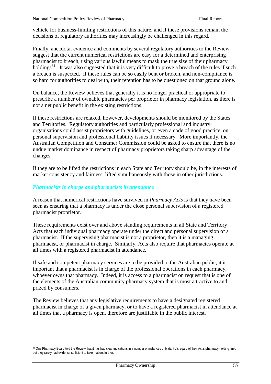vehicle for business-limiting restrictions of this nature, and if these provisions remain the decisions of regulatory authorities may increasingly be challenged in this regard.

Finally, anecdotal evidence and comments by several regulatory authorities to the Review suggest that the current numerical restrictions are easy for a determined and enterprising pharmacist to breach, using various lawful means to mask the true size of their pharmacy holdings $^{81}$ . It was also suggested that it is very difficult to prove a breach of the rules if such a breach is suspected. If these rules can be so easily bent or broken, and non-compliance is so hard for authorities to deal with, their retention has to be questioned on that ground alone.

On balance, the Review believes that generally it is no longer practical or appropriate to prescribe a number of ownable pharmacies per proprietor in pharmacy legislation, as there is not a net public benefit in the existing restrictions.

If these restrictions are relaxed, however, developments should be monitored by the States and Territories. Regulatory authorities and particularly professional and industry organisations could assist proprietors with guidelines, or even a code of good practice, on personal supervision and professional liability issues if necessary. More importantly, the Australian Competition and Consumer Commission could be asked to ensure that there is no undue market dominance in respect of pharmacy proprietors taking sharp advantage of the changes.

If they are to be lifted the restrictions in each State and Territory should be, in the interests of market consistency and fairness, lifted simultaneously with those in other jurisdictions.

#### *Pharmacists in charge and pharmacists in attendance*

 $\overline{a}$ 

A reason that numerical restrictions have survived in *Pharmacy Acts* is that they have been seen as ensuring that a pharmacy is under the close personal supervision of a registered pharmacist proprietor.

These requirements exist over and above standing requirements in all State and Territory Acts that each individual pharmacy operate under the direct and personal supervision of a pharmacist. If the supervising pharmacist is not a proprietor, then it is a managing pharmacist, or pharmacist in charge. Similarly, Acts also require that pharmacies operate at all times with a registered pharmacist in attendance.

If safe and competent pharmacy services are to be provided to the Australian public, it is important that a pharmacist is in charge of the professional operations in each pharmacy, whoever owns that pharmacy. Indeed, it is access to a pharmacist on request that is one of the elements of the Australian community pharmacy system that is most attractive to and prized by consumers.

The Review believes that any legislative requirements to have a designated registered pharmacist in charge of a given pharmacy, or to have a registered pharmacist in attendance at all times that a pharmacy is open, therefore are justifiable in the public interest.

<sup>81</sup> One Pharmacy Board told the Review that it has had clear indications in a number of instances of blatant disregard of their Act's pharmacy holding limit, but they rarely had evidence sufficient to take matters further.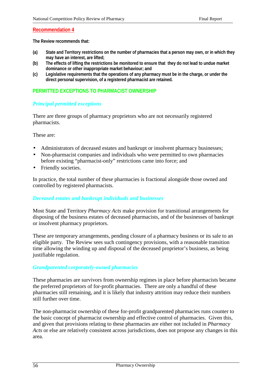### **Recommendation 4**

**The Review recommends that:**

- **(a) State and Territory restrictions on the number of pharmacies that a person may own, or in which they may have an interest, are lifted;**
- **(b) The effects of lifting the restrictions be monitored to ensure that they do not lead to undue market dominance or other inappropriate market behaviour; and**
- **(c) Legislative requirements that the operations of any pharmacy must be in the charge, or under the direct personal supervision, of a registered pharmacist are retained.**

### **PERMITTED EXCEPTIONS TO PHARMACIST OWNERSHIP**

#### *Principal permitted exceptions*

There are three groups of pharmacy proprietors who are not necessarily registered pharmacists.

These are:

- Administrators of deceased estates and bankrupt or insolvent pharmacy businesses;
- Non-pharmacist companies and individuals who were permitted to own pharmacies before existing "pharmacist-only" restrictions came into force; and
- Friendly societies.

In practice, the total number of these pharmacies is fractional alongside those owned and controlled by registered pharmacists.

#### *Deceased estates and bankrupt individuals and businesses*

Most State and Territory *Pharmacy Acts* make provision for transitional arrangements for disposing of the business estates of deceased pharmacists, and of the businesses of bankrupt or insolvent pharmacy proprietors.

These are temporary arrangements, pending closure of a pharmacy business or its sale to an eligible party. The Review sees such contingency provisions, with a reasonable transition time allowing the winding up and disposal of the deceased proprietor's business, as being justifiable regulation.

#### *Grandparented corporately-owned pharmacies*

These pharmacies are survivors from ownership regimes in place before pharmacists became the preferred proprietors of for-profit pharmacies. There are only a handful of these pharmacies still remaining, and it is likely that industry attrition may reduce their numbers still further over time.

The non-pharmacist ownership of these for-profit grandparented pharmacies runs counter to the basic concept of pharmacist ownership and effective control of pharmacies. Given this, and given that provisions relating to these pharmacies are either not included in *Pharmacy Acts* or else are relatively consistent across jurisdictions, does not propose any changes in this area.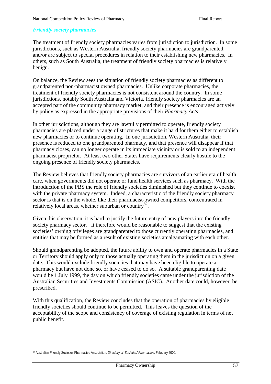### *Friendly society pharmacies*

The treatment of friendly society pharmacies varies from jurisdiction to jurisdiction. In some jurisdictions, such as Western Australia, friendly society pharmacies are grandparented, and/or are subject to special procedures in relation to their establishing new pharmacies. In others, such as South Australia, the treatment of friendly society pharmacies is relatively benign.

On balance, the Review sees the situation of friendly society pharmacies as different to grandparented non-pharmacist owned pharmacies. Unlike corporate pharmacies, the treatment of friendly society pharmacies is not consistent around the country. In some jurisdictions, notably South Australia and Victoria, friendly society pharmacies are an accepted part of the community pharmacy market, and their presence is encouraged actively by policy as expressed in the appropriate provisions of their *Pharmacy Acts*.

In other jurisdictions, although they are lawfully permitted to operate, friendly society pharmacies are placed under a range of strictures that make it hard for them either to establish new pharmacies or to continue operating. In one jurisdiction, Western Australia, their presence is reduced to one grandparented pharmacy, and that presence will disappear if that pharmacy closes, can no longer operate in its immediate vicinity or is sold to an independent pharmacist proprietor. At least two other States have requirements clearly hostile to the ongoing presence of friendly society pharmacies.

The Review believes that friendly society pharmacies are survivors of an earlier era of health care, when governments did not operate or fund health services such as pharmacy. With the introduction of the PBS the role of friendly societies diminished but they continue to coexist with the private pharmacy system. Indeed, a characteristic of the friendly society pharmacy sector is that is on the whole, like their pharmacist-owned competitors, concentrated in relatively local areas, whether suburban or country $82$ .

Given this observation, it is hard to justify the future entry of new players into the friendly society pharmacy sector. It therefore would be reasonable to suggest that the existing societies' owning privileges are grandparented to those currently operating pharmacies, and entities that may be formed as a result of existing societies amalgamating with each other.

Should grandparenting be adopted, the future ability to own and operate pharmacies in a State or Territory should apply only to those actually operating them in the jurisdiction on a given date. This would exclude friendly societies that may have been eligible to operate a pharmacy but have not done so, or have ceased to do so. A suitable grandparenting date would be 1 July 1999, the day on which friendly societies came under the jurisdiction of the Australian Securities and Investments Commission (ASIC). Another date could, however, be prescribed.

With this qualification, the Review concludes that the operation of pharmacies by eligible friendly societies should continue to be permitted. This leaves the question of the acceptability of the scope and consistency of coverage of existing regulation in terms of net public benefit.

 $\overline{a}$ 82 Australian Friendly Societies Pharmacies Association, *Directory of Societies' Pharmacies*, February 2000.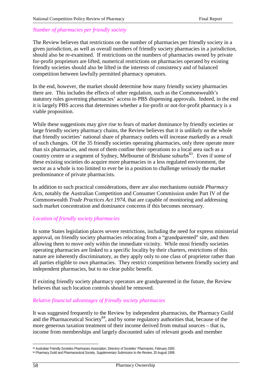### *Number of pharmacies per friendly society*

The Review believes that restrictions on the number of pharmacies per friendly society in a given jurisdiction, as well as overall numbers of friendly society pharmacies in a jurisdiction, should also be re-examined. If restrictions on the numbers of pharmacies owned by private for-profit proprietors are lifted, numerical restrictions on pharmacies operated by existing friendly societies should also be lifted in the interests of consistency and of balanced competition between lawfully permitted pharmacy operators.

In the end, however, the market should determine how many friendly society pharmacies there are. This includes the effects of other regulation, such as the Commonwealth's statutory rules governing pharmacies' access to PBS dispensing approvals. Indeed, in the end it is largely PBS access that determines whether a for-profit or not-for-profit pharmacy is a viable proposition.

While these suggestions may give rise to fears of market dominance by friendly societies or large friendly society pharmacy chains, the Review believes that it is unlikely on the whole that friendly societies' national share of pharmacy outlets will increase markedly as a result of such changes. Of the 35 friendly societies operating pharmacies, only three operate more than six pharmacies, and most of them confine their operations to a local area such as a country centre or a segment of Sydney, Melbourne of Brisbane suburbs<sup>83</sup>. Even if some of these existing societies do acquire more pharmacies in a less regulated environment, the sector as a whole is too limited to ever be in a position to challenge seriously the market predominance of private pharmacists.

In addition to such practical considerations, there are also mechanisms outside *Pharmacy Acts*, notably the Australian Competition and Consumer Commission under Part IV of the Commonwealth *Trade Practices Act 1974*, that are capable of monitoring and addressing such market concentration and dominance concerns if this becomes necessary.

#### *Location of friendly society pharmacies*

In some States legislation places severe restrictions, including the need for express ministerial approval, on friendly society pharmacies relocating from a "grandparented" site, and then allowing them to move only within the immediate vicinity. While most friendly societies operating pharmacies are linked to a specific locality by their charters, restrictions of this nature are inherently discriminatory, as they apply only to one class of proprietor rather than all parties eligible to own pharmacies. They restrict competition between friendly society and independent pharmacies, but to no clear public benefit.

If existing friendly society pharmacy operators are grandparented in the future, the Review believes that such location controls should be removed.

### *Relative financial advantages of friendly society pharmacies*

It was suggested frequently to the Review by independent pharmacists, the Pharmacy Guild and the Pharmaceutical Society<sup>84</sup>, and by some regulatory authorities that, because of the more generous taxation treatment of their income derived from mutual sources – that is, income from memberships and largely discounted sales of relevant goods and member

<sup>83</sup> Australian Friendly Societies Pharmacies Association, *Directory of Societies' Pharmacies*, February 2000.

<sup>84</sup> Pharmacy Guild and Pharmaceutical Society, *Supplementary Submission to the Review*, 20 August 1999.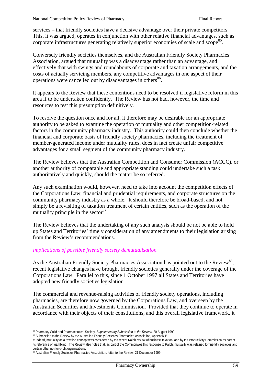services – that friendly societies have a decisive advantage over their private competitors. This, it was argued, operates in conjunction with other relative financial advantages, such as corporate infrastructures generating relatively superior economies of scale and scope<sup>85</sup>.

Conversely friendly societies themselves, and the Australian Friendly Society Pharmacies Association, argued that mutuality was a disadvantage rather than an advantage, and effectively that with swings and roundabouts of corporate and taxation arrangements, and the costs of actually servicing members, any competitive advantages in one aspect of their operations were cancelled out by disadvantages in others<sup>86</sup>.

It appears to the Review that these contentions need to be resolved if legislative reform in this area if to be undertaken confidently. The Review has not had, however, the time and resources to test this presumption definitively.

To resolve the question once and for all, it therefore may be desirable for an appropriate authority to be asked to examine the operation of mutuality and other competition-related factors in the community pharmacy industry. This authority could then conclude whether the financial and corporate basis of friendly society pharmacies, including the treatment of member-generated income under mutuality rules, does in fact create unfair competitive advantages for a small segment of the community pharmacy industry.

The Review believes that the Australian Competition and Consumer Commission (ACCC), or another authority of comparable and appropriate standing could undertake such a task authoritatively and quickly, should the matter be so referred.

Any such examination would, however, need to take into account the competition effects of the Corporations Law, financial and prudential requirements, and corporate structures on the community pharmacy industry as a whole. It should therefore be broad-based, and not simply be a revisiting of taxation treatment of certain entities, such as the operation of the mutuality principle in the sector  $87$ .

The Review believes that the undertaking of any such analysis should be not be able to hold up States and Territories' timely consideration of any amendments to their legislation arising from the Review's recommendations.

### *Implications of possible friendly society demutualisation*

As the Australian Friendly Society Pharmacies Association has pointed out to the Review<sup>88</sup>. recent legislative changes have brought friendly societies generally under the coverage of the Corporations Law. Parallel to this, since 1 October 1997 all States and Territories have adopted new friendly societies legislation*.*

The commercial and revenue-raising activities of friendly society operations, including pharmacies, are therefore now governed by the Corporations Law, and overseen by the Australian Securities and Investments Commission. Provided that they continue to operate in accordance with their objects of their constitutions, and this overall legislative framework, it

<sup>85</sup> Pharmacy Guild and Pharmaceutical Society, *Supplementary Submission to the Review*, 20 August 1999.

<sup>86</sup> Submission to the Review by the Australian Friendly Societies Pharmacies Association, Appendix B.

<sup>87</sup> Indeed, mutuality as a taxation concept was considered by the recent Ralph review of business taxation, and by the Productivity Commission as part of its reference on gambling. The Review also notes that, as part of the Commonwealth's response to Ralph, mutuality was retained for friendly societies and certain other not-for-profit organisations.

<sup>88</sup> Australian Friendly Societies Pharmacies Association, letter to the Review, 21 December 1999.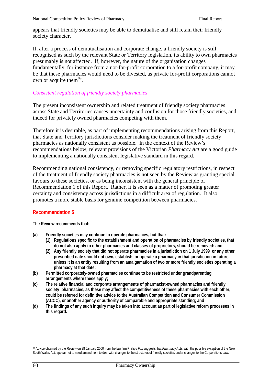appears that friendly societies may be able to demutualise and still retain their friendly society character.

If, after a process of demutualisation and corporate change, a friendly society is still recognised as such by the relevant State or Territory legislation, its ability to own pharmacies presumably is not affected. If, however, the nature of the organisation changes fundamentally, for instance from a not-for-profit corporation to a for-profit company, it may be that these pharmacies would need to be divested, as private for-profit corporations cannot own or acquire them<sup>89</sup>.

### *Consistent regulation of friendly society pharmacies*

The present inconsistent ownership and related treatment of friendly society pharmacies across State and Territories causes uncertainty and confusion for those friendly societies, and indeed for privately owned pharmacies competing with them.

Therefore it is desirable, as part of implementing recommendations arising from this Report, that State and Territory jurisdictions consider making the treatment of friendly society pharmacies as nationally consistent as possible. In the context of the Review's recommendations below, relevant provisions of the Victorian *Pharmacy Act* are a good guide to implementing a nationally consistent legislative standard in this regard.

Recommending national consistency, or removing specific regulatory restrictions, in respect of the treatment of friendly society pharmacies is not seen by the Review as granting special favours to these societies, or as being inconsistent with the general principle of Recommendation 1 of this Report. Rather, it is seen as a matter of promoting greater certainty and consistency across jurisdictions in a difficult area of regulation. It also promotes a more stable basis for genuine competition between pharmacies.

#### **Recommendation 5**

**The Review recommends that:**

- **(a) Friendly societies may continue to operate pharmacies, but that:**
	- **(1) Regulations specific to the establishment and operation of pharmacies by friendly societies, that do not also apply to other pharmacies and classes of proprietors, should be removed; and**
	- **(2) Any friendly society that did not operate pharmacies in a jurisdiction on 1 July 1999 or any other prescribed date should not own, establish, or operate a pharmacy in that jurisdiction in future, unless it is an entity resulting from an amalgamation of two or more friendly societies operating a pharmacy at that date;**
- **(b) Permitted corporately-owned pharmacies continue to be restricted under grandparenting arrangements where these apply;**
- **(c) The relative financial and corporate arrangements of pharmacist-owned pharmacies and friendly society pharmacies, as these may affect the competitiveness of these pharmacies with each other, could be referred for definitive advice to the Australian Competition and Consumer Commission (ACCC), or another agency or authority of comparable and appropriate standing; and**
- **(d) The findings of any such inquiry may be taken into account as part of legislative reform processes in this regard.**

<sup>&</sup>lt;sup>89</sup> Advice obtained by the Review on 28 January 2000 from the law firm Phillips Fox suggests that *Pharmacy Acts*, with the possible exception of the New South Wales Act, appear not to need amendment to deal with changes to the structures of friendly societies under changes to the Corporations Law.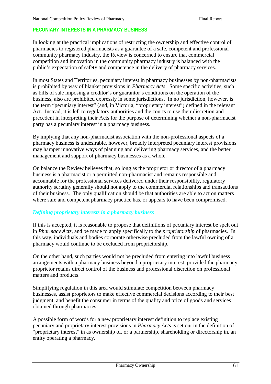### **PECUNIARY INTERESTS IN A PHARMACY BUSINESS**

In looking at the practical implications of restricting the ownership and effective control of pharmacies to registered pharmacists as a guarantee of a safe, competent and professional community pharmacy industry, the Review is concerned to ensure that commercial competition and innovation in the community pharmacy industry is balanced with the public's expectation of safety and competence in the delivery of pharmacy services.

In most States and Territories, pecuniary interest in pharmacy businesses by non-pharmacists is prohibited by way of blanket provisions in *Pharmacy Acts*. Some specific activities, such as bills of sale imposing a creditor's or guarantor's conditions on the operation of the business, also are prohibited expressly in some jurisdictions. In no jurisdiction, however, is the term "pecuniary interest" (and, in Victoria, "proprietary interest") defined in the relevant Act. Instead, it is left to regulatory authorities and the courts to use their discretion and precedent in interpreting their Acts for the purpose of determining whether a non-pharmacist party has a pecuniary interest in a pharmacy business.

By implying that any non-pharmacist association with the non-professional aspects of a pharmacy business is undesirable, however, broadly interpreted pecuniary interest provisions may hamper innovative ways of planning and delivering pharmacy services, and the better management and support of pharmacy businesses as a whole.

On balance the Review believes that, so long as the proprietor or director of a pharmacy business is a pharmacist or a permitted non-pharmacist and remains responsible and accountable for the professional services delivered under their responsibility, regulatory authority scrutiny generally should not apply to the commercial relationships and transactions of their business. The only qualification should be that authorities are able to act on matters where safe and competent pharmacy practice has, or appears to have been compromised.

### *Defining proprietary interests in a pharmacy business*

If this is accepted, it is reasonable to propose that definitions of pecuniary interest be spelt out in *Pharmacy Acts*, and be made to apply specifically to the *proprietorship* of pharmacies. In this way, individuals and bodies corporate otherwise precluded from the lawful owning of a pharmacy would continue to be excluded from proprietorship.

On the other hand, such parties would not be precluded from entering into lawful business arrangements with a pharmacy business beyond a proprietary interest, provided the pharmacy proprietor retains direct control of the business and professional discretion on professional matters and products.

Simplifying regulation in this area would stimulate competition between pharmacy businesses, assist proprietors to make effective commercial decisions according to their best judgment, and benefit the consumer in terms of the quality and price of goods and services obtained through pharmacies.

A possible form of words for a new proprietary interest definition to replace existing pecuniary and proprietary interest provisions in *Pharmacy Acts* is set out in the definition of "proprietary interest" in as ownership of, or a partnership, shareholding or directorship in, an entity operating a pharmacy.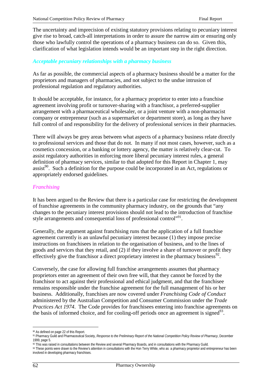The uncertainty and imprecision of existing statutory provisions relating to pecuniary interest give rise to broad, catch-all interpretations in order to assure the narrow aim or ensuring only those who lawfully control the operations of a pharmacy business can do so. Given this, clarification of what legislation intends would be an important step in the right direction.

### *Acceptable pecuniary relationships with a pharmacy business*

As far as possible, the commercial aspects of a pharmacy business should be a matter for the proprietors and managers of pharmacies, and not subject to the undue intrusion of professional regulation and regulatory authorities.

It should be acceptable, for instance, for a pharmacy proprietor to enter into a franchise agreement involving profit or turnover-sharing with a franchisor, a preferred-supplier arrangement with a pharmaceutical wholesaler, or a joint venture with a non-pharmacist company or entrepreneur (such as a supermarket or department store), as long as they have full control of and responsibility for the delivery of professional services in their pharmacies.

There will always be grey areas between what aspects of a pharmacy business relate directly to professional services and those that do not. In many if not most cases, however, such as a cosmetics concession, or a banking or lottery agency, the matter is relatively clear-cut. To assist regulatory authorities in enforcing more liberal pecuniary interest rules, a general definition of pharmacy services, similar to that adopted for this Report in Chapter 1, may assist<sup>90</sup>. Such a definition for the purpose could be incorporated in an Act, regulations or appropriately endorsed guidelines.

#### *Franchising*

It has been argued to the Review that there is a particular case for restricting the development of franchise agreements in the community pharmacy industry, on the grounds that "any changes to the pecuniary interest provisions should not lead to the introduction of franchise style arrangements and consequential loss of professional control"<sup>91</sup>.

Generally, the argument against franchising runs that the application of a full franchise agreement currently is an unlawful pecuniary interest because (1) they impose precise instructions on franchisees in relation to the organisation of business, and to the lines of goods and services that they retail, and (2) if they involve a share of turnover or profit they effectively give the franchisor a direct proprietary interest in the pharmacy business<sup>92</sup>.

Conversely, the case for allowing full franchise arrangements assumes that pharmacy proprietors enter an agreement of their own free will, that they cannot be forced by the franchisor to act against their professional and ethical judgment, and that the franchisee remains responsible under the franchise agreement for the full management of his or her business. Additionally, franchises are now covered under *Franchising Code of Conduct* administered by the Australian Competition and Consumer Commission under the *Trade Practices Act 1974*. The Code provides for franchisees entering into franchise agreements on the basis of informed choice, and for cooling-off periods once an agreement is signed $^{93}$ .

 $\overline{a}$ 90 As defined on page 22 of this Report.

<sup>91</sup> Pharmacy Guild and Pharmaceutical Society, *Response to the Preliminary Report of the National Competition Policy Review of Pharmacy*, December 1999, page 5.

<sup>&</sup>lt;sup>92</sup> This was raised in consultations between the Review and several Pharmacy Boards, and in consultations with the Pharmacy Guild.

<sup>93</sup> These points were drawn to the Review's attention in consultations with the Hon Terry White, who as a pharmacy proprietor and entrepreneur has been involved in developing pharmacy franchises.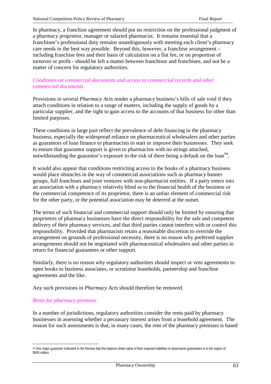In pharmacy, a franchise agreement should put no restriction on the professional judgment of a pharmacy proprietor, manager or salaried pharmacist. It remains essential that a franchisee's professional duty remains unambiguously with meeting each client's pharmacy care needs in the best way possible. Beyond this, however, a franchise arrangement – including franchise fees and their basis of calculation on a flat fee, or on proportion of turnover or profit - should be left a matter between franchisor and franchisee, and not be a matter of concern for regulatory authorities.

### *Conditions on commercial documents and access to commercial records and other commercial documents*

Provisions in several *Pharmacy Acts* render a pharmacy business's bills of sale void if they attach conditions in relation to a range of matters, including the supply of goods by a particular supplier, and the right to gain access to the accounts of that business for other than limited purposes.

These conditions in large part reflect the prevalence of debt financing in the pharmacy business, especially the widespread reliance on pharmaceutical wholesalers and other parties as guarantors of loan finance to pharmacists to start or improve their businesses. They seek to ensure that guarantor support is given to pharmacists with no strings attached, notwithstanding the guarantor's exposure to the risk of there being a default on the  $\alpha$ <sup>94</sup>.

It would also appear that conditions restricting access to the books of a pharmacy business would place obstacles in the way of commercial associations such as pharmacy banner groups, full franchises and joint ventures with non-pharmacist entities. If a party enters into an association with a pharmacy relatively blind as to the financial health of the business or the commercial competence of its proprietor, there is an unfair element of commercial risk for the other party, or the potential association may be deterred at the outset.

The terms of such financial and commercial support should only be limited by ensuring that proprietors of pharmacy businesses have the direct responsibility for the safe and competent delivery of their pharmacy services, and that third parties cannot interfere with or control this responsibility. Provided that pharmacists retain a reasonable discretion to override the arrangement on grounds of professional necessity, there is no reason why preferred supplier arrangements should not be negotiated with pharmaceutical wholesalers and other parties in return for financial guarantees or other support.

Similarly, there is no reason why regulatory authorities should inspect or veto agreements to open books to business associates, or scrutinise leaseholds, partnership and franchise agreements and the like.

Any such provisions in *Pharmacy Acts* should therefore be removed.

### *Rents for pharmacy premises*

In a number of jurisdictions, regulatory authorities consider the rents paid by pharmacy businesses in assessing whether a pecuniary interest arises from a leasehold agreement. The reason for such assessments is that, in many cases, the rent of the pharmacy premises is based

 $\overline{a}$ 94 One major guarantor indicated to the Review that the balance sheet value of their exposed liabilities to pharmacist guarantees is in the region of \$500 million.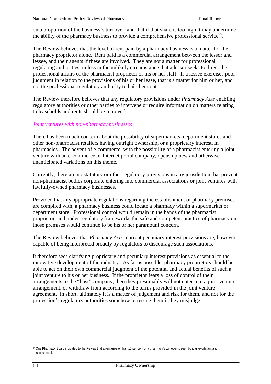on a proportion of the business's turnover, and that if that share is too high it may undermine the ability of the pharmacy business to provide a comprehensive professional service<sup>95</sup>.

The Review believes that the level of rent paid by a pharmacy business is a matter for the pharmacy proprietor alone. Rent paid is a commercial arrangement between the lessor and lessee, and their agents if these are involved. They are not a matter for professional regulating authorities, unless in the unlikely circumstance that a lessor seeks to direct the professional affairs of the pharmacist proprietor or his or her staff. If a lessee exercises poor judgment in relation to the provisions of his or her lease, that is a matter for him or her, and not the professional regulatory authority to bail them out.

The Review therefore believes that any regulatory provisions under *Pharmacy Acts* enabling regulatory authorities or other parties to intervene or require information on matters relating to leaseholds and rents should be removed.

#### *Joint ventures with non-pharmacy businesses*

There has been much concern about the possibility of supermarkets, department stores and other non-pharmacist retailers having outright ownership, or a proprietary interest, in pharmacies. The advent of e-commerce, with the possibility of a pharmacist entering a joint venture with an e-commerce or Internet portal company, opens up new and otherwise unanticipated variations on this theme.

Currently, there are no statutory or other regulatory provisions in any jurisdiction that prevent non-pharmacist bodies corporate entering into commercial associations or joint ventures with lawfully-owned pharmacy businesses.

Provided that any appropriate regulations regarding the establishment of pharmacy premises are complied with, a pharmacy business could locate a pharmacy within a supermarket or department store. Professional control would remain in the hands of the pharmacist proprietor, and under regulatory frameworks the safe and competent practice of pharmacy on those premises would continue to be his or her paramount concern.

The Review believes that *Pharmacy Acts'* current pecuniary interest provisions are, however, capable of being interpreted broadly by regulators to discourage such associations.

It therefore sees clarifying proprietary and pecuniary interest provisions as essential to the innovative development of the industry. As far as possible, pharmacy proprietors should be able to act on their own commercial judgment of the potential and actual benefits of such a joint venture to his or her business. If the proprietor fears a loss of control of their arrangements to the "host" company, then they presumably will not enter into a joint venture arrangement, or withdraw from according to the terms provided in the joint venture agreement. In short, ultimately it is a matter of judgement and risk for them, and not for the profession's regulatory authorities somehow to rescue them if they misjudge.

<sup>95</sup> One Pharmacy Board indicated to the Review that a rent greater than 10 per cent of a pharmacy's turnover is seen by it as exorbitant and unconscionable.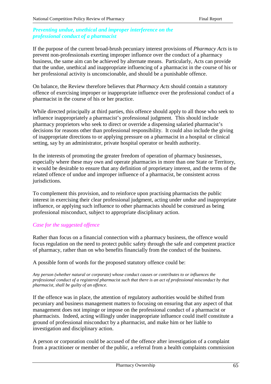### *Preventing undue, unethical and improper interference on the professional conduct of a pharmacist*

If the purpose of the current broad-brush pecuniary interest provisions of *Pharmacy Acts* is to prevent non-professionals exerting improper influence over the conduct of a pharmacy business, the same aim can be achieved by alternate means. Particularly, Acts can provide that the undue, unethical and inappropriate influencing of a pharmacist in the course of his or her professional activity is unconscionable, and should be a punishable offence.

On balance, the Review therefore believes that *Pharmacy Acts* should contain a statutory offence of exercising improper or inappropriate influence over the professional conduct of a pharmacist in the course of his or her practice.

While directed principally at third parties, this offence should apply to all those who seek to influence inappropriately a pharmacist's professional judgment. This should include pharmacy proprietors who seek to direct or override a dispensing salaried pharmacist's decisions for reasons other than professional responsibility. It could also include the giving of inappropriate directions to or applying pressure on a pharmacist in a hospital or clinical setting, say by an administrator, private hospital operator or health authority.

In the interests of promoting the greater freedom of operation of pharmacy businesses, especially where these may own and operate pharmacies in more than one State or Territory, it would be desirable to ensure that any definition of proprietary interest, and the terms of the related offence of undue and improper influence of a pharmacist, be consistent across jurisdictions.

To complement this provision, and to reinforce upon practising pharmacists the public interest in exercising their clear professional judgment, acting under undue and inappropriate influence, or applying such influence to other pharmacists should be construed as being professional misconduct, subject to appropriate disciplinary action.

### *Case for the suggested offence*

Rather than focus on a financial connection with a pharmacy business, the offence would focus regulation on the need to protect public safety through the safe and competent practice of pharmacy, rather than on who benefits financially from the conduct of the business.

A possible form of words for the proposed statutory offence could be:

*Any person (whether natural or corporate) whose conduct causes or contributes to or influences the professional conduct of a registered pharmacist such that there is an act of professional misconduct by that pharmacist, shall be guilty of an offence.*

If the offence was in place, the attention of regulatory authorities would be shifted from pecuniary and business management matters to focusing on ensuring that any aspect of that management does not impinge or impose on the professional conduct of a pharmacist or pharmacists. Indeed, acting willingly under inappropriate influence could itself constitute a ground of professional misconduct by a pharmacist, and make him or her liable to investigation and disciplinary action.

A person or corporation could be accused of the offence after investigation of a complaint from a practitioner or member of the public, a referral from a health complaints commission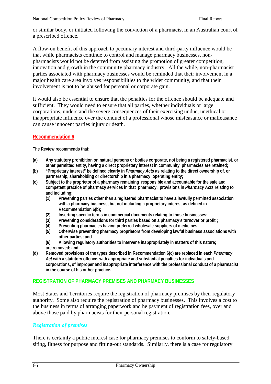or similar body, or initiated following the conviction of a pharmacist in an Australian court of a prescribed offence.

A flow-on benefit of this approach to pecuniary interest and third-party influence would be that while pharmacists continue to control and manage pharmacy businesses, nonpharmacists would not be deterred from assisting the promotion of greater competition, innovation and growth in the community pharmacy industry. All the while, non-pharmacist parties associated with pharmacy businesses would be reminded that their involvement in a major health care area involves responsibilities to the wider community, and that their involvement is not to be abused for personal or corporate gain.

It would also be essential to ensure that the penalties for the offence should be adequate and sufficient. They would need to ensure that all parties, whether individuals or large corporations, understand the severe consequences of their exercising undue, unethical or inappropriate influence over the conduct of a professional whose misfeasance or malfeasance can cause innocent parties injury or death.

### **Recommendation 6**

**The Review recommends that:**

- **(a) Any statutory prohibition on natural persons or bodies corporate, not being a registered pharmacist, or other permitted entity, having a direct proprietary interest in community pharmacies are retained;**
- **(b) "Proprietary interest" be defined clearly in** *Pharmacy Acts* **as relating to the direct ownership of, or partnership, shareholding or directorship in a pharmacy operating entity;**
- **(c) Subject to the proprietor of a pharmacy remaining responsible and accountable for the safe and competent practice of pharmacy services in that pharmacy, provisions in** *Pharmacy Acts* **relating to and including:**
	- **(1) Preventing parties other than a registered pharmacist to have a lawfully permitted association with a pharmacy business, but not including a proprietary interest as defined in Recommendation 6(b);**
	- **(2) Inserting specific terms in commercial documents relating to those businesses;**
	- **(3) Preventing considerations for third parties based on a pharmacy's turnover or profit ;**
	- **(4) Preventing pharmacies having preferred wholesale suppliers of medicines;**
	- **(5) Otherwise preventing pharmacy proprietors from developing lawful business associations with other parties; and**
	- **(6) Allowing regulatory authorities to intervene inappropriately in matters of this nature; are removed; and**
- **(d) Removed provisions of the types described in Recommendation 6(c) are replaced in each** *Pharmacy Act* **with a statutory offence, with appropriate and substantial penalties for individuals and corporations, of improper and inappropriate interference with the professional conduct of a pharmacist in the course of his or her practice.**

#### **REGISTRATION OF PHARMACY PREMISES AND PHARMACY BUSINESSES**

Most States and Territories require the registration of pharmacy premises by their regulatory authority. Some also require the registration of pharmacy businesses. This involves a cost to the business in terms of arranging paperwork and he payment of registration fees, over and above those paid by pharmacists for their personal registration.

#### *Registration of premises*

There is certainly a public interest case for pharmacy premises to conform to safety-based siting, fitness for purpose and fitting-out standards. Similarly, there is a case for regulatory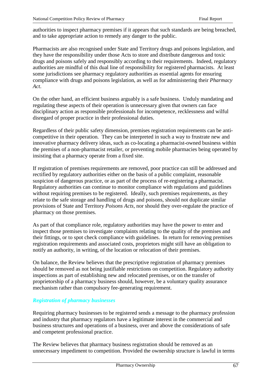authorities to inspect pharmacy premises if it appears that such standards are being breached, and to take appropriate action to remedy any danger to the public.

Pharmacists are also recognised under State and Territory drugs and poisons legislation, and they have the responsibility under those Acts to store and distribute dangerous and toxic drugs and poisons safely and responsibly according to their requirements. Indeed, regulatory authorities are mindful of this dual line of responsibility for registered pharmacists. At least some jurisdictions see pharmacy regulatory authorities as essential agents for ensuring compliance with drugs and poisons legislation, as well as for administering their *Pharmacy Act*.

On the other hand, an efficient business arguably is a safe business. Unduly mandating and regulating these aspects of their operation is unnecessary given that owners can face disciplinary action as responsible professionals for incompetence, recklessness and wilful disregard of proper practice in their professional duties.

Regardless of their public safety dimension, premises registration requirements can be anticompetitive in their operation. They can be interpreted in such a way to frustrate new and innovative pharmacy delivery ideas, such as co-locating a pharmacist-owned business within the premises of a non-pharmacist retailer, or preventing mobile pharmacies being operated by insisting that a pharmacy operate from a fixed site.

If registration of premises requirements are removed, poor practice can still be addressed and rectified by regulatory authorities either on the basis of a public complaint, reasonable suspicion of dangerous practice, or as part of the process of re-registering a pharmacist. Regulatory authorities can continue to monitor compliance with regulations and guidelines without requiring premises to be registered. Ideally, such premises requirements, as they relate to the safe storage and handling of drugs and poisons, should not duplicate similar provisions of State and Territory *Poisons Acts*, nor should they over-regulate the practice of pharmacy on those premises.

As part of that compliance role, regulatory authorities may have the power to enter and inspect those premises to investigate complaints relating to the quality of the premises and their fittings, or to spot check compliance with guidelines. In return for removing premises registration requirements and associated costs, proprietors might still have an obligation to notify an authority, in writing, of the location or relocation of their premises.

On balance, the Review believes that the prescriptive registration of pharmacy premises should be removed as not being justifiable restrictions on competition. Regulatory authority inspections as part of establishing new and relocated premises, or on the transfer of proprietorship of a pharmacy business should, however, be a voluntary quality assurance mechanism rather than compulsory fee-generating requirement.

### *Registration of pharmacy businesses*

Requiring pharmacy businesses to be registered sends a message to the pharmacy profession and industry that pharmacy regulators have a legitimate interest in the commercial and business structures and operations of a business, over and above the considerations of safe and competent professional practice.

The Review believes that pharmacy business registration should be removed as an unnecessary impediment to competition. Provided the ownership structure is lawful in terms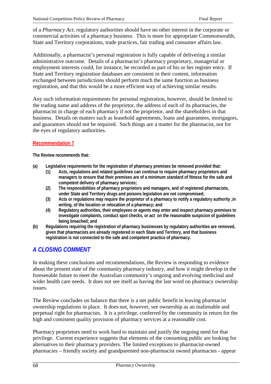of a *Pharmacy Act*, regulatory authorities should have no other interest in the corporate or commercial activities of a pharmacy business. This is more for appropriate Commonwealth, State and Territory corporations, trade practices, fair trading and consumer affairs law.

Additionally, a pharmacist's personal registration is fully capable of delivering a similar administrative outcome. Details of a pharmacist's pharmacy proprietary, managerial or employment interests could, for instance, be recorded as part of his or her register entry. If State and Territory registration databases are consistent in their content, information exchanged between jurisdictions should perform much the same function as business registration, and that this would be a more efficient way of achieving similar results.

Any such information requirements for personal registration, however, should be limited to the trading name and address of the proprietor, the address of each of its pharmacies, the pharmacist in charge of each pharmacy if not the proprietor, and the shareholders in that business. Details on matters such as leasehold agreements, loans and guarantees, mortgagors, and guarantors should not be required. Such things are a matter for the pharmacist, not for the eyes of regulatory authorities.

### **Recommendation 7**

#### **The Review recommends that:**

- **(a) Legislative requirements for the registration of pharmacy premises be removed provided that:**
	- **(1) Acts, regulations and related guidelines can continue to require pharmacy proprietors and managers to ensure that their premises are of a minimum standard of fitness for the safe and competent delivery of pharmacy services;**
	- **(2) The responsibilities of pharmacy proprietors and managers, and of registered pharmacists, under State and Territory drugs and poisons legislation are not compromised;**
	- **(3) Acts or regulations may require the proprietor of a pharmacy to notify a regulatory authority ,in writing, of the location or relocation of a pharmacy; and**
	- **(4) Regulatory authorities, their employees or agents may enter and inspect pharmacy premises to investigate complaints, conduct spot checks, or act on the reasonable suspicion of guidelines being breached; and**
- **(b) Regulations requiring the registration of pharmacy businesses by regulatory authorities are removed, given that pharmacists are already registered in each State and Territory, and that business registration is not connected to the safe and competent practice of pharmacy.**

# *A CLOSING COMMENT*

In making these conclusions and recommendations, the Review is responding to evidence about the present state of the community pharmacy industry, and how it might develop in the foreseeable future to meet the Australian community's ongoing and evolving medicinal and wider health care needs. It does not see itself as having the last word on pharmacy ownership issues.

The Review concludes on balance that there is a net public benefit in leaving pharmacist ownership regulations in place. It does not, however, see ownership as an inalienable and perpetual right for pharmacists. It is a privilege, conferred by the community in return for the high and consistent quality provision of pharmacy services at a reasonable cost.

Pharmacy proprietors need to work hard to maintain and justify the ongoing need for that privilege. Current experience suggests that elements of the consuming public are looking for alternatives to their pharmacy providers. The limited exceptions to pharmacist-owned pharmacies – friendly society and grandparented non-pharmacist owned pharmacies - appear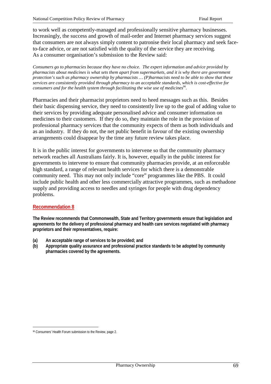to work well as competently-managed and professionally sensitive pharmacy businesses. Increasingly, the success and growth of mail-order and Internet pharmacy services suggest that consumers are not always simply content to patronise their local pharmacy and seek faceto-face advice, or are not satisfied with the quality of the service they are receiving. As a consumer organisation's submission to the Review said:

*Consumers go to pharmacies because they have no choice. The expert information and advice provided by pharmacists about medicines is what sets them apart from supermarkets, and it is why there are government protection's such as pharmacy ownership by pharmacists … (P)harmacists need to be able to show that these services are consistently provided through pharmacy to an acceptable standards, which is cost-effective for consumers and for the health system through facilitating the wise use of medicines*<sup>96</sup>.

Pharmacies and their pharmacist proprietors need to heed messages such as this. Besides their basic dispensing service, they need to consistently live up to the goal of adding value to their services by providing adequate personalised advice and consumer information on medicines to their customers. If they do so, they maintain the role in the provision of professional pharmacy services that the community expects of them as both individuals and as an industry. If they do not, the net public benefit in favour of the existing ownership arrangements could disappear by the time any future review takes place.

It is in the public interest for governments to intervene so that the community pharmacy network reaches all Australians fairly. It is, however, equally in the public interest for governments to intervene to ensure that community pharmacies provide, at an enforceable high standard, a range of relevant health services for which there is a demonstrable community need. This may not only include "core" programmes like the PBS. It could include public health and other less commercially attractive programmes, such as methadone supply and providing access to needles and syringes for people with drug dependency problems.

### **Recommendation 8**

**The Review recommends that Commonwealth, State and Territory governments ensure that legislation and agreements for the delivery of professional pharmacy and health care services negotiated with pharmacy proprietors and their representatives, require:**

- **(a) An acceptable range of services to be provided; and**
- **(b) Appropriate quality assurance and professional practice standards to be adopted by community pharmacies covered by the agreements.**

 $\overline{a}$ 96 Consumers' Health Forum submission to the Review, page 2.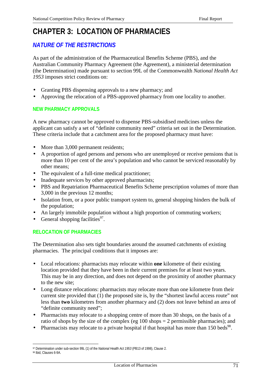# **CHAPTER 3: LOCATION OF PHARMACIES**

# *NATURE OF THE RESTRICTIONS*

As part of the administration of the Pharmaceutical Benefits Scheme (PBS), and the Australian Community Pharmacy Agreement (the Agreement), a ministerial determination (the Determination) made pursuant to section 99L of the Commonwealth *National Health Act 1953* imposes strict conditions on:

- Granting PBS dispensing approvals to a new pharmacy; and
- Approving the relocation of a PBS-approved pharmacy from one locality to another.

### **NEW PHARMACY APPROVALS**

A new pharmacy cannot be approved to dispense PBS-subsidised medicines unless the applicant can satisfy a set of "definite community need" criteria set out in the Determination. These criteria include that a catchment area for the proposed pharmacy must have:

- More than 3,000 permanent residents;
- A proportion of aged persons and persons who are unemployed or receive pensions that is more than 10 per cent of the area's population and who cannot be serviced reasonably by other means;
- The equivalent of a full-time medical practitioner;
- Inadequate services by other approved pharmacists;
- PBS and Repatriation Pharmaceutical Benefits Scheme prescription volumes of more than 3,000 in the previous 12 months;
- Isolation from, or a poor public transport system to, general shopping hinders the bulk of the population;
- An largely immobile population without a high proportion of commuting workers;
- General shopping facilities<sup>97</sup>.

### **RELOCATION OF PHARMACIES**

The Determination also sets tight boundaries around the assumed catchments of existing pharmacies. The principal conditions that it imposes are:

- Local relocations: pharmacists may relocate within **one** kilometre of their existing location provided that they have been in their current premises for at least two years. This may be in any direction, and does not depend on the proximity of another pharmacy to the new site;
- Long distance relocations: pharmacists may relocate more than one kilometre from their current site provided that (1) the proposed site is, by the "shortest lawful access route" not less than **two** kilometres from another pharmacy and (2) does not leave behind an area of "definite community need";
- Pharmacists may relocate to a shopping centre of more than 30 shops, on the basis of a ratio of shops by the size of the complex (eg 100 shops = 2 permissible pharmacies); and
- Pharmacists may relocate to a private hospital if that hospital has more than  $150$  beds<sup>98</sup>.

 $\overline{a}$ 97 Determination under sub-section 99L (1) of the *National Health Act 1953* (PB13 of 1998), Clause 2.

<sup>98</sup> Ibid, Clauses 6-9A.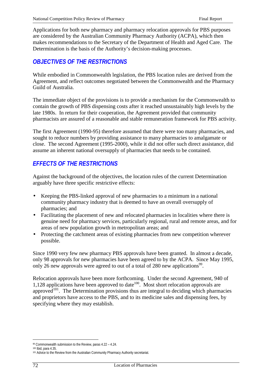Applications for both new pharmacy and pharmacy relocation approvals for PBS purposes are considered by the Australian Community Pharmacy Authority (ACPA), which then makes recommendations to the Secretary of the Department of Health and Aged Care. The Determination is the basis of the Authority's decision-making processes.

# *OBJECTIVES OF THE RESTRICTIONS*

While embodied in Commonwealth legislation, the PBS location rules are derived from the Agreement, and reflect outcomes negotiated between the Commonwealth and the Pharmacy Guild of Australia.

The immediate object of the provisions is to provide a mechanism for the Commonwealth to contain the growth of PBS dispensing costs after it reached unsustainably high levels by the late 1980s. In return for their cooperation, the Agreement provided that community pharmacists are assured of a reasonable and stable remuneration framework for PBS activity.

The first Agreement (1990-95) therefore assumed that there were too many pharmacies, and sought to reduce numbers by providing assistance to many pharmacies to amalgamate or close. The second Agreement (1995-2000), while it did not offer such direct assistance, did assume an inherent national oversupply of pharmacies that needs to be contained.

# *EFFECTS OF THE RESTRICTIONS*

Against the background of the objectives, the location rules of the current Determination arguably have three specific restrictive effects:

- Keeping the PBS-linked approval of new pharmacies to a minimum in a national community pharmacy industry that is deemed to have an overall oversupply of pharmacies; and
- Facilitating the placement of new and relocated pharmacies in localities where there is genuine need for pharmacy services, particularly regional, rural and remote areas, and for areas of new population growth in metropolitan areas; and
- Protecting the catchment areas of existing pharmacies from new competition wherever possible.

Since 1990 very few new pharmacy PBS approvals have been granted. In almost a decade, only 98 approvals for new pharmacies have been agreed to by the ACPA. Since May 1995, only 26 new approvals were agreed to out of a total of 280 new applications<sup>99</sup>.

Relocation approvals have been more forthcoming. Under the second Agreement, 940 of 1,128 applications have been approved to date<sup>100</sup>. Most short relocation approvals are approved<sup>101</sup>. The Determination provisions thus are integral to deciding which pharmacies and proprietors have access to the PBS, and to its medicine sales and dispensing fees, by specifying where they may establish.

 $\overline{a}$ 99 Commonwealth submission to the Review, paras 4.22 – 4.24.

<sup>100</sup> Ibid, para 4.35.

<sup>&</sup>lt;sup>101</sup> Advice to the Review from the Australian Community Pharmacy Authority secretariat.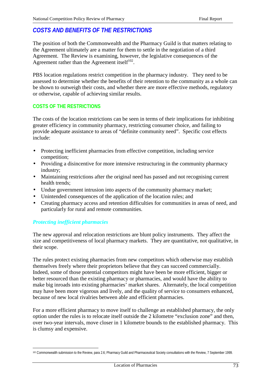# *COSTS AND BENEFITS OF THE RESTRICTIONS*

The position of both the Commonwealth and the Pharmacy Guild is that matters relating to the Agreement ultimately are a matter for them to settle in the negotiation of a third Agreement. The Review is examining, however, the legislative consequences of the Agreement rather than the Agreement itself $102$ .

PBS location regulations restrict competition in the pharmacy industry. They need to be assessed to determine whether the benefits of their retention to the community as a whole can be shown to outweigh their costs, and whether there are more effective methods, regulatory or otherwise, capable of achieving similar results.

# **COSTS OF THE RESTRICTIONS**

The costs of the location restrictions can be seen in terms of their implications for inhibiting greater efficiency in community pharmacy, restricting consumer choice, and failing to provide adequate assistance to areas of "definite community need". Specific cost effects include:

- Protecting inefficient pharmacies from effective competition, including service competition;
- Providing a disincentive for more intensive restructuring in the community pharmacy industry;
- Maintaining restrictions after the original need has passed and not recognising current health trends;
- Undue government intrusion into aspects of the community pharmacy market;
- Unintended consequences of the application of the location rules; and
- Creating pharmacy access and retention difficulties for communities in areas of need, and particularly for rural and remote communities.

# *Protecting inefficient pharmacies*

The new approval and relocation restrictions are blunt policy instruments. They affect the size and competitiveness of local pharmacy markets. They are quantitative, not qualitative, in their scope.

The rules protect existing pharmacies from new competitors which otherwise may establish themselves freely where their proprietors believe that they can succeed commercially. Indeed, some of those potential competitors might have been be more efficient, bigger or better resourced than the existing pharmacy or pharmacies, and would have the ability to make big inroads into existing pharmacies' market shares. Alternately, the local competition may have been more vigorous and lively, and the quality of service to consumers enhanced, because of new local rivalries between able and efficient pharmacies.

For a more efficient pharmacy to move itself to challenge an established pharmacy, the only option under the rules is to relocate itself outside the 2 kilometre "exclusion zone" and then, over two-year intervals, move closer in 1 kilometre bounds to the established pharmacy. This is clumsy and expensive.

 $\overline{a}$ 102 Commonwealth submission to the Review, para 2.6; Pharmacy Guild and Pharmaceutical Society consultations with the Review, 7 September 1999.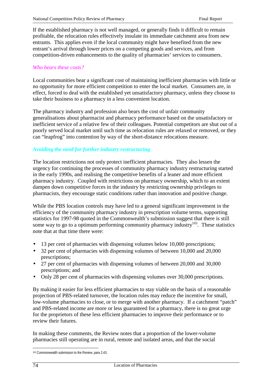If the established pharmacy is not well managed, or generally finds it difficult to remain profitable, the relocation rules effectively insulate its immediate catchment area from new entrants. This applies even if the local community might have benefited from the new entrant's arrival through lower prices on a competing goods and services, and from competition-driven enhancements to the quality of pharmacies' services to consumers.

#### *Who bears these costs?*

Local communities bear a significant cost of maintaining inefficient pharmacies with little or no opportunity for more efficient competition to enter the local market. Consumers are, in effect, forced to deal with the established yet unsatisfactory pharmacy, unless they choose to take their business to a pharmacy in a less convenient location.

The pharmacy industry and profession also bears the cost of unfair community generalisations about pharmacist and pharmacy performance based on the unsatisfactory or inefficient service of a relative few of their colleagues. Potential competitors are shut out of a poorly served local market until such time as relocation rules are relaxed or removed, or they can "leapfrog" into contention by way of the short-distance relocations measure.

# *Avoiding the need for further industry restructuring*

The location restrictions not only protect inefficient pharmacies. They also lessen the urgency for continuing the processes of community pharmacy industry restructuring started in the early 1990s, and realising the competitive benefits of a leaner and more efficient pharmacy industry. Coupled with restrictions on pharmacy ownership, which to an extent dampen down competitive forces in the industry by restricting ownership privileges to pharmacists, they encourage static conditions rather than innovation and positive change.

While the PBS location controls may have led to a general significant improvement in the efficiency of the community pharmacy industry in prescription volume terms, supporting statistics for 1997-98 quoted in the Commonwealth's submission suggest that there is still some way to go to a optimum performing community pharmacy industry<sup>103</sup>. These statistics note that at that time there were:

- 13 per cent of pharmacies with dispensing volumes below 10,000 prescriptions;
- 32 per cent of pharmacies with dispensing volumes of between 10,000 and 20,000 prescriptions;
- 27 per cent of pharmacies with dispensing volumes of between 20,000 and 30,000 prescriptions; and
- Only 28 per cent of pharmacies with dispensing volumes over 30,000 prescriptions.

By making it easier for less efficient pharmacies to stay viable on the basis of a reasonable projection of PBS-related turnover, the location rules may reduce the incentive for small, low-volume pharmacies to close, or to merge with another pharmacy. If a catchment "patch" and PBS-related income are more or less guaranteed for a pharmacy, there is no great urge for the proprietors of these less efficient pharmacies to improve their performance or to review their futures.

In making these comments, the Review notes that a proportion of the lower-volume pharmacies still operating are in rural, remote and isolated areas, and that the social

 $\overline{a}$ <sup>103</sup> Commonwealth submission to the Review, para 2.43.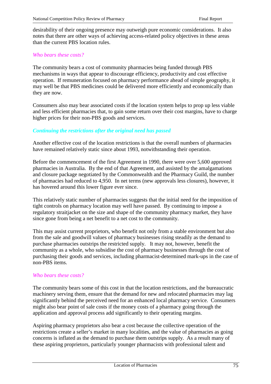desirability of their ongoing presence may outweigh pure economic considerations. It also notes that there are other ways of achieving access-related policy objectives in these areas than the current PBS location rules.

#### *Who bears these costs?*

The community bears a cost of community pharmacies being funded through PBS mechanisms in ways that appear to discourage efficiency, productivity and cost effective operation. If remuneration focused on pharmacy performance ahead of simple geography, it may well be that PBS medicines could be delivered more efficiently and economically than they are now.

Consumers also may bear associated costs if the location system helps to prop up less viable and less efficient pharmacies that, to gain some return over their cost margins, have to charge higher prices for their non-PBS goods and services.

# *Continuing the restrictions after the original need has passed*

Another effective cost of the location restrictions is that the overall numbers of pharmacies have remained relatively static since about 1993, notwithstanding their operation.

Before the commencement of the first Agreement in 1990, there were over 5,600 approved pharmacies in Australia. By the end of that Agreement, and assisted by the amalgamations and closure package negotiated by the Commonwealth and the Pharmacy Guild, the number of pharmacies had reduced to 4,950. In net terms (new approvals less closures), however, it has hovered around this lower figure ever since.

This relatively static number of pharmacies suggests that the initial need for the imposition of tight controls on pharmacy location may well have passed. By continuing to impose a regulatory straitjacket on the size and shape of the community pharmacy market, they have since gone from being a net benefit to a net cost to the community.

This may assist current proprietors, who benefit not only from a stable environment but also from the sale and goodwill values of pharmacy businesses rising steadily as the demand to purchase pharmacies outstrips the restricted supply. It may not, however, benefit the community as a whole, who subsidise the cost of pharmacy businesses through the cost of purchasing their goods and services, including pharmacist-determined mark-ups in the case of non-PBS items.

# *Who bears these costs?*

The community bears some of this cost in that the location restrictions, and the bureaucratic machinery serving them, ensure that the demand for new and relocated pharmacies may lag significantly behind the perceived need for an enhanced local pharmacy service. Consumers might also bear point of sale costs if the money costs of a pharmacy going through the application and approval process add significantly to their operating margins.

Aspiring pharmacy proprietors also bear a cost because the collective operation of the restrictions create a seller's market in many localities, and the value of pharmacies as going concerns is inflated as the demand to purchase them outstrips supply. As a result many of these aspiring proprietors, particularly younger pharmacists with professional talent and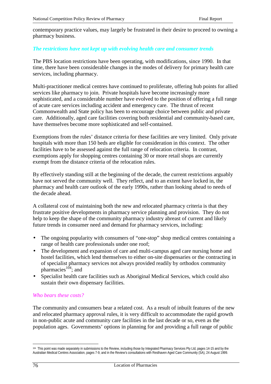contemporary practice values, may largely be frustrated in their desire to proceed to owning a pharmacy business.

#### *The restrictions have not kept up with evolving health care and consumer trends*

The PBS location restrictions have been operating, with modifications, since 1990. In that time, there have been considerable changes in the modes of delivery for primary health care services, including pharmacy.

Multi-practitioner medical centres have continued to proliferate, offering hub points for allied services like pharmacy to join. Private hospitals have become increasingly more sophisticated, and a considerable number have evolved to the position of offering a full range of acute care services including accident and emergency care. The thrust of recent Commonwealth and State policy has been to encourage choice between public and private care. Additionally, aged care facilities covering both residential and community-based care, have themselves become more sophisticated and self-contained.

Exemptions from the rules' distance criteria for these facilities are very limited. Only private hospitals with more than 150 beds are eligible for consideration in this context. The other facilities have to be assessed against the full range of relocation criteria. In contrast, exemptions apply for shopping centres containing 30 or more retail shops are currently exempt from the distance criteria of the relocation rules.

By effectively standing still at the beginning of the decade, the current restrictions arguably have not served the community well. They reflect, and to an extent have locked in, the pharmacy and health care outlook of the early 1990s, rather than looking ahead to needs of the decade ahead.

A collateral cost of maintaining both the new and relocated pharmacy criteria is that they frustrate positive developments in pharmacy service planning and provision. They do not help to keep the shape of the community pharmacy industry abreast of current and likely future trends in consumer need and demand for pharmacy services, including:

- The ongoing popularity with consumers of "one-stop" shop medical centres containing a range of health care professionals under one roof;
- The development and expansion of care and multi-campus aged care nursing home and hostel facilities, which lend themselves to either on-site dispensaries or the contracting in of specialist pharmacy services not always provided readily by orthodox community pharmacies $^{104}$ ; and
- Specialist health care facilities such as Aboriginal Medical Services, which could also sustain their own dispensary facilities.

#### *Who bears these costs?*

The community and consumers bear a related cost. As a result of inbuilt features of the new and relocated pharmacy approval rules, it is very difficult to accommodate the rapid growth in non-public acute and community care facilities in the last decade or so, even as the population ages. Governments' options in planning for and providing a full range of public

 $\overline{a}$ 104 This point was made separately in submissions to the Review, including those by Integrated Pharmacy Services Pty Ltd, pages 14-15 and by the Australian Medical Centres Association, pages 7-9, and in the Review's consultations with Resthaven Aged Care Community (SA), 24 August 1999.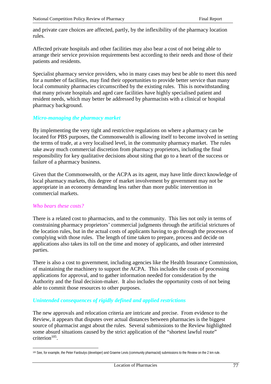and private care choices are affected, partly, by the inflexibility of the pharmacy location rules.

Affected private hospitals and other facilities may also bear a cost of not being able to arrange their service provision requirements best according to their needs and those of their patients and residents.

Specialist pharmacy service providers, who in many cases may best be able to meet this need for a number of facilities, may find their opportunities to provide better service than many local community pharmacies circumscribed by the existing rules. This is notwithstanding that many private hospitals and aged care facilities have highly specialised patient and resident needs, which may better be addressed by pharmacists with a clinical or hospital pharmacy background.

#### *Micro-managing the pharmacy market*

By implementing the very tight and restrictive regulations on where a pharmacy can be located for PBS purposes, the Commonwealth is allowing itself to become involved in setting the terms of trade, at a very localised level, in the community pharmacy market. The rules take away much commercial discretion from pharmacy proprietors, including the final responsibility for key qualitative decisions about siting that go to a heart of the success or failure of a pharmacy business.

Given that the Commonwealth, or the ACPA as its agent, may have little direct knowledge of local pharmacy markets, this degree of market involvement by government may not be appropriate in an economy demanding less rather than more public intervention in commercial markets.

#### *Who bears these costs?*

There is a related cost to pharmacists, and to the community. This lies not only in terms of constraining pharmacy proprietors' commercial judgments through the artificial strictures of the location rules, but in the actual costs of applicants having to go through the processes of complying with those rules. The length of time taken to prepare, process and decide on applications also takes its toll on the time and money of applicants, and other interested parties.

There is also a cost to government, including agencies like the Health Insurance Commission, of maintaining the machinery to support the ACPA. This includes the costs of processing applications for approval, and to gather information needed for consideration by the Authority and the final decision-maker. It also includes the opportunity costs of not being able to commit those resources to other purposes.

# *Unintended consequences of rigidly defined and applied restrictions*

The new approvals and relocation criteria are intricate and precise. From evidence to the Review, it appears that disputes over actual distances between pharmacies is the biggest source of pharmacist angst about the rules. Several submissions to the Review highlighted some absurd situations caused by the strict application of the "shortest lawful route" criterion $105$ .

 $\overline{a}$ 105 See, for example, the Peter Fardoulys (developer) and Graeme Levis (community pharmacist) submissions to the Review on the 2 km rule.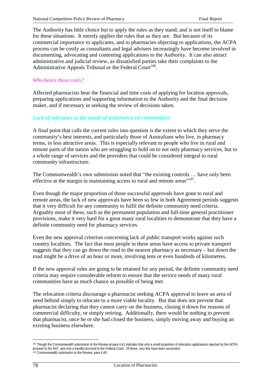The Authority has little choice but to apply the rules as they stand, and is not itself to blame for these situations. It merely applies the rules that as they are. But because of its commercial importance to applicants, and to pharmacies objecting to applications, the ACPA process can be costly as consultants and legal advisers increasingly have become involved in documenting, advocating and contesting applications to the Authority. It can also attract administrative and judicial review, as dissatisfied parties take their complaints to the Administrative Appeals Tribunal or the Federal Court<sup>106</sup>.

### *Who bears these costs?*

Affected pharmacists bear the financial and time costs of applying for location approvals, preparing applications and supporting information to the Authority and the final decision maker, and if necessary in seeking the review of decisions taken.

#### *Lack of relevance to the needs of underserviced communities*

A final point that calls the current rules into question is the extent to which they serve the community's best interests, and particularly those of Australians who live, in pharmacy terms, in less attractive areas. This is especially relevant to people who live in rural and remote parts of the nation who are struggling to hold on to not only pharmacy services, but to a whole range of services and the providers that could be considered integral to rural community infrastructure.

The Commonwealth's own submission noted that "the existing controls … have only been effective at the margin in maintaining access to rural and remote areas"<sup>107</sup>.

Even though the major proportion of those successful approvals have gone to rural and remote areas, the lack of new approvals have been so few in both Agreement periods suggests that it very difficult for any community to fulfil the definite community need criteria. Arguably most of these, such as the permanent population and full-time general practitioner provisions, make it very hard for a great many rural localities to demonstrate that they have a definite community need for pharmacy services.

Even the new approval criterion concerning lack of public transport works against such country localities. The fact that most people in these areas have access to private transport suggests that they can go down the road to the nearest pharmacy as necessary – but down the road might be a drive of an hour or more, involving tens or even hundreds of kilometres.

If the new approval rules are going to be retained for any period, the definite community need criteria may require considerable reform to ensure that the service needs of many rural communities have as much chance as possible of being met.

The relocation criteria discourage a pharmacist seeking ACPA approval to leave an area of need behind simply to relocate to a more viable locality. But that does not prevent that pharmacist declaring that they cannot carry on the business, closing it down for reasons of commercial difficulty, or simply retiring. Additionally, there would be nothing to prevent that pharmacist, once he or she had closed the business, simply moving away and buying an existing business elsewhere.

 $\overline{a}$ 

<sup>&</sup>lt;sup>106</sup> Though the Commonwealth submission to the Review at para 4.41 indicates that only a small proportion of relocation applications rejected by the ACPA proceed to the AAT, and only a handful proceed to the Federal Court. Of these, very few have been successful. 107 Commonwealth submission to the Review, para 4.49.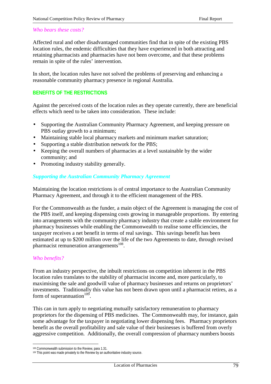#### *Who bears these costs?*

Affected rural and other disadvantaged communities find that in spite of the existing PBS location rules, the endemic difficulties that they have experienced in both attracting and retaining pharmacists and pharmacies have not been overcome, and that these problems remain in spite of the rules' intervention.

In short, the location rules have not solved the problems of preserving and enhancing a reasonable community pharmacy presence in regional Australia.

#### **BENEFITS OF THE RESTRICTIONS**

Against the perceived costs of the location rules as they operate currently, there are beneficial effects which need to be taken into consideration. These include:

- Supporting the Australian Community Pharmacy Agreement, and keeping pressure on PBS outlay growth to a minimum;
- Maintaining stable local pharmacy markets and minimum market saturation;
- Supporting a stable distribution network for the PBS;
- Keeping the overall numbers of pharmacies at a level sustainable by the wider community; and
- Promoting industry stability generally.

#### *Supporting the Australian Community Pharmacy Agreement*

Maintaining the location restrictions is of central importance to the Australian Community Pharmacy Agreement, and through it to the efficient management of the PBS.

For the Commonwealth as the funder, a main object of the Agreement is managing the cost of the PBS itself, and keeping dispensing costs growing in manageable proportions. By entering into arrangements with the community pharmacy industry that create a stable environment for pharmacy businesses while enabling the Commonwealth to realise some efficiencies, the taxpayer receives a net benefit in terms of real savings. This savings benefit has been estimated at up to \$200 million over the life of the two Agreements to date, through revised pharmacist remuneration arrangements<sup>108</sup>.

#### *Who benefits?*

From an industry perspective, the inbuilt restrictions on competition inherent in the PBS location rules translates to the stability of pharmacist income and, more particularly, to maximising the sale and goodwill value of pharmacy businesses and returns on proprietors' investments. Traditionally this value has not been drawn upon until a pharmacist retires, as a form of superannuation $109$ .

This can in turn apply to negotiating mutually satisfactory remuneration to pharmacy proprietors for the dispensing of PBS medicines. The Commonwealth may, for instance, gain some advantage for the taxpayer in negotiating lower dispensing fees. Pharmacy proprietors benefit as the overall profitability and sale value of their businesses is buffered from overly aggressive competition. Additionally, the overall compression of pharmacy numbers boosts

 $\overline{a}$ 108 Commonwealth submission to the Review, para 1.31.

<sup>&</sup>lt;sup>109</sup> This point was made privately to the Review by an authoritative industry source.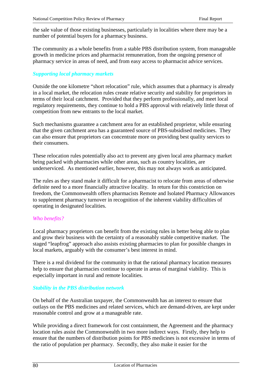the sale value of those existing businesses, particularly in localities where there may be a number of potential buyers for a pharmacy business.

The community as a whole benefits from a stable PBS distribution system, from manageable growth in medicine prices and pharmacist remuneration, from the ongoing presence of pharmacy service in areas of need, and from easy access to pharmacist advice services.

# *Supporting local pharmacy markets*

Outside the one kilometre "short relocation" rule, which assumes that a pharmacy is already in a local market, the relocation rules create relative security and stability for proprietors in terms of their local catchment. Provided that they perform professionally, and meet local regulatory requirements, they continue to hold a PBS approval with relatively little threat of competition from new entrants to the local market.

Such mechanisms guarantee a catchment area for an established proprietor, while ensuring that the given catchment area has a guaranteed source of PBS-subsidised medicines. They can also ensure that proprietors can concentrate more on providing best quality services to their consumers.

These relocation rules potentially also act to prevent any given local area pharmacy market being packed with pharmacies while other areas, such as country localities, are underserviced. As mentioned earlier, however, this may not always work as anticipated.

The rules as they stand make it difficult for a pharmacist to relocate from areas of otherwise definite need to a more financially attractive locality. In return for this constriction on freedom, the Commonwealth offers pharmacists Remote and Isolated Pharmacy Allowances to supplement pharmacy turnover in recognition of the inherent viability difficulties of operating in designated localities.

# *Who benefits?*

Local pharmacy proprietors can benefit from the existing rules in better being able to plan and grow their business with the certainty of a reasonably stable competitive market. The staged "leapfrog" approach also assists existing pharmacies to plan for possible changes in local markets, arguably with the consumer's best interest in mind.

There is a real dividend for the community in that the rational pharmacy location measures help to ensure that pharmacies continue to operate in areas of marginal viability. This is especially important in rural and remote localities.

# *Stability in the PBS distribution network*

On behalf of the Australian taxpayer, the Commonwealth has an interest to ensure that outlays on the PBS medicines and related services, which are demand-driven, are kept under reasonable control and grow at a manageable rate.

While providing a direct framework for cost containment, the Agreement and the pharmacy location rules assist the Commonwealth in two more indirect ways. Firstly, they help to ensure that the numbers of distribution points for PBS medicines is not excessive in terms of the ratio of population per pharmacy. Secondly, they also make it easier for the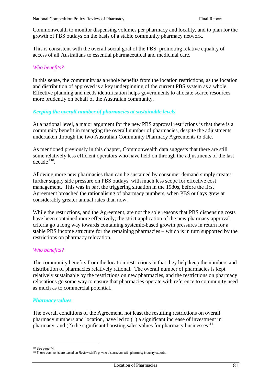Commonwealth to monitor dispensing volumes per pharmacy and locality, and to plan for the growth of PBS outlays on the basis of a stable community pharmacy network.

This is consistent with the overall social goal of the PBS: promoting relative equality of access of all Australians to essential pharmaceutical and medicinal care.

#### *Who benefits?*

In this sense, the community as a whole benefits from the location restrictions, as the location and distribution of approved is a key underpinning of the current PBS system as a whole. Effective planning and needs identification helps governments to allocate scarce resources more prudently on behalf of the Australian community.

#### *Keeping the overall number of pharmacies at sustainable levels*

At a national level, a major argument for the new PBS approval restrictions is that there is a community benefit in managing the overall number of pharmacies, despite the adjustments undertaken through the two Australian Community Pharmacy Agreements to date.

As mentioned previously in this chapter, Commonwealth data suggests that there are still some relatively less efficient operators who have held on through the adjustments of the last  $decade<sup>110</sup>$ .

Allowing more new pharmacies than can be sustained by consumer demand simply creates further supply side pressure on PBS outlays, with much less scope for effective cost management. This was in part the triggering situation in the 1980s, before the first Agreement broached the rationalising of pharmacy numbers, when PBS outlays grew at considerably greater annual rates than now.

While the restrictions, and the Agreement, are not the sole reasons that PBS dispensing costs have been contained more effectively, the strict application of the new pharmacy approval criteria go a long way towards containing systemic-based growth pressures in return for a stable PBS income structure for the remaining pharmacies – which is in turn supported by the restrictions on pharmacy relocation.

#### *Who benefits?*

The community benefits from the location restrictions in that they help keep the numbers and distribution of pharmacies relatively rational. The overall number of pharmacies is kept relatively sustainable by the restrictions on new pharmacies, and the restrictions on pharmacy relocations go some way to ensure that pharmacies operate with reference to community need as much as to commercial potential.

#### *Pharmacy values*

The overall conditions of the Agreement, not least the resulting restrictions on overall pharmacy numbers and location, have led to (1) a significant increase of investment in pharmacy; and (2) the significant boosting sales values for pharmacy businesses $^{111}$ .

 $\overline{a}$ 

<sup>110</sup> See page 74.

<sup>&</sup>lt;sup>111</sup> These comments are based on Review staff's private discussions with pharmacy industry experts.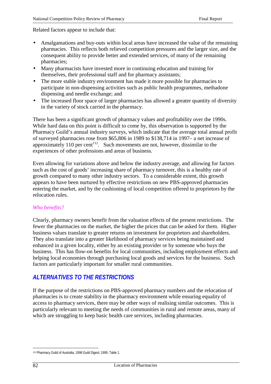Related factors appear to include that:

- Amalgamations and buy-outs within local areas have increased the value of the remaining pharmacies. This reflects both relieved competition pressures and the larger size, and the consequent ability to provide better and extended services, of many of the remaining pharmacies;
- Many pharmacists have invested more in continuing education and training for themselves, their professional staff and for pharmacy assistants;
- The more stable industry environment has made it more possible for pharmacies to participate in non-dispensing activities such as public health programmes, methadone dispensing and needle exchange; and
- The increased floor space of larger pharmacies has allowed a greater quantity of diversity in the variety of stock carried in the pharmacy.

There has been a significant growth of pharmacy values and profitability over the 1990s. While hard data on this point is difficult to come by, this observation is supported by the Pharmacy Guild's annual industry surveys, which indicate that the average total annual profit of surveyed pharmacies rose from \$65,806 in 1989 to \$138,714 in 1997– a net increase of approximately 110 per cent<sup>112</sup>. Such movements are not, however, dissimilar to the experiences of other professions and areas of business.

Even allowing for variations above and below the industry average, and allowing for factors such as the cost of goods' increasing share of pharmacy turnover, this is a healthy rate of growth compared to many other industry sectors. To a considerable extent, this growth appears to have been nurtured by effective restrictions on new PBS-approved pharmacies entering the market, and by the cushioning of local competition offered to proprietors by the relocation rules.

# *Who benefits?*

Clearly, pharmacy owners benefit from the valuation effects of the present restrictions. The fewer the pharmacies on the market, the higher the prices that can be asked for them. Higher business values translate to greater returns on investment for proprietors and shareholders. They also translate into a greater likelihood of pharmacy services being maintained and enhanced in a given locality, either by an existing provider or by someone who buys the business. This has flow-on benefits for local communities, including employment effects and helping local economies through purchasing local goods and services for the business. Such factors are particularly important for smaller rural communities.

# *ALTERNATIVES TO THE RESTRICTIONS*

If the purpose of the restrictions on PBS-approved pharmacy numbers and the relocation of pharmacies is to create stability in the pharmacy environment while ensuring equality of access to pharmacy services, there may be other ways of realising similar outcomes. This is particularly relevant to meeting the needs of communities in rural and remote areas, many of which are struggling to keep basic health care services, including pharmacies.

 $\overline{a}$ 112 Pharmacy Guild of Australia, *1998 Guild Digest*, 1999, Table 1.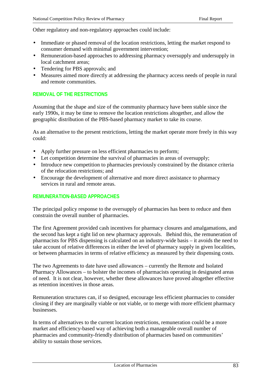Other regulatory and non-regulatory approaches could include:

- Immediate or phased removal of the location restrictions, letting the market respond to consumer demand with minimal government intervention;
- Remuneration-based approaches to addressing pharmacy oversupply and undersupply in local catchment areas;
- Tendering for PBS approvals; and
- Measures aimed more directly at addressing the pharmacy access needs of people in rural and remote communities.

# **REMOVAL OF THE RESTRICTIONS**

Assuming that the shape and size of the community pharmacy have been stable since the early 1990s, it may be time to remove the location restrictions altogether, and allow the geographic distribution of the PBS-based pharmacy market to take its course.

As an alternative to the present restrictions, letting the market operate more freely in this way could:

- Apply further pressure on less efficient pharmacies to perform;
- Let competition determine the survival of pharmacies in areas of oversupply;
- Introduce new competition to pharmacies previously constrained by the distance criteria of the relocation restrictions; and
- Encourage the development of alternative and more direct assistance to pharmacy services in rural and remote areas.

#### **REMUNERATION-BASED APPROACHES**

The principal policy response to the oversupply of pharmacies has been to reduce and then constrain the overall number of pharmacies.

The first Agreement provided cash incentives for pharmacy closures and amalgamations, and the second has kept a tight lid on new pharmacy approvals. Behind this, the remuneration of pharmacists for PBS dispensing is calculated on an industry-wide basis – it avoids the need to take account of relative differences in either the level of pharmacy supply in given localities, or between pharmacies in terms of relative efficiency as measured by their dispensing costs.

The two Agreements to date have used allowances – currently the Remote and Isolated Pharmacy Allowances – to bolster the incomes of pharmacists operating in designated areas of need. It is not clear, however, whether these allowances have proved altogether effective as retention incentives in those areas.

Remuneration structures can, if so designed, encourage less efficient pharmacies to consider closing if they are marginally viable or not viable, or to merge with more efficient pharmacy businesses.

In terms of alternatives to the current location restrictions, remuneration could be a more market and efficiency-based way of achieving both a manageable overall number of pharmacies and community-friendly distribution of pharmacies based on communities' ability to sustain those services.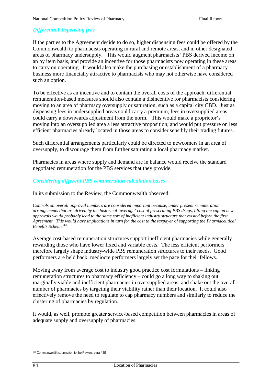#### *Differential dispensing fees*

If the parties to the Agreement decide to do so, higher dispensing fees could be offered by the Commonwealth to pharmacists operating in rural and remote areas, and in other designated areas of pharmacy undersupply. This would augment pharmacists' PBS derived income on an by item basis, and provide an incentive for those pharmacists now operating in these areas to carry on operating. It would also make the purchasing or establishment of a pharmacy business more financially attractive to pharmacists who may not otherwise have considered such an option.

To be effective as an incentive and to contain the overall costs of the approach, differential remuneration-based measures should also contain a disincentive for pharmacists considering moving to an area of pharmacy oversupply or saturation, such as a capital city CBD. Just as dispensing fees in undersupplied areas could carry a premium, fees in oversupplied areas could carry a downwards adjustment from the norm. This would make a proprietor's moving into an oversupplied area a less attractive proposition, and would put pressure on less efficient pharmacies already located in those areas to consider sensibly their trading futures.

Such differential arrangements particularly could be directed to newcomers in an area of oversupply, to discourage them from further saturating a local pharmacy market.

Pharmacies in areas where supply and demand are in balance would receive the standard negotiated remuneration for the PBS services that they provide.

#### *Considering different PBS remuneration calculation bases*

In its submission to the Review, the Commonwealth observed:

*Controls on overall approval numbers are considered important because, under present remuneration arrangements that are driven by the historical 'average' cost of prescribing PBS drugs, lifting the cap on new approvals would probably lead to the same sort of inefficient industry structure that existed before the first Agreement. This would have implications in turn for the cost to the taxpayer of supporting the Pharmaceutical Benefits Scheme*<sup>113</sup>.

Average cost-based remuneration structures support inefficient pharmacies while generally rewarding those who have lower fixed and variable costs. The less efficient performers therefore largely shape industry-wide PBS remuneration structures to their needs. Good performers are held back: mediocre performers largely set the pace for their fellows.

Moving away from average cost to industry good practice cost formulations – linking remuneration structures to pharmacy efficiency – could go a long way to shaking out marginally viable and inefficient pharmacies in oversupplied areas, and shake out the overall number of pharmacies by targeting their viability rather than their location. It could also effectively remove the need to regulate to cap pharmacy numbers and similarly to reduce the clustering of pharmacies by regulation.

It would, as well, promote greater service-based competition between pharmacies in areas of adequate supply and oversupply of pharmacies.

 $\overline{a}$ 113 Commonwealth submission to the Review, para 4.56.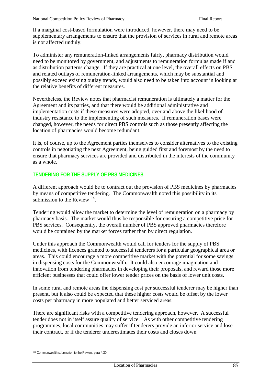If a marginal cost-based formulation were introduced, however, there may need to be supplementary arrangements to ensure that the provision of services in rural and remote areas is not affected unduly.

To administer any remuneration-linked arrangements fairly, pharmacy distribution would need to be monitored by government, and adjustments to remuneration formulas made if and as distribution patterns change. If they are practical at one level, the overall effects on PBS and related outlays of remuneration-linked arrangements, which may be substantial and possibly exceed existing outlay trends, would also need to be taken into account in looking at the relative benefits of different measures.

Nevertheless, the Review notes that pharmacist remuneration is ultimately a matter for the Agreement and its parties, and that there would be additional administrative and implementation costs if these measures were adopted, over and above the likelihood of industry resistance to the implementing of such measures. If remuneration bases were changed, however, the needs for direct PBS controls such as those presently affecting the location of pharmacies would become redundant.

It is, of course, up to the Agreement parties themselves to consider alternatives to the existing controls in negotiating the next Agreement, being guided first and foremost by the need to ensure that pharmacy services are provided and distributed in the interests of the community as a whole.

#### **TENDERING FOR THE SUPPLY OF PBS MEDICINES**

A different approach would be to contract out the provision of PBS medicines by pharmacies by means of competitive tendering. The Commonwealth noted this possibility in its submission to the Review<sup>114</sup>.

Tendering would allow the market to determine the level of remuneration on a pharmacy by pharmacy basis. The market would thus be responsible for ensuring a competitive price for PBS services. Consequently, the overall number of PBS approved pharmacies therefore would be contained by the market forces rather than by direct regulation.

Under this approach the Commonwealth would call for tenders for the supply of PBS medicines, with licences granted to successful tenderers for a particular geographical area or areas. This could encourage a more competitive market with the potential for some savings in dispensing costs for the Commonwealth. It could also encourage imagination and innovation from tendering pharmacies in developing their proposals, and reward those more efficient businesses that could offer lower tender prices on the basis of lower unit costs.

In some rural and remote areas the dispensing cost per successful tenderer may be higher than present, but it also could be expected that these higher costs would be offset by the lower costs per pharmacy in more populated and better serviced areas.

There are significant risks with a competitive tendering approach, however. A successful tender does not in itself assure quality of service. As with other competitive tendering programmes, local communities may suffer if tenderers provide an inferior service and lose their contract, or if the tenderer underestimates their costs and closes down.

 $\overline{a}$ 114 Commonwealth submission to the Review, para 4.30.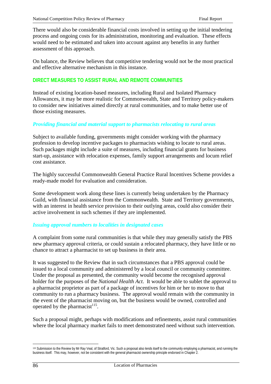There would also be considerable financial costs involved in setting up the initial tendering process and ongoing costs for its administration, monitoring and evaluation. These effects would need to be estimated and taken into account against any benefits in any further assessment of this approach.

On balance, the Review believes that competitive tendering would not be the most practical and effective alternative mechanism in this instance.

### **DIRECT MEASURES TO ASSIST RURAL AND REMOTE COMMUNITIES**

Instead of existing location-based measures, including Rural and Isolated Pharmacy Allowances, it may be more realistic for Commonwealth, State and Territory policy-makers to consider new initiatives aimed directly at rural communities, and to make better use of those existing measures.

#### *Providing financial and material support to pharmacists relocating to rural areas*

Subject to available funding, governments might consider working with the pharmacy profession to develop incentive packages to pharmacists wishing to locate to rural areas. Such packages might include a suite of measures, including financial grants for business start-up, assistance with relocation expenses, family support arrangements and locum relief cost assistance.

The highly successful Commonwealth General Practice Rural Incentives Scheme provides a ready-made model for evaluation and consideration.

Some development work along these lines is currently being undertaken by the Pharmacy Guild, with financial assistance from the Commonwealth. State and Territory governments, with an interest in health service provision to their outlying areas, could also consider their active involvement in such schemes if they are implemented.

#### *Issuing approval numbers to localities in designated cases*

A complaint from some rural communities is that while they may generally satisfy the PBS new pharmacy approval criteria, or could sustain a relocated pharmacy, they have little or no chance to attract a pharmacist to set up business in their area.

It was suggested to the Review that in such circumstances that a PBS approval could be issued to a local community and administered by a local council or community committee. Under the proposal as presented, the community would become the recognised approval holder for the purposes of the *National Health Act*. It would be able to sublet the approval to a pharmacist proprietor as part of a package of incentives for him or her to move to that community to run a pharmacy business. The approval would remain with the community in the event of the pharmacist moving on, but the business would be owned, controlled and operated by the pharmacist<sup>115</sup>.

Such a proposal might, perhaps with modifications and refinements, assist rural communities where the local pharmacy market fails to meet demonstrated need without such intervention.

 $\overline{a}$ 

<sup>115</sup> Submission to the Review by Mr Ray Veal, of Stratford, Vic. Such a proposal also lends itself to the community employing a pharmacist, and running the business itself. This may, however, not be consistent with the general pharmacist ownership principle endorsed in Chapter 2.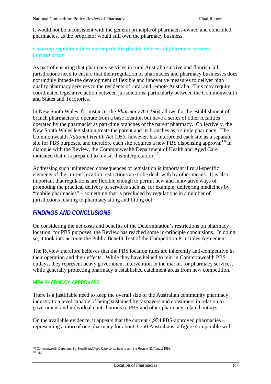It would not be inconsistent with the general principle of pharmacist-owned and controlled pharmacies, as the proprietor would still own the pharmacy business.

# *Ensuring regulation does not impede the flexible delivery of pharmacy services in rural areas*

As part of ensuring that pharmacy services in rural Australia survive and flourish, all jurisdictions need to ensure that their regulation of pharmacies and pharmacy businesses does not unduly impede the development of flexible and innovative measures to deliver high quality pharmacy services to the residents of rural and remote Australia. This may require coordinated legislative action between jurisdictions, particularly between the Commonwealth and States and Territories.

In New South Wales, for instance, the *Pharmacy Act 1964* allows for the establishment of branch pharmacies to operate from a base location but have a series of other localities operated by the pharmacist as part-time branches of the parent pharmacy. Collectively, the New South Wales legislation treats the parent and its branches as a single pharmacy. The Commonwealth *National Health Act 1953*, however, has interpreted each site as a separate site for PBS purposes, and therefore each site requires a new PBS dispensing approval  $116$ In dialogue with the Review, the Commonwealth Department of Health and Aged Care indicated that it is prepared to revisit this interpretation<sup>117</sup>.

Addressing such unintended consequences of legislation is important if rural-specific elements of the current location restrictions are to be dealt with by other means. It is also important that regulations are flexible enough to permit new and innovative ways of promoting the practical delivery of services such as, for example, delivering medicines by "mobile pharmacies" – something that is precluded by regulations in a number of jurisdictions relating to pharmacy siting and fitting out.

# *FINDINGS AND CONCLUSIONS*

On considering the net costs and benefits of the Determination's restrictions on pharmacy location, for PBS purposes, the Review has reached some in-principle conclusions. In doing so, it took into account the Public Benefit Test of the Competition Principles Agreement.

The Review therefore believes that the PBS location rules are inherently anti-competitive in their operation and their effects. While they have helped to rein in Commonwealth PBS outlays, they represent heavy government intervention in the market for pharmacy services, while generally protecting pharmacy's established catchment areas from new competition.

#### **NEW PHARMACY APPROVALS**

There is a justifiable need to keep the overall size of the Australian community pharmacy industry to a level capable of being sustained by taxpayers and consumers in relation to government and individual contributions to PBS and other pharmacy-related outlays.

On the available evidence, it appears that the current 4,954 PBS-approved pharmacies – representing a ratio of one pharmacy for about 3,750 Australians, a figure comparable with

 $\overline{a}$ 116 Commonwealth Department of Health and Aged Care consultations with the Review, 31 August 1999. 117 Ibid.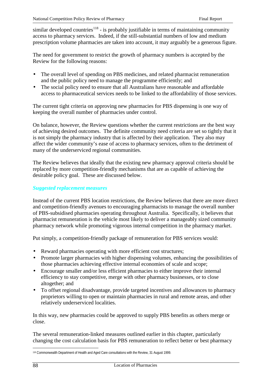similar developed countries<sup>118</sup> - is probably justifiable in terms of maintaining community access to pharmacy services. Indeed, if the still-substantial numbers of low and medium prescription volume pharmacies are taken into account, it may arguably be a generous figure.

The need for government to restrict the growth of pharmacy numbers is accepted by the Review for the following reasons:

- The overall level of spending on PBS medicines, and related pharmacist remuneration and the public policy need to manage the programme efficiently; and
- The social policy need to ensure that all Australians have reasonable and affordable access to pharmaceutical services needs to be linked to the affordability of those services.

The current tight criteria on approving new pharmacies for PBS dispensing is one way of keeping the overall number of pharmacies under control.

On balance, however, the Review questions whether the current restrictions are the best way of achieving desired outcomes. The definite community need criteria are set so tightly that it is not simply the pharmacy industry that is affected by their application. They also may affect the wider community's ease of access to pharmacy services, often to the detriment of many of the underserviced regional communities.

The Review believes that ideally that the existing new pharmacy approval criteria should be replaced by more competition-friendly mechanisms that are as capable of achieving the desirable policy goal. These are discussed below.

# *Suggested replacement measures*

Instead of the current PBS location restrictions, the Review believes that there are more direct and competition-friendly avenues to encouraging pharmacists to manage the overall number of PBS-subsidised pharmacies operating throughout Australia. Specifically, it believes that pharmacist remuneration is the vehicle most likely to deliver a manageably sized community pharmacy network while promoting vigorous internal competition in the pharmacy market.

Put simply, a competition-friendly package of remuneration for PBS services would:

- Reward pharmacies operating with more efficient cost structures;
- Promote larger pharmacies with higher dispensing volumes, enhancing the possibilities of those pharmacies achieving effective internal economies of scale and scope;
- Encourage smaller and/or less efficient pharmacies to either improve their internal efficiency to stay competitive, merge with other pharmacy businesses, or to close altogether; and
- To offset regional disadvantage, provide targeted incentives and allowances to pharmacy proprietors willing to open or maintain pharmacies in rural and remote areas, and other relatively underserviced localities.

In this way, new pharmacies could be approved to supply PBS benefits as others merge or close.

The several remuneration-linked measures outlined earlier in this chapter, particularly changing the cost calculation basis for PBS remuneration to reflect better or best pharmacy

 $\overline{a}$ <sup>118</sup> Commonwealth Department of Health and Aged Care consultations with the Review, 31 August 1999.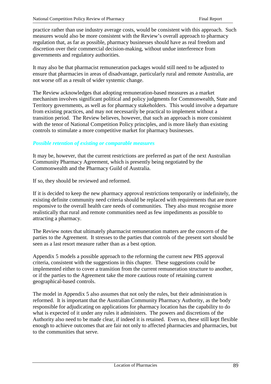practice rather than use industry average costs, would be consistent with this approach. Such measures would also be more consistent with the Review's overall approach to pharmacy regulation that, as far as possible, pharmacy businesses should have as real freedom and discretion over their commercial decision-making, without undue interference from governments and regulatory authorities.

It may also be that pharmacist remuneration packages would still need to be adjusted to ensure that pharmacies in areas of disadvantage, particularly rural and remote Australia, are not worse off as a result of wider systemic change.

The Review acknowledges that adopting remuneration-based measures as a market mechanism involves significant political and policy judgments for Commonwealth, State and Territory governments, as well as for pharmacy stakeholders. This would involve a departure from existing practices, and may not necessarily be practical to implement without a transition period. The Review believes, however, that such an approach is more consistent with the tenor of National Competition Policy principles, and is more likely than existing controls to stimulate a more competitive market for pharmacy businesses.

# *Possible retention of existing or comparable measures*

It may be, however, that the current restrictions are preferred as part of the next Australian Community Pharmacy Agreement, which is presently being negotiated by the Commonwealth and the Pharmacy Guild of Australia.

If so, they should be reviewed and reformed.

If it is decided to keep the new pharmacy approval restrictions temporarily or indefinitely, the existing definite community need criteria should be replaced with requirements that are more responsive to the overall health care needs of communities. They also must recognise more realistically that rural and remote communities need as few impediments as possible to attracting a pharmacy.

The Review notes that ultimately pharmacist remuneration matters are the concern of the parties to the Agreement. It stresses to the parties that controls of the present sort should be seen as a last resort measure rather than as a best option.

Appendix 5 models a possible approach to the reforming the current new PBS approval criteria, consistent with the suggestions in this chapter. These suggestions could be implemented either to cover a transition from the current remuneration structure to another, or if the parties to the Agreement take the more cautious route of retaining current geographical-based controls.

The model in Appendix 5 also assumes that not only the rules, but their administration is reformed. It is important that the Australian Community Pharmacy Authority, as the body responsible for adjudicating on applications for pharmacy location has the capability to do what is expected of it under any rules it administers. The powers and discretions of the Authority also need to be made clear, if indeed it is retained. Even so, these still kept flexible enough to achieve outcomes that are fair not only to affected pharmacies and pharmacies, but to the communities that serve.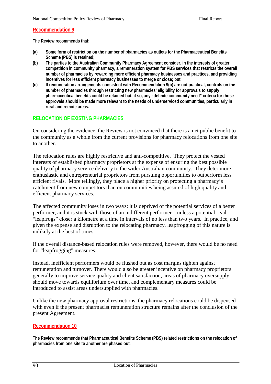#### **Recommendation 9**

**The Review recommends that:**

- **(a) Some form of restriction on the number of pharmacies as outlets for the Pharmaceutical Benefits Scheme (PBS) is retained;**
- **(b) The parties to the Australian Community Pharmacy Agreement consider, in the interests of greater competition in community pharmacy, a remuneration system for PBS services that restricts the overall number of pharmacies by rewarding more efficient pharmacy businesses and practices, and providing incentives for less efficient pharmacy businesses to merge or close; but**
- **(c) If remuneration arrangements consistent with Recommendation 9(b) are not practical, controls on the number of pharmacies through restricting new pharmacies' eligibility for approvals to supply pharmaceutical benefits could be retained but, if so, any "definite community need" criteria for those approvals should be made more relevant to the needs of underserviced communities, particularly in rural and remote areas.**

#### **RELOCATION OF EXISTING PHARMACIES**

On considering the evidence, the Review is not convinced that there is a net public benefit to the community as a whole from the current provisions for pharmacy relocations from one site to another.

The relocation rules are highly restrictive and anti-competitive. They protect the vested interests of established pharmacy proprietors at the expense of ensuring the best possible quality of pharmacy service delivery to the wider Australian community. They deter more enthusiastic and entrepreneurial proprietors from pursuing opportunities to outperform less efficient rivals. More tellingly, they place a higher priority on protecting a pharmacy's catchment from new competitors than on communities being assured of high quality and efficient pharmacy services.

The affected community loses in two ways: it is deprived of the potential services of a better performer, and it is stuck with those of an indifferent performer – unless a potential rival "leapfrogs" closer a kilometre at a time in intervals of no less than two years. In practice, and given the expense and disruption to the relocating pharmacy, leapfrogging of this nature is unlikely at the best of times.

If the overall distance-based relocation rules were removed, however, there would be no need for "leapfrogging" measures.

Instead, inefficient performers would be flushed out as cost margins tighten against remuneration and turnover. There would also be greater incentive on pharmacy proprietors generally to improve service quality and client satisfaction, areas of pharmacy oversupply should move towards equilibrium over time, and complementary measures could be introduced to assist areas undersupplied with pharmacies.

Unlike the new pharmacy approval restrictions, the pharmacy relocations could be dispensed with even if the present pharmacist remuneration structure remains after the conclusion of the present Agreement.

#### **Recommendation 10**

**The Review recommends that Pharmaceutical Benefits Scheme (PBS) related restrictions on the relocation of pharmacies from one site to another are phased out.**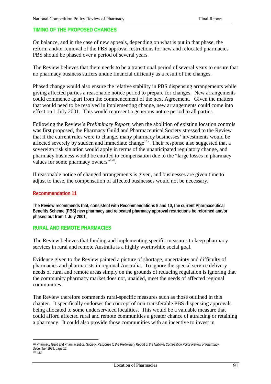# **TIMING OF THE PROPOSED CHANGES**

On balance, and in the case of new appeals, depending on what is put in that phase, the reform and/or removal of the PBS approval restrictions for new and relocated pharmacies PBS should be phased over a period of several years.

The Review believes that there needs to be a transitional period of several years to ensure that no pharmacy business suffers undue financial difficulty as a result of the changes.

Phased change would also ensure the relative stability in PBS dispensing arrangements while giving affected parties a reasonable notice period to prepare for changes. New arrangements could commence apart from the commencement of the next Agreement. Given the matters that would need to be resolved in implementing change, new arrangements could come into effect on 1 July 2001. This would represent a generous notice period to all parties.

Following the Review's *Preliminary Report*, when the abolition of existing location controls was first proposed, the Pharmacy Guild and Pharmaceutical Society stressed to the Review that if the current rules were to change, many pharmacy businesses' investments would be affected severely by sudden and immediate change<sup>119</sup>. Their response also suggested that a sovereign risk situation would apply in terms of the unanticipated regulatory change, and pharmacy business would be entitled to compensation due to the "large losses in pharmacy values for some pharmacy owners"<sup>120</sup>.

If reasonable notice of changed arrangements is given, and businesses are given time to adjust to these, the compensation of affected businesses would not be necessary.

#### **Recommendation 11**

**The Review recommends that, consistent with Recommendations 9 and 10, the current Pharmaceutical Benefits Scheme (PBS) new pharmacy and relocated pharmacy approval restrictions be reformed and/or phased out from 1 July 2001.**

#### **RURAL AND REMOTE PHARMACIES**

The Review believes that funding and implementing specific measures to keep pharmacy services in rural and remote Australia is a highly worthwhile social goal.

Evidence given to the Review painted a picture of shortage, uncertainty and difficulty of pharmacies and pharmacists in regional Australia. To ignore the special service delivery needs of rural and remote areas simply on the grounds of reducing regulation is ignoring that the community pharmacy market does not, unaided, meet the needs of affected regional communities.

The Review therefore commends rural-specific measures such as those outlined in this chapter. It specifically endorses the concept of non-transferable PBS dispensing approvals being allocated to some underserviced localities. This would be a valuable measure that could afford affected rural and remote communities a greater chance of attracting or retaining a pharmacy. It could also provide those communities with an incentive to invest in

 $\overline{a}$ 119 Pharmacy Guild and Pharmaceutical Society, *Response to the Preliminary Report of the National Competition Policy Review of Pharmacy*, December 1999, page 12. 120 Ibid.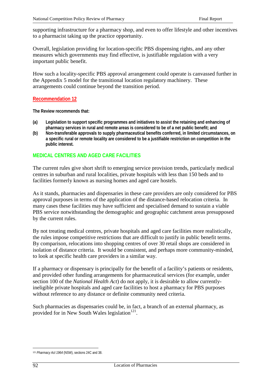supporting infrastructure for a pharmacy shop, and even to offer lifestyle and other incentives to a pharmacist taking up the practice opportunity.

Overall, legislation providing for location-specific PBS dispensing rights, and any other measures which governments may find effective, is justifiable regulation with a very important public benefit.

How such a locality-specific PBS approval arrangement could operate is canvassed further in the Appendix 5 model for the transitional location regulatory machinery. These arrangements could continue beyond the transition period.

#### **Recommendation 12**

**The Review recommends that:**

- **(a) Legislation to support specific programmes and initiatives to assist the retaining and enhancing of pharmacy services in rural and remote areas is considered to be of a net public benefit; and**
- **(b) Non-transferable approvals to supply pharmaceutical benefits conferred, in limited circumstances, on a specific rural or remote locality are considered to be a justifiable restriction on competition in the public interest.**

# **MEDICAL CENTRES AND AGED CARE FACILITIES**

The current rules give short shrift to emerging service provision trends, particularly medical centres in suburban and rural localities, private hospitals with less than 150 beds and to facilities formerly known as nursing homes and aged care hostels.

As it stands, pharmacies and dispensaries in these care providers are only considered for PBS approval purposes in terms of the application of the distance-based relocation criteria. In many cases these facilities may have sufficient and specialised demand to sustain a viable PBS service notwithstanding the demographic and geographic catchment areas presupposed by the current rules.

By not treating medical centres, private hospitals and aged care facilities more realistically, the rules impose competitive restrictions that are difficult to justify in public benefit terms. By comparison, relocations into shopping centres of over 30 retail shops are considered in isolation of distance criteria. It would be consistent, and perhaps more community-minded, to look at specific health care providers in a similar way.

If a pharmacy or dispensary is principally for the benefit of a facility's patients or residents, and provided other funding arrangements for pharmaceutical services (for example, under section 100 of the *National Health Act*) do not apply, it is desirable to allow currentlyineligible private hospitals and aged care facilities to host a pharmacy for PBS purposes without reference to any distance or definite community need criteria.

Such pharmacies as dispensaries could be, in fact, a branch of an external pharmacy, as provided for in New South Wales legislation<sup>121</sup>.

 $\overline{a}$ <sup>121</sup> *Pharmacy Act 1964* (NSW), sections 24C and 38.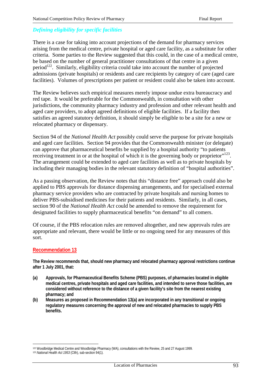# *Defining eligibility for specific facilities*

There is a case for taking into account projections of the demand for pharmacy services arising from the medical centre, private hospital or aged care facility, as a substitute for other criteria. Some parties to the Review suggested that this could, in the case of a medical centre, be based on the number of general practitioner consultations of that centre in a given period<sup>122</sup>. Similarly, eligibility criteria could take into account the number of projected admissions (private hospitals) or residents and care recipients by category of care (aged care facilities). Volumes of prescriptions per patient or resident could also be taken into account.

The Review believes such empirical measures merely impose undue extra bureaucracy and red tape. It would be preferable for the Commonwealth, in consultation with other jurisdictions, the community pharmacy industry and profession and other relevant health and aged care providers, to adopt agreed definitions of eligible facilities. If a facility then satisfies an agreed statutory definition, it should simply be eligible to be a site for a new or relocated pharmacy or dispensary.

Section 94 of the *National Health Act* possibly could serve the purpose for private hospitals and aged care facilities. Section 94 provides that the Commonwealth minister (or delegate) can approve that pharmaceutical benefits be supplied by a hospital authority "to patients receiving treatment in or at the hospital of which it is the governing body or proprietor"<sup>123</sup>. The arrangement could be extended to aged care facilities as well as to private hospitals by including their managing bodies in the relevant statutory definition of "hospital authorities".

As a passing observation, the Review notes that this "distance free" approach could also be applied to PBS approvals for distance dispensing arrangements, and for specialised external pharmacy service providers who are contracted by private hospitals and nursing homes to deliver PBS-subsidised medicines for their patients and residents. Similarly, in all cases, section 90 of the *National Health Act* could be amended to remove the requirement for designated facilities to supply pharmaceutical benefits "on demand" to all comers.

Of course, if the PBS relocation rules are removed altogether, and new approvals rules are appropriate and relevant, there would be little or no ongoing need for any measures of this sort.

#### **Recommendation 13**

**The Review recommends that, should new pharmacy and relocated pharmacy approval restrictions continue after 1 July 2001, that:**

- **(a) Approvals, for Pharmaceutical Benefits Scheme (PBS) purposes, of pharmacies located in eligible medical centres, private hospitals and aged care facilities, and intended to serve those facilities, are considered without reference to the distance of a given facility's site from the nearest existing pharmacy; and**
- **(b) Measures as proposed in Recommendation 13(a) are incorporated in any transitional or ongoing regulatory measures concerning the approval of new and relocated pharmacies to supply PBS benefits.**

 $\overline{a}$ 

<sup>122</sup> Woodbridge Medical Centre and Woodbridge Pharmacy (WA), consultations with the Review, 25 and 27 August 1999.

<sup>123</sup> *National Health Act 1953* (Clth), sub-section 94(1).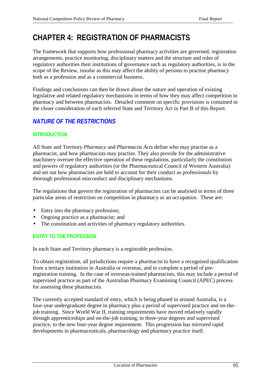# **CHAPTER 4: REGISTRATION OF PHARMACISTS**

The framework that supports how professional pharmacy activities are governed, registration arrangements, practice monitoring, disciplinary matters and the structure and roles of regulatory authorities their institutions of governance such as regulatory authorities, is in the scope of the Review, insofar as this may affect the ability of persons to practise pharmacy both as a profession and as a commercial business.

Findings and conclusions can then be drawn about the nature and operation of existing legislative and related regulatory mechanisms in terms of how they may affect competition in pharmacy and between pharmacists. Detailed comment on specific provisions is contained in the closer consideration of each referred State and Territory Act in Part B of this Report.

# *NATURE OF THE RESTRICTIONS*

# **INTRODUCTION**

All State and Territory *Pharmacy* and *Pharmacist Acts* define who may practise as a pharmacist, and how pharmacists may practise. They also provide for the administrative machinery oversee the effective operation of these regulations, particularly the constitution and powers of regulatory authorities (or the Pharmaceutical Council of Western Australia) and set out how pharmacists are held to account for their conduct as professionals by thorough professional misconduct and disciplinary mechanisms.

The regulations that govern the registration of pharmacists can be analysed in terms of three particular areas of restriction on competition in pharmacy as an occupation. These are:

- Entry into the pharmacy profession;
- Ongoing practice as a pharmacist; and
- The constitution and activities of pharmacy regulatory authorities.

# **ENTRY TO THE PROFESSION**

In each State and Territory pharmacy is a registrable profession.

To obtain registration, all jurisdictions require a pharmacist to have a recognised qualification from a tertiary institution in Australia or overseas, and to complete a period of preregistration training. In the case of overseas-trained pharmacists, this may include a period of supervised practice as part of the Australian Pharmacy Examining Council (APEC) process for assessing these pharmacists.

The currently accepted standard of entry, which is being phased in around Australia, is a four-year undergraduate degree in pharmacy plus a period of supervised practice and on-thejob training. Since World War II, training requirements have moved relatively rapidly through apprenticeships and on-the-job training, to three-year degrees and supervised practice, to the new four-year degree requirement. This progression has mirrored rapid developments in pharmaceuticals, pharmacology and pharmacy practice itself.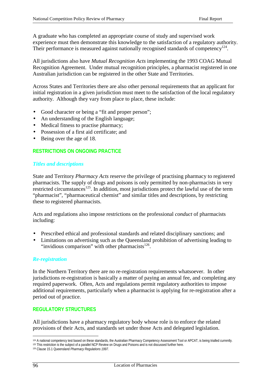A graduate who has completed an appropriate course of study and supervised work experience must then demonstrate this knowledge to the satisfaction of a regulatory authority. Their performance is measured against nationally recognised standards of competency<sup>124</sup>.

All jurisdictions also have *Mutual Recognition Acts* implementing the 1993 COAG Mutual Recognition Agreement. Under mutual recognition principles, a pharmacist registered in one Australian jurisdiction can be registered in the other State and Territories.

Across States and Territories there are also other personal requirements that an applicant for initial registration in a given jurisdiction must meet to the satisfaction of the local regulatory authority. Although they vary from place to place, these include:

- Good character or being a "fit and proper person";
- An understanding of the English language;
- Medical fitness to practise pharmacy;
- Possession of a first aid certificate; and
- Being over the age of 18.

# **RESTRICTIONS ON ONGOING PRACTICE**

#### *Titles and descriptions*

State and Territory *Pharmacy Acts* reserve the privilege of practising pharmacy to registered pharmacists. The supply of drugs and poisons is only permitted by non-pharmacists in very restricted circumstances<sup>125</sup>. In addition, most jurisdictions protect the lawful use of the term "pharmacist", "pharmaceutical chemist" and similar titles and descriptions, by restricting these to registered pharmacists.

Acts and regulations also impose restrictions on the professional *conduct* of pharmacists including:

- Prescribed ethical and professional standards and related disciplinary sanctions; and
- Limitations on advertising such as the Queensland prohibition of advertising leading to "invidious comparison" with other pharmacists $^{126}$ .

#### *Re-registration*

In the Northern Territory there are no re-registration requirements whatsoever. In other jurisdictions re-registration is basically a matter of paying an annual fee, and completing any required paperwork. Often, Acts and regulations permit regulatory authorities to impose additional requirements, particularly when a pharmacist is applying for re-registration after a period out of practice.

# **REGULATORY STRUCTURES**

All jurisdictions have a pharmacy regulatory body whose role is to enforce the related provisions of their Acts, and standards set under those Acts and delegated legislation.

 $\overline{a}$ 

<sup>124</sup> A national competency test based on these standards, the Australian Pharmacy Competency Assessment Tool or APCAT, is being trialled currently.

<sup>125</sup> This restriction is the subject of a parallel NCP Review on Drugs and Poisons and is not discussed further here.

<sup>126</sup> Clause 15.1 Queensland *Pharmacy Regulations 1997.*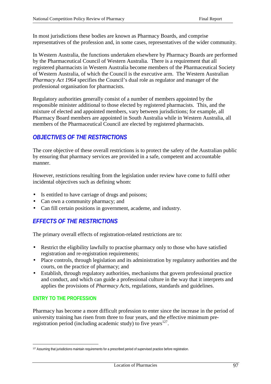In most jurisdictions these bodies are known as Pharmacy Boards, and comprise representatives of the profession and, in some cases, representatives of the wider community.

In Western Australia, the functions undertaken elsewhere by Pharmacy Boards are performed by the Pharmaceutical Council of Western Australia. There is a requirement that all registered pharmacists in Western Australia become members of the Pharmaceutical Society of Western Australia, of which the Council is the executive arm. The Western Australian *Pharmacy Act 1964* specifies the Council's dual role as regulator and manager of the professional organisation for pharmacists.

Regulatory authorities generally consist of a number of members appointed by the responsible minister additional to those elected by registered pharmacists. This, and the mixture of elected and appointed members, vary between jurisdictions; for example, all Pharmacy Board members are appointed in South Australia while in Western Australia, all members of the Pharmaceutical Council are elected by registered pharmacists.

# *OBJECTIVES OF THE RESTRICTIONS*

The core objective of these overall restrictions is to protect the safety of the Australian public by ensuring that pharmacy services are provided in a safe, competent and accountable manner.

However, restrictions resulting from the legislation under review have come to fulfil other incidental objectives such as defining whom:

- Is entitled to have carriage of drugs and poisons;
- Can own a community pharmacy; and
- Can fill certain positions in government, academe, and industry.

# *EFFECTS OF THE RESTRICTIONS*

The primary overall effects of registration-related restrictions are to:

- Restrict the eligibility lawfully to practise pharmacy only to those who have satisfied registration and re-registration requirements;
- Place controls, through legislation and its administration by regulatory authorities and the courts, on the practice of pharmacy; and
- Establish, through regulatory authorities, mechanisms that govern professional practice and conduct, and which can guide a professional culture in the way that it interprets and applies the provisions of *Pharmacy Acts*, regulations, standards and guidelines.

# **ENTRY TO THE PROFESSION**

 $\overline{a}$ 

Pharmacy has become a more difficult profession to enter since the increase in the period of university training has risen from three to four years, and the effective minimum preregistration period (including academic study) to five years $127$ .

<sup>127</sup> Assuming that jurisdictions maintain requirements for a prescribed period of supervised practice before registration.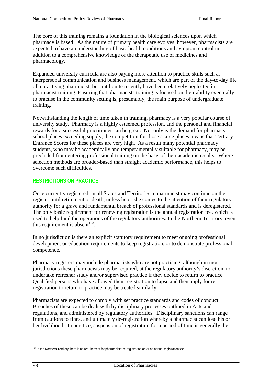The core of this training remains a foundation in the biological sciences upon which pharmacy is based. As the nature of primary health care evolves, however, pharmacists are expected to have an understanding of basic health conditions and symptom control in addition to a comprehensive knowledge of the therapeutic use of medicines and pharmacology.

Expanded university curricula are also paying more attention to practice skills such as interpersonal communication and business management, which are part of the day-to-day life of a practising pharmacist, but until quite recently have been relatively neglected in pharmacist training. Ensuring that pharmacists training is focused on their ability eventually to practise in the community setting is, presumably, the main purpose of undergraduate training.

Notwithstanding the length of time taken in training, pharmacy is a very popular course of university study. Pharmacy is a highly esteemed profession, and the personal and financial rewards for a successful practitioner can be great. Not only is the demand for pharmacy school places exceeding supply, the competition for those scarce places means that Tertiary Entrance Scores for these places are very high. As a result many potential pharmacy students, who may be academically and temperamentally suitable for pharmacy, may be precluded from entering professional training on the basis of their academic results. Where selection methods are broader-based than straight academic performance, this helps to overcome such difficulties.

# **RESTRICTIONS ON PRACTICE**

Once currently registered, in all States and Territories a pharmacist may continue on the register until retirement or death, unless he or she comes to the attention of their regulatory authority for a grave and fundamental breach of professional standards and is deregistered. The only basic requirement for renewing registration is the annual registration fee, which is used to help fund the operations of the regulatory authorities. In the Northern Territory, even this requirement is absent<sup>128</sup>.

In no jurisdiction is there an explicit statutory requirement to meet ongoing professional development or education requirements to keep registration, or to demonstrate professional competence.

Pharmacy registers may include pharmacists who are not practising, although in most jurisdictions these pharmacists may be required, at the regulatory authority's discretion, to undertake refresher study and/or supervised practice if they decide to return to practice. Qualified persons who have allowed their registration to lapse and then apply for reregistration to return to practice may be treated similarly.

Pharmacists are expected to comply with set practice standards and codes of conduct. Breaches of these can be dealt with by disciplinary processes outlined in Acts and regulations, and administered by regulatory authorities. Disciplinary sanctions can range from cautions to fines, and ultimately de-registration whereby a pharmacist can lose his or her livelihood. In practice, suspension of registration for a period of time is generally the

 $\overline{a}$ 128 In the Northern Territory there is no requirement for pharmacists' re-registration or for an annual registration fee.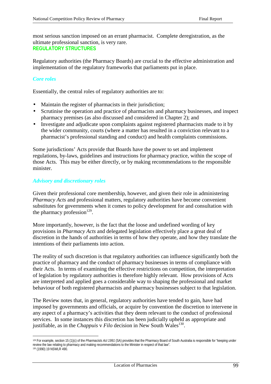most serious sanction imposed on an errant pharmacist. Complete deregistration, as the ultimate professional sanction, is very rare. **REGULATORY STRUCTURES**

Regulatory authorities (the Pharmacy Boards) are crucial to the effective administration and implementation of the regulatory frameworks that parliaments put in place.

# *Core roles*

 $\overline{a}$ 

Essentially, the central roles of regulatory authorities are to:

- Maintain the register of pharmacists in their jurisdiction;
- Scrutinise the operation and practice of pharmacists and pharmacy businesses, and inspect pharmacy premises (as also discussed and considered in Chapter 2); and
- Investigate and adjudicate upon complaints against registered pharmacists made to it by the wider community, courts (where a matter has resulted in a conviction relevant to a pharmacist's professional standing and conduct) and health complaints commissions.

Some jurisdictions' Acts provide that Boards have the power to set and implement regulations, by-laws, guidelines and instructions for pharmacy practice, within the scope of those Acts. This may be either directly, or by making recommendations to the responsible minister.

#### *Advisory and discretionary roles*

Given their professional core membership, however, and given their role in administering *Pharmacy Acts* and professional matters, regulatory authorities have become convenient substitutes for governments when it comes to policy development for and consultation with the pharmacy profession $^{129}$ .

More importantly, however, is the fact that the loose and undefined wording of key provisions in *Pharmacy Acts* and delegated legislation effectively place a great deal of discretion in the hands of authorities in terms of how they operate, and how they translate the intentions of their parliaments into action.

The reality of such discretion is that regulatory authorities can influence significantly both the practice of pharmacy and the conduct of pharmacy businesses in terms of compliance with their Acts. In terms of examining the effective restrictions on competition, the interpretation of legislation by regulatory authorities is therefore highly relevant. How provisions of Acts are interpreted and applied goes a considerable way to shaping the professional and market behaviour of both registered pharmacists and pharmacy businesses subject to that legislation.

The Review notes that, in general, regulatory authorities have tended to gain, have had imposed by governments and officials, or acquire by convention the discretion to intervene in any aspect of a pharmacy's activities that they deem relevant to the conduct of professional services. In some instances this discretion has been judicially upheld as appropriate and justifiable, as in the *Chappuis* v  $Filo$  decision in New South Wales<sup>130</sup>.

<sup>129</sup> For example, section 15 (1)(c) of the *Pharmacists Act 1991* (SA) provides that the Pharmacy Board of South Australia is responsible for "keeping under review the law relating to pharmacy and making recommendations to the Minister in respect of that law". 130 (1990) 19 NSWLR 490.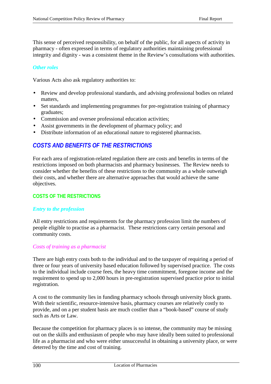This sense of perceived responsibility, on behalf of the public, for all aspects of activity in pharmacy - often expressed in terms of regulatory authorities maintaining professional integrity and dignity - was a consistent theme in the Review's consultations with authorities.

### *Other roles*

Various Acts also ask regulatory authorities to:

- Review and develop professional standards, and advising professional bodies on related matters,
- Set standards and implementing programmes for pre-registration training of pharmacy graduates;
- Commission and oversee professional education activities;
- Assist governments in the development of pharmacy policy; and
- Distribute information of an educational nature to registered pharmacists.

# *COSTS AND BENEFITS OF THE RESTRICTIONS*

For each area of registration-related regulation there are costs and benefits in terms of the restrictions imposed on both pharmacists and pharmacy businesses. The Review needs to consider whether the benefits of these restrictions to the community as a whole outweigh their costs, and whether there are alternative approaches that would achieve the same objectives.

# **COSTS OF THE RESTRICTIONS**

#### *Entry to the profession*

All entry restrictions and requirements for the pharmacy profession limit the numbers of people eligible to practise as a pharmacist. These restrictions carry certain personal and community costs.

#### *Costs of training as a pharmacist*

There are high entry costs both to the individual and to the taxpayer of requiring a period of three or four years of university based education followed by supervised practice. The costs to the individual include course fees, the heavy time commitment, foregone income and the requirement to spend up to 2,000 hours in pre-registration supervised practice prior to initial registration.

A cost to the community lies in funding pharmacy schools through university block grants. With their scientific, resource-intensive basis, pharmacy courses are relatively costly to provide, and on a per student basis are much costlier than a "book-based" course of study such as Arts or Law.

Because the competition for pharmacy places is so intense, the community may be missing out on the skills and enthusiasm of people who may have ideally been suited to professional life as a pharmacist and who were either unsuccessful in obtaining a university place, or were deterred by the time and cost of training.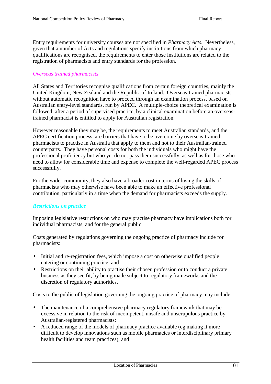Entry requirements for university courses are not specified in *Pharmacy Acts.* Nevertheless, given that a number of Acts and regulations specify institutions from which pharmacy qualifications are recognised, the requirements to enter those institutions are related to the registration of pharmacists and entry standards for the profession.

#### *Overseas trained pharmacists*

All States and Territories recognise qualifications from certain foreign countries, mainly the United Kingdom, New Zealand and the Republic of Ireland. Overseas-trained pharmacists without automatic recognition have to proceed through an examination process, based on Australian entry-level standards, run by APEC. A multiple-choice theoretical examination is followed, after a period of supervised practice, by a clinical examination before an overseastrained pharmacist is entitled to apply for Australian registration.

However reasonable they may be, the requirements to meet Australian standards, and the APEC certification process, are barriers that have to be overcome by overseas-trained pharmacists to practise in Australia that apply to them and not to their Australian-trained counterparts. They have personal costs for both the individuals who might have the professional proficiency but who yet do not pass them successfully, as well as for those who need to allow for considerable time and expense to complete the well-regarded APEC process successfully.

For the wider community, they also have a broader cost in terms of losing the skills of pharmacists who may otherwise have been able to make an effective professional contribution, particularly in a time when the demand for pharmacists exceeds the supply.

# *Restrictions on practice*

Imposing legislative restrictions on who may practise pharmacy have implications both for individual pharmacists, and for the general public.

Costs generated by regulations governing the ongoing practice of pharmacy include for pharmacists:

- Initial and re-registration fees, which impose a cost on otherwise qualified people entering or continuing practice; and
- Restrictions on their ability to practise their chosen profession or to conduct a private business as they see fit, by being made subject to regulatory frameworks and the discretion of regulatory authorities.

Costs to the public of legislation governing the ongoing practice of pharmacy may include:

- The maintenance of a comprehensive pharmacy regulatory framework that may be excessive in relation to the risk of incompetent, unsafe and unscrupulous practice by Australian-registered pharmacists;
- A reduced range of the models of pharmacy practice available (eg making it more difficult to develop innovations such as mobile pharmacies or interdisciplinary primary health facilities and team practices); and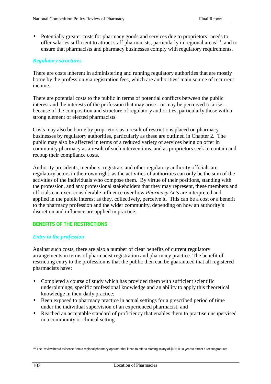• Potentially greater costs for pharmacy goods and services due to proprietors' needs to offer salaries sufficient to attract staff pharmacists, particularly in regional areas<sup>131</sup>, and to ensure that pharmacists and pharmacy businesses comply with regulatory requirements.

### *Regulatory structures*

There are costs inherent in administering and running regulatory authorities that are mostly borne by the profession via registration fees, which are authorities' main source of recurrent income.

There are potential costs to the public in terms of potential conflicts between the public interest and the interests of the profession that may arise - or may be perceived to arise because of the composition and structure of regulatory authorities, particularly those with a strong element of elected pharmacists.

Costs may also be borne by proprietors as a result of restrictions placed on pharmacy businesses by regulatory authorities, particularly as these are outlined in Chapter 2. The public may also be affected in terms of a reduced variety of services being on offer in community pharmacy as a result of such interventions, and as proprietors seek to contain and recoup their compliance costs.

Authority presidents, members, registrars and other regulatory authority officials are regulatory actors in their own right, as the activities of authorities can only be the sum of the activities of the individuals who compose them. By virtue of their positions, standing with the profession, and any professional stakeholders that they may represent, these members and officials can exert considerable influence over how *Pharmacy Acts* are interpreted and applied in the public interest as they, collectively, perceive it. This can be a cost or a benefit to the pharmacy profession and the wider community, depending on how an authority's discretion and influence are applied in practice.

# **BENEFITS OF THE RESTRICTIONS**

#### *Entry to the profession*

Against such costs, there are also a number of clear benefits of current regulatory arrangements in terms of pharmacist registration and pharmacy practice. The benefit of restricting entry to the profession is that the public then can be guaranteed that all registered pharmacists have:

- Completed a course of study which has provided them with sufficient scientific underpinnings, specific professional knowledge and an ability to apply this theoretical knowledge in their daily practice;
- Been exposed to pharmacy practice in actual settings for a prescribed period of time under the individual supervision of an experienced pharmacist; and
- Reached an acceptable standard of proficiency that enables them to practise unsupervised in a community or clinical setting.

 $\overline{a}$ 

<sup>&</sup>lt;sup>131</sup> The Review heard evidence from a regional pharmacy operator that it had to offer a starting salary of \$60,000 a year to attract a recent graduate.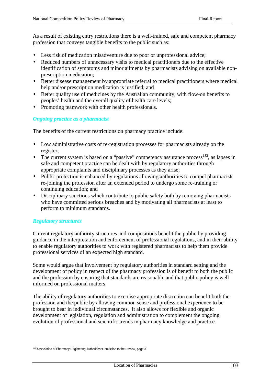As a result of existing entry restrictions there is a well-trained, safe and competent pharmacy profession that conveys tangible benefits to the public such as:

- Less risk of medication misadventure due to poor or unprofessional advice;
- Reduced numbers of unnecessary visits to medical practitioners due to the effective identification of symptoms and minor ailments by pharmacists advising on available nonprescription medication;
- Better disease management by appropriate referral to medical practitioners where medical help and/or prescription medication is justified; and
- Better quality use of medicines by the Australian community, with flow-on benefits to peoples' health and the overall quality of health care levels;
- Promoting teamwork with other health professionals.

#### *Ongoing practice as a pharmacist*

The benefits of the current restrictions on pharmacy practice include:

- Low administrative costs of re-registration processes for pharmacists already on the register;
- The current system is based on a "passive" competency assurance process<sup>132</sup>, as lapses in safe and competent practice can be dealt with by regulatory authorities through appropriate complaints and disciplinary processes as they arise;
- Public protection is enhanced by regulations allowing authorities to compel pharmacists re-joining the profession after an extended period to undergo some re-training or continuing education; and
- Disciplinary sanctions which contribute to public safety both by removing pharmacists who have committed serious breaches and by motivating all pharmacists at least to perform to minimum standards.

# *Regulatory structures*

 $\overline{a}$ 

Current regulatory authority structures and compositions benefit the public by providing guidance in the interpretation and enforcement of professional regulations, and in their ability to enable regulatory authorities to work with registered pharmacists to help them provide professional services of an expected high standard.

Some would argue that involvement by regulatory authorities in standard setting and the development of policy in respect of the pharmacy profession is of benefit to both the public and the profession by ensuring that standards are reasonable and that public policy is well informed on professional matters.

The ability of regulatory authorities to exercise appropriate discretion can benefit both the profession and the public by allowing common sense and professional experience to be brought to bear in individual circumstances. It also allows for flexible and organic development of legislation, regulation and administration to complement the ongoing evolution of professional and scientific trends in pharmacy knowledge and practice.

<sup>132</sup> Association of Pharmacy Registering Authorities submission to the Review, page 3.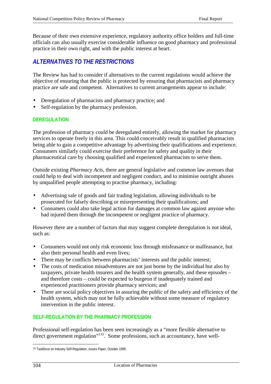Because of their own extensive experience, regulatory authority office holders and full-time officials can also usually exercise considerable influence on good pharmacy and professional practice in their own right, and with the public interest at heart.

# *ALTERNATIVES TO THE RESTRICTIONS*

The Review has had to consider if alternatives to the current regulations would achieve the objective of ensuring that the public is protected by ensuring that pharmacists and pharmacy practice are safe and competent. Alternatives to current arrangements appear to include:

- Deregulation of pharmacists and pharmacy practice; and
- Self-regulation by the pharmacy profession.

# **DEREGULATION**

The profession of pharmacy could be deregulated entirely, allowing the market for pharmacy services to operate freely in this area. This could conceivably result in qualified pharmacists being able to gain a competitive advantage by advertising their qualifications and experience. Consumers similarly could exercise their preference for safety and quality in their pharmaceutical care by choosing qualified and experienced pharmacists to serve them.

Outside existing *Pharmacy Acts*, there are general legislative and common law avenues that could help to deal with incompetent and negligent conduct, and to minimise outright abuses by unqualified people attempting to practise pharmacy, including:

- Advertising sale of goods and fair trading legislation, allowing individuals to be prosecuted for falsely describing or misrepresenting their qualifications; and
- Consumers could also take legal action for damages at common law against anyone who had injured them through the incompetent or negligent practice of pharmacy.

However there are a number of factors that may suggest complete deregulation is not ideal, such as:

- Consumers would not only risk economic loss through misfeasance or malfeasance, but also their personal health and even lives;
- There may be conflicts between pharmacists' interests and the public interest;
- The costs of medication misadventures are not just borne by the individual but also by taxpayers, private health insurers and the health system generally, and these episodes – and therefore costs – could be expected to burgeon if inadequately trained and experienced practitioners provide pharmacy services; and
- There are social policy objectives in assuring the public of the safety and efficiency of the health system, which may not be fully achievable without some measure of regulatory intervention in the public interest.

# **SELF-REGULATION BY THE PHARMACY PROFESSION**

Professional self-regulation has been seen increasingly as a "more flexible alternative to direct government regulation"<sup>133</sup>. Some professions, such as accountancy, have well-

 $\overline{a}$ 133 Taskforce on Industry Self-Regulation, *Issues Paper*, October 1999.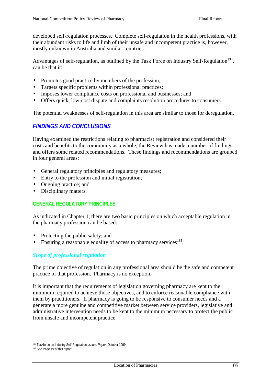developed self-regulation processes. Complete self-regulation in the health professions, with their abundant risks to life and limb of their unsafe and incompetent practice is, however, mostly unknown in Australia and similar countries.

Advantages of self-regulation, as outlined by the Task Force on Industry Self-Regulation<sup>134</sup>, can be that it:

- Promotes good practice by members of the profession;
- Targets specific problems within professional practices;
- Imposes lower compliance costs on professional and businesses; and
- Offers quick, low-cost dispute and complaints resolution procedures to consumers.

The potential weaknesses of self-regulation in this area are similar to those for deregulation.

# *FINDINGS AND CONCLUSIONS*

Having examined the restrictions relating to pharmacist registration and considered their costs and benefits to the community as a whole, the Review has made a number of findings and offers some related recommendations. These findings and recommendations are grouped in four general areas:

- General regulatory principles and regulatory measures;
- Entry to the profession and initial registration;
- Ongoing practice; and
- Disciplinary matters.

# **GENERAL REGULATORY PRINCIPLES**

As indicated in Chapter 1, there are two basic principles on which acceptable regulation in the pharmacy profession can be based:

- Protecting the public safety; and
- Ensuring a reasonable equality of access to pharmacy services  $135$ .

# *Scope of professional regulation*

The prime objective of regulation in any professional area should be the safe and competent practice of that profession. Pharmacy is no exception.

It is important that the requirements of legislation governing pharmacy are kept to the minimum required to achieve those objectives, and to enforce reasonable compliance with them by practitioners. If pharmacy is going to be responsive to consumer needs and a generate a more genuine and competitive market between service providers, legislative and administrative intervention needs to be kept to the minimum necessary to protect the public from unsafe and incompetent practice.

 $\overline{a}$ 134 Taskforce on Industry Self-Regulation, *Issues Paper*, October 1999.

<sup>135</sup> See Page 19 of this report.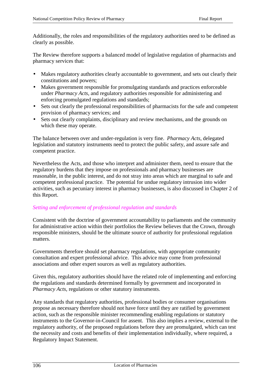Additionally, the roles and responsibilities of the regulatory authorities need to be defined as clearly as possible.

The Review therefore supports a balanced model of legislative regulation of pharmacists and pharmacy services that:

- Makes regulatory authorities clearly accountable to government, and sets out clearly their constitutions and powers;
- Makes government responsible for promulgating standards and practices enforceable under *Pharmacy Acts*, and regulatory authorities responsible for administering and enforcing promulgated regulations and standards;
- Sets out clearly the professional responsibilities of pharmacists for the safe and competent provision of pharmacy services; and
- Sets out clearly complaints, disciplinary and review mechanisms, and the grounds on which these may operate.

The balance between over and under-regulation is very fine. *Pharmacy Acts*, delegated legislation and statutory instruments need to protect the public safety, and assure safe and competent practice.

Nevertheless the Acts, and those who interpret and administer them, need to ensure that the regulatory burdens that they impose on professionals and pharmacy businesses are reasonable, in the public interest, and do not stray into areas which are marginal to safe and competent professional practice. The potential for undue regulatory intrusion into wider activities, such as pecuniary interest in pharmacy businesses, is also discussed in Chapter 2 of this Report.

# *Setting and enforcement of professional regulation and standards*

Consistent with the doctrine of government accountability to parliaments and the community for administrative action within their portfolios the Review believes that the Crown, through responsible ministers, should be the ultimate source of authority for professional regulation matters.

Governments therefore should set pharmacy regulations, with appropriate community consultation and expert professional advice. This advice may come from professional associations and other expert sources as well as regulatory authorities.

Given this, regulatory authorities should have the related role of implementing and enforcing the regulations and standards determined formally by government and incorporated in *Pharmacy Acts*, regulations or other statutory instruments.

Any standards that regulatory authorities, professional bodies or consumer organisations propose as necessary therefore should not have force until they are ratified by government action, such as the responsible minister recommending enabling regulations or statutory instruments to the Governor-in-Council for assent. This also implies a review, external to the regulatory authority, of the proposed regulations before they are promulgated, which can test the necessity and costs and benefits of their implementation individually, where required, a Regulatory Impact Statement.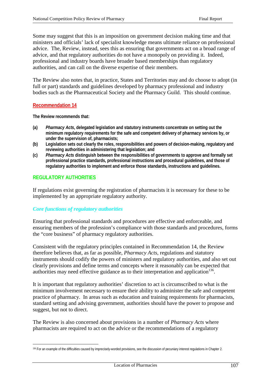Some may suggest that this is an imposition on government decision making time and that ministers and officials' lack of specialist knowledge means ultimate reliance on professional advice. The, Review, instead, sees this as ensuring that governments act on a broad range of advice, and that regulatory authorities do not have a monopoly on providing it. Indeed, professional and industry boards have broader based memberships than regulatory authorities, and can call on the diverse expertise of their members.

The Review also notes that, in practice, States and Territories may and do choose to adopt (in full or part) standards and guidelines developed by pharmacy professional and industry bodies such as the Pharmaceutical Society and the Pharmacy Guild. This should continue.

#### **Recommendation 14**

**The Review recommends that:**

- **(a)** *Pharmacy Acts***, delegated legislation and statutory instruments concentrate on setting out the minimum regulatory requirements for the safe and competent delivery of pharmacy services by, or under the supervision of, pharmacists;**
- **(b) Legislation sets out clearly the roles, responsibilities and powers of decision-making, regulatory and reviewing authorities in administering that legislation; and**
- **(c)** *Pharmacy Acts* **distinguish between the responsibilities of governments to approve and formally set professional practice standards, professional instructions and procedural guidelines, and those of regulatory authorities to implement and enforce those standards, instructions and guidelines.**

# **REGULATORY AUTHORITIES**

 $\overline{a}$ 

If regulations exist governing the registration of pharmacists it is necessary for these to be implemented by an appropriate regulatory authority.

# *Core functions of regulatory authorities*

Ensuring that professional standards and procedures are effective and enforceable, and ensuring members of the profession's compliance with those standards and procedures, forms the "core business" of pharmacy regulatory authorities.

Consistent with the regulatory principles contained in Recommendation 14, the Review therefore believes that, as far as possible, *Pharmacy Acts*, regulations and statutory instruments should codify the powers of ministers and regulatory authorities, and also set out clearly provisions and define terms and concepts where it reasonably can be expected that authorities may need effective guidance as to their interpretation and application<sup>136</sup>.

It is important that regulatory authorities' discretion to act is circumscribed to what is the minimum involvement necessary to ensure their ability to administer the safe and competent practice of pharmacy. In areas such as education and training requirements for pharmacists, standard setting and advising government, authorities should have the power to propose and suggest, but not to direct.

The Review is also concerned about provisions in a number of *Pharmacy Acts* where pharmacists are required to act on the advice or the recommendations of a regulatory

<sup>136</sup> For an example of the difficulties caused by imprecisely-worded provisions, see the discussion of pecuniary interest regulations in Chapter 2.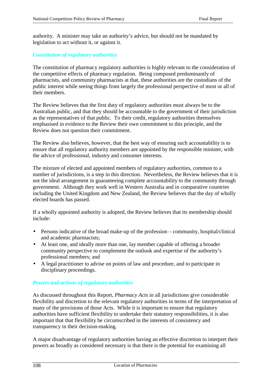authority. A minister may take an authority's advice, but should not be mandated by legislation to act without it, or against it.

### *Constitution of regulatory authorities*

The constitution of pharmacy regulatory authorities is highly relevant to the consideration of the competitive effects of pharmacy regulation. Being composed predominantly of pharmacists, and community pharmacists at that, these authorities are the custodians of the public interest while seeing things from largely the professional perspective of most or all of their members.

The Review believes that the first duty of regulatory authorities must always be to the Australian public, and that they should be accountable to the government of their jurisdiction as the representatives of that public. To their credit, regulatory authorities themselves emphasised in evidence to the Review their own commitment to this principle, and the Review does not question their commitment.

The Review also believes, however, that the best way of ensuring such accountability is to ensure that all regulatory authority members are appointed by the responsible minister, with the advice of professional, industry and consumer interests.

The mixture of elected and appointed members of regulatory authorities, common to a number of jurisdictions, is a step in this direction. Nevertheless, the Review believes that it is not the ideal arrangement in guaranteeing complete accountability to the community through government. Although they work well in Western Australia and in comparative countries including the United Kingdom and New Zealand, the Review believes that the day of wholly elected boards has passed.

If a wholly appointed authority is adopted, the Review believes that its membership should include:

- Persons indicative of the broad make-up of the profession community, hospital/clinical and academic pharmacists;
- At least one, and ideally more than one, lay member capable of offering a broader community perspective to complement the outlook and expertise of the authority's professional members; and
- A legal practitioner to advise on points of law and procedure, and to participate in disciplinary proceedings.

#### *Powers and actions of regulatory authorities*

As discussed throughout this Report, *Pharmacy Acts* in all jurisdictions give considerable flexibility and discretion to the relevant regulatory authorities in terms of the interpretation of many of the provisions of those Acts. While it is important to ensure that regulatory authorities have sufficient flexibility to undertake their statutory responsibilities, it is also important that that flexibility be circumscribed in the interests of consistency and transparency in their decision-making.

A major disadvantage of regulatory authorities having an effective discretion to interpret their powers as broadly as considered necessary is that there is the potential for examining all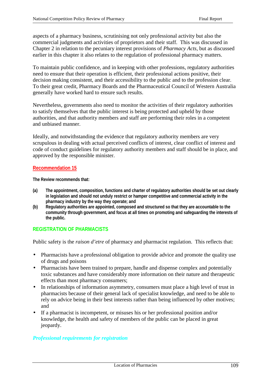aspects of a pharmacy business, scrutinising not only professional activity but also the commercial judgments and activities of proprietors and their staff. This was discussed in Chapter 2 in relation to the pecuniary interest provisions of *Pharmacy Acts*, but as discussed earlier in this chapter it also relates to the regulation of professional pharmacy matters.

To maintain public confidence, and in keeping with other professions, regulatory authorities need to ensure that their operation is efficient, their professional actions positive, their decision making consistent, and their accessibility to the public and to the profession clear. To their great credit, Pharmacy Boards and the Pharmaceutical Council of Western Australia generally have worked hard to ensure such results.

Nevertheless, governments also need to monitor the activities of their regulatory authorities to satisfy themselves that the public interest is being protected and upheld by those authorities, and that authority members and staff are performing their roles in a competent and unbiased manner.

Ideally, and notwithstanding the evidence that regulatory authority members are very scrupulous in dealing with actual perceived conflicts of interest, clear conflict of interest and code of conduct guidelines for regulatory authority members and staff should be in place, and approved by the responsible minister.

### **Recommendation 15**

**The Review recommends that:**

- **(a) The appointment, composition, functions and charter of regulatory authorities should be set out clearly in legislation and should not unduly restrict or hamper competitive and commercial activity in the pharmacy industry by the way they operate; and**
- **(b) Regulatory authorities are appointed, composed and structured so that they are accountable to the community through government, and focus at all times on promoting and safeguarding the interests of the public.**

# **REGISTRATION OF PHARMACISTS**

Public safety is the *raison d'etre* of pharmacy and pharmacist regulation. This reflects that:

- Pharmacists have a professional obligation to provide advice and promote the quality use of drugs and poisons
- Pharmacists have been trained to prepare, handle and dispense complex and potentially toxic substances and have considerably more information on their nature and therapeutic effects than most pharmacy consumers;
- In relationships of information asymmetry, consumers must place a high level of trust in pharmacists because of their general lack of specialist knowledge, and need to be able to rely on advice being in their best interests rather than being influenced by other motives; and
- If a pharmacist is incompetent, or misuses his or her professional position and/or knowledge, the health and safety of members of the public can be placed in great jeopardy.

### *Professional requirements for registration*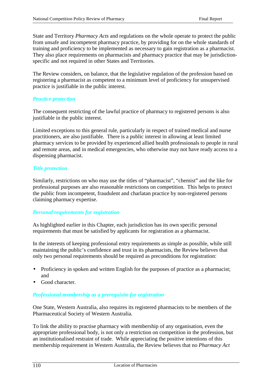State and Territory *Pharmacy Acts* and regulations on the whole operate to protect the public from unsafe and incompetent pharmacy practice, by providing for on the whole standards of training and proficiency to be implemented as necessary to gain registration as a pharmacist. They also place requirements on pharmacists and pharmacy practice that may be jurisdictionspecific and not required in other States and Territories.

The Review considers, on balance, that the legislative regulation of the profession based on registering a pharmacist as competent to a minimum level of proficiency for unsupervised practice is justifiable in the public interest.

# *Practice protection*

The consequent restricting of the lawful practice of pharmacy to registered persons is also justifiable in the public interest.

Limited exceptions to this general rule, particularly in respect of trained medical and nurse practitioners, are also justifiable. There is a public interest in allowing at least limited pharmacy services to be provided by experienced allied health professionals to people in rural and remote areas, and in medical emergencies, who otherwise may not have ready access to a dispensing pharmacist.

### *Title protection*

Similarly, restrictions on who may use the titles of "pharmacist", "chemist" and the like for professional purposes are also reasonable restrictions on competition. This helps to protect the public from incompetent, fraudulent and charlatan practice by non-registered persons claiming pharmacy expertise.

### *Personal requirements for registration*

As highlighted earlier in this Chapter, each jurisdiction has its own specific personal requirements that must be satisfied by applicants for registration as a pharmacist.

In the interests of keeping professional entry requirements as simple as possible, while still maintaining the public's confidence and trust in its pharmacists, the Review believes that only two personal requirements should be required as preconditions for registration:

- Proficiency in spoken and written English for the purposes of practice as a pharmacist; and
- Good character.

# *Professional membership as a prerequisite for registration*

One State, Western Australia, also requires its registered pharmacists to be members of the Pharmaceutical Society of Western Australia.

To link the ability to practise pharmacy with membership of any organisation, even the appropriate professional body, is not only a restriction on competition in the profession, but an institutionalised restraint of trade. While appreciating the positive intentions of this membership requirement in Western Australia, the Review believes that no *Pharmacy Act*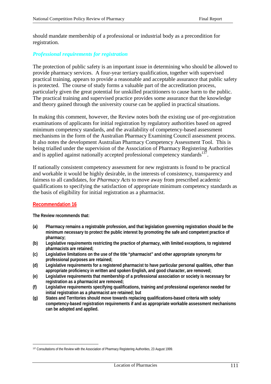should mandate membership of a professional or industrial body as a precondition for registration.

#### *Professional requirements for registration*

The protection of public safety is an important issue in determining who should be allowed to provide pharmacy services. A four-year tertiary qualification, together with supervised practical training, appears to provide a reasonable and acceptable assurance that public safety is protected. The course of study forms a valuable part of the accreditation process, particularly given the great potential for unskilled practitioners to cause harm to the public. The practical training and supervised practice provides some assurance that the knowledge and theory gained through the university course can be applied in practical situations.

In making this comment, however, the Review notes both the existing use of pre-registration examinations of applicants for initial registration by regulatory authorities based on agreed minimum competency standards, and the availability of competency-based assessment mechanisms in the form of the Australian Pharmacy Examining Council assessment process. It also notes the development Australian Pharmacy Competency Assessment Tool. This is being trialled under the supervision of the Association of Pharmacy Registering Authorities and is applied against nationally accepted professional competency standards $137$ .

If nationally consistent competency assessment for new registrants is found to be practical and workable it would be highly desirable, in the interests of consistency, transparency and fairness to all candidates, for *Pharmacy Acts* to move away from prescribed academic qualifications to specifying the satisfaction of appropriate minimum competency standards as the basis of eligibility for initial registration as a pharmacist.

#### **Recommendation 16**

**The Review recommends that:**

- **(a) Pharmacy remains a registrable profession, and that legislation governing registration should be the minimum necessary to protect the public interest by promoting the safe and competent practice of pharmacy;**
- **(b) Legislative requirements restricting the practice of pharmacy, with limited exceptions, to registered pharmacists are retained;**
- **(c) Legislative limitations on the use of the title "pharmacist" and other appropriate synonyms for professional purposes are retained;**
- **(d) Legislative requirements for a registered pharmacist to have particular personal qualities, other than appropriate proficiency in written and spoken English, and good character, are removed;**
- **(e) Legislative requirements that membership of a professional association or society is necessary for registration as a pharmacist are removed;**
- **(f) Legislative requirements specifying qualifications, training and professional experience needed for initial registration as a pharmacist are retained; but**
- **(g) States and Territories should move towards replacing qualifications-based criteria with solely competency-based registration requirements if and as appropriate workable assessment mechanisms can be adopted and applied.**

 $\overline{a}$ 137 Consultations of the Review with the Association of Pharmacy Registering Authorities, 23 August 1999.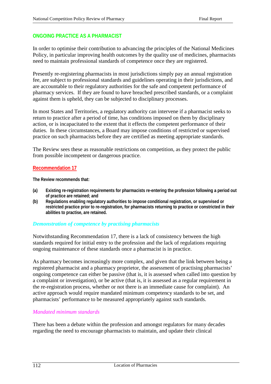# **ONGOING PRACTICE AS A PHARMACIST**

In order to optimise their contribution to advancing the principles of the National Medicines Policy, in particular improving health outcomes by the quality use of medicines, pharmacists need to maintain professional standards of competence once they are registered.

Presently re-registering pharmacists in most jurisdictions simply pay an annual registration fee, are subject to professional standards and guidelines operating in their jurisdictions, and are accountable to their regulatory authorities for the safe and competent performance of pharmacy services. If they are found to have breached prescribed standards, or a complaint against them is upheld, they can be subjected to disciplinary processes.

In most States and Territories, a regulatory authority can intervene if a pharmacist seeks to return to practice after a period of time, has conditions imposed on them by disciplinary action, or is incapacitated to the extent that it effects the competent performance of their duties. In these circumstances, a Board may impose conditions of restricted or supervised practice on such pharmacists before they are certified as meeting appropriate standards.

The Review sees these as reasonable restrictions on competition, as they protect the public from possible incompetent or dangerous practice.

### **Recommendation 17**

**The Review recommends that:**

- **(a) Existing re-registration requirements for pharmacists re-entering the profession following a period out of practice are retained; and**
- **(b) Regulations enabling regulatory authorities to impose conditional registration, or supervised or restricted practice prior to re-registration, for pharmacists returning to practice or constricted in their abilities to practise, are retained.**

#### *Demonstration of competence by practising pharmacists*

Notwithstanding Recommendation 17, there is a lack of consistency between the high standards required for initial entry to the profession and the lack of regulations requiring ongoing maintenance of these standards once a pharmacist is in practice.

As pharmacy becomes increasingly more complex, and given that the link between being a registered pharmacist and a pharmacy proprietor, the assessment of practising pharmacists' ongoing competence can either be passive (that is, it is assessed when called into question by a complaint or investigation), or be active (that is, it is assessed as a regular requirement in the re-registration process, whether or not there is an immediate cause for complaint). An active approach would require mandated minimum competency standards to be set, and pharmacists' performance to be measured appropriately against such standards.

### *Mandated minimum standards*

There has been a debate within the profession and amongst regulators for many decades regarding the need to encourage pharmacists to maintain, and update their clinical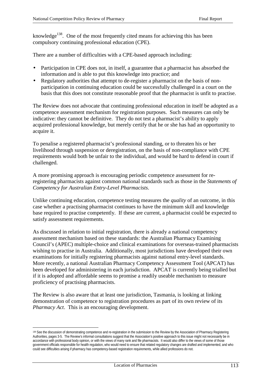knowledge<sup>138</sup>. One of the most frequently cited means for achieving this has been compulsory continuing professional education (CPE).

There are a number of difficulties with a CPE-based approach including:

- Participation in CPE does not, in itself, a guarantee that a pharmacist has absorbed the information and is able to put this knowledge into practice; and
- Regulatory authorities that attempt to de-register a pharmacist on the basis of nonparticipation in continuing education could be successfully challenged in a court on the basis that this does not constitute reasonable proof that the pharmacist is unfit to practise.

The Review does not advocate that continuing professional education in itself be adopted as a competence assessment mechanism for registration purposes. Such measures can only be indicative: they cannot be definitive. They do not test a pharmacist's ability to apply acquired professional knowledge, but merely certify that he or she has had an opportunity to acquire it.

To penalise a registered pharmacist's professional standing, or to threaten his or her livelihood through suspension or deregistration, on the basis of non-compliance with CPE requirements would both be unfair to the individual, and would be hard to defend in court if challenged.

A more promising approach is encouraging periodic competence assessment for reregistering pharmacists against common national standards such as those in the *Statements of Competency for Australian Entry-Level Pharmacists*.

Unlike continuing education, competence testing measures the *quality* of an outcome, in this case whether a practising pharmacist continues to have the minimum skill and knowledge base required to practise competently. If these are current, a pharmacist could be expected to satisfy assessment requirements.

As discussed in relation to initial registration, there is already a national competency assessment mechanism based on these standards: the Australian Pharmacy Examining Council's (APEC) multiple-choice and clinical examinations for overseas-trained pharmacists wishing to practise in Australia. Additionally, most jurisdictions have developed their own examinations for initially registering pharmacists against national entry-level standards. More recently, a national Australian Pharmacy Competency Assessment Tool (APCAT) has been developed for administering in each jurisdiction. APCAT is currently being trialled but if it is adopted and affordable seems to promise a readily useable mechanism to measure proficiency of practising pharmacists.

The Review is also aware that at least one jurisdiction, Tasmania, is looking at linking demonstration of competence to registration procedures as part of its own review of its *Pharmacy Act*. This is an encouraging development.

 $\overline{a}$ 

<sup>138</sup> See the discussion of demonstrating competence and re-registration in the submission to the Review by the Association of Pharmacy Registering Authorities, pages 3-5. The Review's informal consultations suggest that the Association's positive approach to this issue might not necessarily be in accordance with professional body opinion, or with the views of many rank and file pharmacists. It would also differ to the views of some of those government officials responsible for health regulation, who would need to ensure that related regulatory changes are drafted and implemented, and who could see difficulties arising if pharmacy has competency-based registration requirements, while allied professions do not.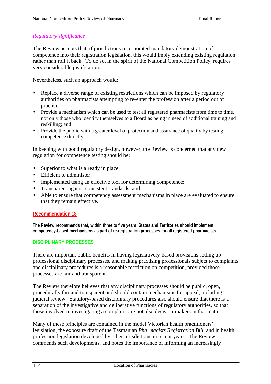#### *Regulatory significance*

The Review accepts that, if jurisdictions incorporated mandatory demonstration of competence into their registration legislation, this would imply extending existing regulation rather than roll it back. To do so, in the spirit of the National Competition Policy, requires very considerable justification.

Nevertheless, such an approach would:

- Replace a diverse range of existing restrictions which can be imposed by regulatory authorities on pharmacists attempting to re-enter the profession after a period out of practice;
- Provide a mechanism which can be used to test all registered pharmacists from time to time, not only those who identify themselves to a Board as being in need of additional training and reskilling; and
- Provide the public with a greater level of protection and assurance of quality by testing competence directly.

In keeping with good regulatory design, however, the Review is concerned that any new regulation for competence testing should be:

- Superior to what is already in place;
- Efficient to administer;
- Implemented using an effective tool for determining competence;
- Transparent against consistent standards; and
- Able to ensure that competency assessment mechanisms in place are evaluated to ensure that they remain effective.

#### **Recommendation 18**

**The Review recommends that, within three to five years, States and Territories should implement competency-based mechanisms as part of re-registration processes for all registered pharmacists.**

### **DISCIPLINARY PROCESSES**

There are important public benefits in having legislatively-based provisions setting up professional disciplinary processes, and making practising professionals subject to complaints and disciplinary procedures is a reasonable restriction on competition, provided those processes are fair and transparent.

The Review therefore believes that any disciplinary processes should be public, open, procedurally fair and transparent and should contain mechanisms for appeal, including judicial review. Statutory-based disciplinary procedures also should ensure that there is a separation of the investigative and deliberative functions of regulatory authorities, so that those involved in investigating a complaint are not also decision-makers in that matter.

Many of these principles are contained in the model Victorian health practitioners' legislation, the exposure draft of the Tasmanian *Pharmacists Registration Bill*, and in health profession legislation developed by other jurisdictions in recent years. The Review commends such developments, and notes the importance of informing an increasingly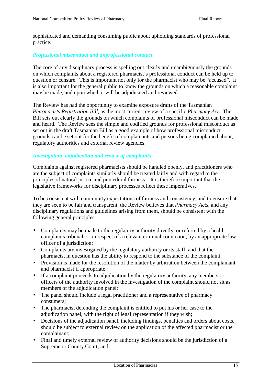sophisticated and demanding consuming public about upholding standards of professional practice.

# *Professional misconduct and unprofessional conduct*

The core of any disciplinary process is spelling out clearly and unambiguously the grounds on which complaints about a registered pharmacist's professional conduct can be held up to question or censure. This is important not only for the pharmacist who may be "accused". It is also important for the general public to know the grounds on which a reasonable complaint may be made, and upon which it will be adjudicated and reviewed.

The Review has had the opportunity to examine exposure drafts of the Tasmanian *Pharmacists Registration Bill*, as the most current review of a specific *Pharmacy Act*. The Bill sets out clearly the grounds on which complaints of professional misconduct can be made and heard. The Review sees the simple and codified grounds for professional misconduct as set out in the draft Tasmanian Bill as a good example of how professional misconduct grounds can be set out for the benefit of complainants and persons being complained about, regulatory authorities and external review agencies.

### *Investigation, adjudication and review of complaints*

Complaints against registered pharmacists should be handled openly, and practitioners who are the subject of complaints similarly should be treated fairly and with regard to the principles of natural justice and procedural fairness. It is therefore important that the legislative frameworks for disciplinary processes reflect these imperatives.

To be consistent with community expectations of fairness and consistency, and to ensure that they are seen to be fair and transparent, the Review believes that *Pharmacy Acts*, and any disciplinary regulations and guidelines arising from them, should be consistent with the following general principles:

- Complaints may be made to the regulatory authority directly, or referred by a health complaints tribunal or, in respect of a relevant criminal conviction, by an appropriate law officer of a jurisdiction;
- Complaints are investigated by the regulatory authority or its staff, and that the pharmacist in question has the ability to respond to the substance of the complaint;
- Provision is made for the resolution of the matter by arbitration between the complainant and pharmacist if appropriate;
- If a complaint proceeds to adjudication by the regulatory authority, any members or officers of the authority involved in the investigation of the complaint should not sit as members of the adjudication panel;
- The panel should include a legal practitioner and a representative of pharmacy consumers;
- The pharmacist defending the complaint is entitled to put his or her case to the adjudication panel, with the right of legal representation if they wish;
- Decisions of the adjudication panel, including findings, penalties and orders about costs, should be subject to external review on the application of the affected pharmacist or the complainant;
- Final and timely external review of authority decisions should be the jurisdiction of a Supreme or County Court; and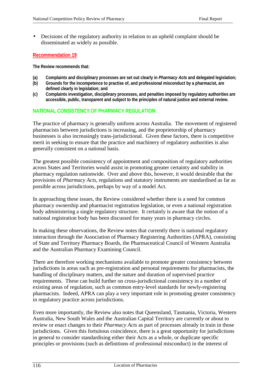• Decisions of the regulatory authority in relation to an upheld complaint should be disseminated as widely as possible.

#### **Recommendation 19**

**The Review recommends that:**

- **(a) Complaints and disciplinary processes are set out clearly in** *Pharmacy Acts* **and delegated legislation;**
- **(b) Grounds for the incompetence to practise of, and professional misconduct by a pharmacist, are defined clearly in legislation; and**
- **(c) Complaints investigation, disciplinary processes, and penalties imposed by regulatory authorities are accessible, public, transparent and subject to the principles of natural justice and external review.**

# **NATIONAL CONSISTENCY OF PHARMACY REGULATION**

The practice of pharmacy is generally uniform across Australia. The movement of registered pharmacists between jurisdictions is increasing, and the proprietorship of pharmacy businesses is also increasingly trans-jurisdictional. Given these factors, there is competitive merit in seeking to ensure that the practice and machinery of regulatory authorities is also generally consistent on a national basis.

The greatest possible consistency of appointment and composition of regulatory authorities across States and Territories would assist in promoting greater certainty and stability in pharmacy regulation nationwide. Over and above this, however, it would desirable that the provisions of *Pharmacy Acts*, regulations and statutory instruments are standardised as far as possible across jurisdictions, perhaps by way of a model Act.

In approaching these issues, the Review considered whether there is a need for common pharmacy ownership and pharmacist registration legislation, or even a national registration body administering a single regulatory structure. It certainly is aware that the notion of a national registration body has been discussed for many years in pharmacy circles.

In making these observations, the Review notes that currently there is national regulatory interaction through the Association of Pharmacy Registering Authorities (APRA), consisting of State and Territory Pharmacy Boards, the Pharmaceutical Council of Western Australia and the Australian Pharmacy Examining Council.

There are therefore working mechanisms available to promote greater consistency between jurisdictions in areas such as pre-registration and personal requirements for pharmacists, the handling of disciplinary matters, and the nature and duration of supervised practice requirements. These can build further on cross-jurisdictional consistency in a number of existing areas of regulation, such as common entry-level standards for newly-registering pharmacists. Indeed, APRA can play a very important role in promoting greater consistency in regulatory practice across jurisdictions.

Even more importantly, the Review also notes that Queensland, Tasmania, Victoria, Western Australia, New South Wales and the Australian Capital Territory are currently or about to review or enact changes to their *Pharmacy Acts* as part of processes already in train in those jurisdictions. Given this fortuitous coincidence, there is a great opportunity for jurisdictions in general to consider standardising either their Acts as a whole, or duplicate specific principles or provisions (such as definitions of professional misconduct) in the interest of